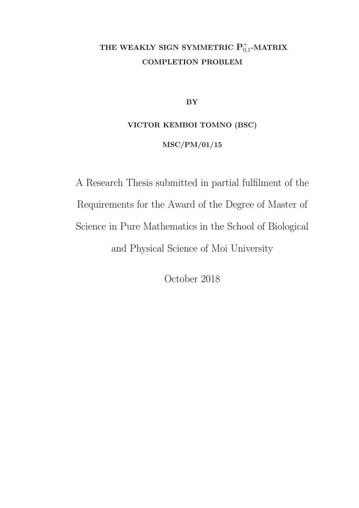### THE WEAKLY SIGN SYMMETRIC  ${\rm P}^+_0$  $_{0,1}^{\mp}$ -MATRIX COMPLETION PROBLEM

BY

VICTOR KEMBOI TOMNO (BSC)

MSC/PM/01/15

A Research Thesis submitted in partial fulfilment of the Requirements for the Award of the Degree of Master of Science in Pure Mathematics in the School of Biological and Physical Science of Moi University

October 2018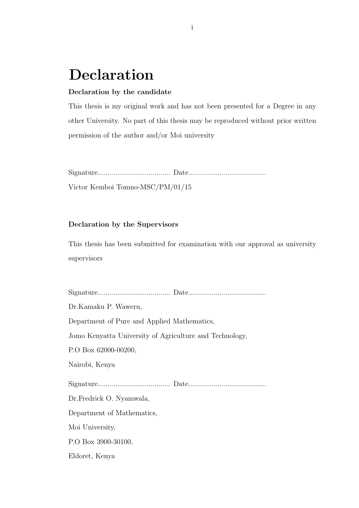# Declaration

#### Declaration by the candidate

This thesis is my original work and has not been presented for a Degree in any other University. No part of this thesis may be reproduced without prior written permission of the author and/or Moi university

Signature..................................... Date........................................ Victor Kemboi Tomno-MSC/PM/01/15

### Declaration by the Supervisors

This thesis has been submitted for examination with our approval as university supervisors

Signature..................................... Date........................................ Dr.Kamaku P. Waweru, Department of Pure and Applied Mathematics, Jomo Kenyatta University of Agriculture and Technology, P.O Box 62000-00200, Nairobi, Kenya Signature..................................... Date........................................ Dr.Fredrick O. Nyamwala, Department of Mathematics, Moi University, P.O Box 3900-30100, Eldoret, Kenya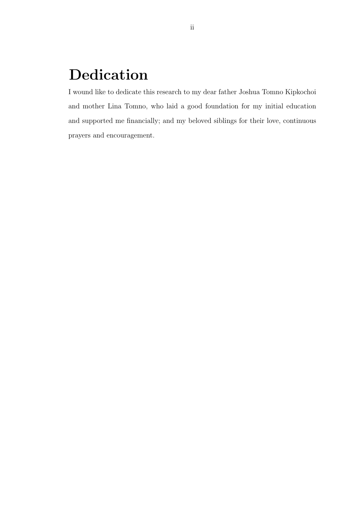# Dedication

I wound like to dedicate this research to my dear father Joshua Tomno Kipkochoi and mother Lina Tomno, who laid a good foundation for my initial education and supported me financially; and my beloved siblings for their love, continuous prayers and encouragement.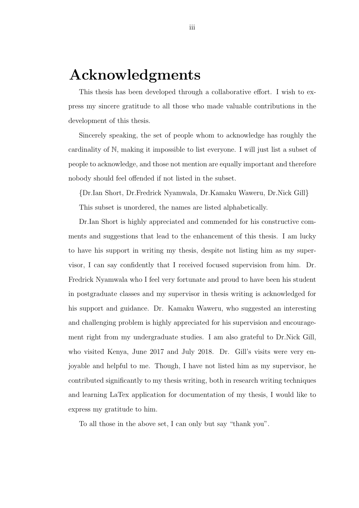# Acknowledgments

This thesis has been developed through a collaborative effort. I wish to express my sincere gratitude to all those who made valuable contributions in the development of this thesis.

Sincerely speaking, the set of people whom to acknowledge has roughly the cardinality of N, making it impossible to list everyone. I will just list a subset of people to acknowledge, and those not mention are equally important and therefore nobody should feel offended if not listed in the subset.

{Dr.Ian Short, Dr.Fredrick Nyamwala, Dr.Kamaku Waweru, Dr.Nick Gill}

This subset is unordered, the names are listed alphabetically.

Dr.Ian Short is highly appreciated and commended for his constructive comments and suggestions that lead to the enhancement of this thesis. I am lucky to have his support in writing my thesis, despite not listing him as my supervisor, I can say confidently that I received focused supervision from him. Dr. Fredrick Nyamwala who I feel very fortunate and proud to have been his student in postgraduate classes and my supervisor in thesis writing is acknowledged for his support and guidance. Dr. Kamaku Waweru, who suggested an interesting and challenging problem is highly appreciated for his supervision and encouragement right from my undergraduate studies. I am also grateful to Dr.Nick Gill, who visited Kenya, June 2017 and July 2018. Dr. Gill's visits were very enjoyable and helpful to me. Though, I have not listed him as my supervisor, he contributed significantly to my thesis writing, both in research writing techniques and learning LaTex application for documentation of my thesis, I would like to express my gratitude to him.

To all those in the above set, I can only but say "thank you".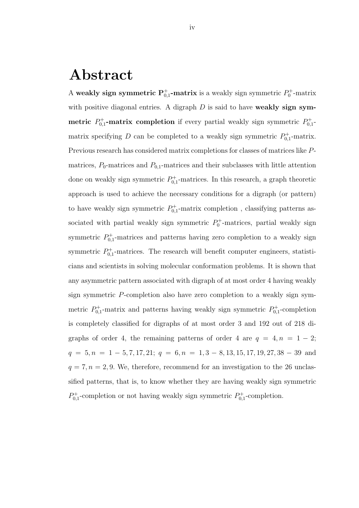# Abstract

A weakly sign symmetric  $P_{0,1}^+$ -matrix is a weakly sign symmetric  $P_0^+$ -matrix with positive diagonal entries. A digraph  $D$  is said to have weakly sign symmetric  $P_{0,1}^+$ -matrix completion if every partial weakly sign symmetric  $P_{0,1}^+$ matrix specifying D can be completed to a weakly sign symmetric  $P_{0,1}^+$ -matrix. Previous research has considered matrix completions for classes of matrices like Pmatrices,  $P_0$ -matrices and  $P_{0,1}$ -matrices and their subclasses with little attention done on weakly sign symmetric  $P_{0,1}^+$ -matrices. In this research, a graph theoretic approach is used to achieve the necessary conditions for a digraph (or pattern) to have weakly sign symmetric  $P_{0,1}^+$ -matrix completion, classifying patterns associated with partial weakly sign symmetric  $P_0^+$ -matrices, partial weakly sign symmetric  $P_{0,1}^+$ -matrices and patterns having zero completion to a weakly sign symmetric  $P_{0,1}^+$ -matrices. The research will benefit computer engineers, statisticians and scientists in solving molecular conformation problems. It is shown that any asymmetric pattern associated with digraph of at most order 4 having weakly sign symmetric P-completion also have zero completion to a weakly sign symmetric  $P_{0,1}^+$ -matrix and patterns having weakly sign symmetric  $P_{0,1}^+$ -completion is completely classified for digraphs of at most order 3 and 192 out of 218 digraphs of order 4, the remaining patterns of order 4 are  $q = 4, n = 1 - 2;$  $q = 5, n = 1 - 5, 7, 17, 21;$   $q = 6, n = 1, 3 - 8, 13, 15, 17, 19, 27, 38 - 39$  and  $q = 7, n = 2, 9$ . We, therefore, recommend for an investigation to the 26 unclassified patterns, that is, to know whether they are having weakly sign symmetric  $P_{0,1}^+$ -completion or not having weakly sign symmetric  $P_{0,1}^+$ -completion.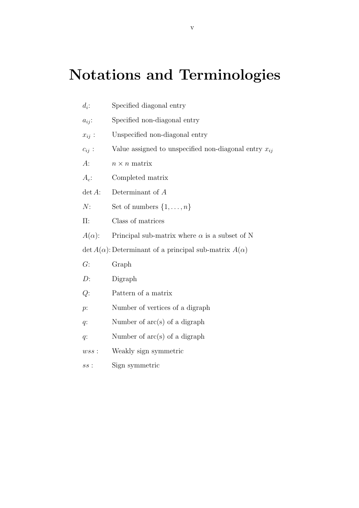# Notations and Terminologies

- $d_i$ : : Specified diagonal entry
- $a_{ij}$ : Specified non-diagonal entry
- $x_{ij}$ : Unspecified non-diagonal entry
- $c_{ij}$ : Value assigned to unspecified non-diagonal entry  $x_{ij}$
- A:  $n \times n$  matrix
- $A_c$ : Completed matrix
- det A: Determinant of A
- $N:$  Set of numbers  $\{1, \ldots, n\}$
- Π: Class of matrices
- $A(\alpha)$ : Principal sub-matrix where  $\alpha$  is a subset of N
- $\det A(\alpha)$ : Determinant of a principal sub-matrix  $A(\alpha)$
- G: Graph
- D: Digraph
- Q: Pattern of a matrix
- p: Number of vertices of a digraph
- q: Number of arc(s) of a digraph
- q: Number of arc(s) of a digraph
- wss : Weakly sign symmetric
- ss : Sign symmetric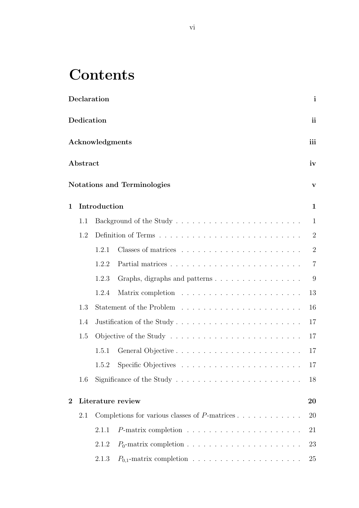# **Contents**

|                  |            | Declaration     |                                                                                   | i              |
|------------------|------------|-----------------|-----------------------------------------------------------------------------------|----------------|
|                  | Dedication |                 |                                                                                   | ii             |
|                  |            | Acknowledgments |                                                                                   | iii            |
|                  | Abstract   |                 |                                                                                   | iv             |
|                  |            |                 | <b>Notations and Terminologies</b>                                                | $\mathbf{V}$   |
| 1                |            | Introduction    |                                                                                   | $\mathbf{1}$   |
|                  | 1.1        |                 |                                                                                   | $\mathbf{1}$   |
|                  | 1.2        |                 |                                                                                   | $\overline{2}$ |
|                  |            | 1.2.1           |                                                                                   | $\overline{2}$ |
|                  |            | 1.2.2           |                                                                                   | $\overline{7}$ |
|                  |            | 1.2.3           |                                                                                   | 9              |
|                  |            | 1.2.4           |                                                                                   | 13             |
|                  | 1.3        |                 |                                                                                   | 16             |
|                  | 1.4        |                 |                                                                                   | 17             |
| 1.5              |            |                 | 17                                                                                |                |
|                  |            | 1.5.1           |                                                                                   | 17             |
|                  |            |                 |                                                                                   | 17             |
|                  | 1.6        |                 | Significance of the Study $\dots \dots \dots \dots \dots \dots \dots \dots \dots$ | 18             |
| $\boldsymbol{2}$ |            |                 | Literature review                                                                 | 20             |
|                  | 2.1        |                 | Completions for various classes of $P$ -matrices $\ldots \ldots \ldots \ldots$    | 20             |
|                  |            | 2.1.1           | $P$ -matrix completion $\ldots \ldots \ldots \ldots \ldots \ldots \ldots$         | 21             |
|                  |            | 2.1.2           |                                                                                   | 23             |
|                  |            | 2.1.3           |                                                                                   | 25             |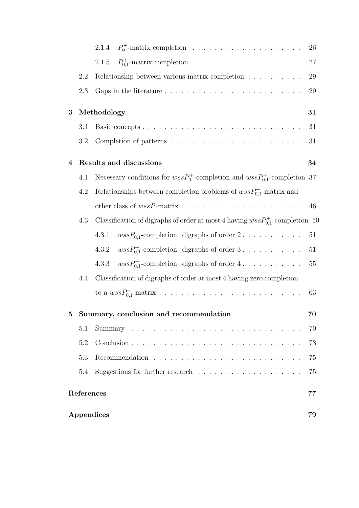|   |            | 2.1.4                                                                                | 26 |
|---|------------|--------------------------------------------------------------------------------------|----|
|   |            | 2.1.5                                                                                | 27 |
|   | 2.2        | Relationship between various matrix completion $\ldots \ldots \ldots \ldots$         | 29 |
|   | 2.3        |                                                                                      | 29 |
| 3 |            | Methodology                                                                          | 31 |
|   | 3.1        |                                                                                      | 31 |
|   | 3.2        | Completion of patterns $\dots \dots \dots \dots \dots \dots \dots \dots \dots \dots$ | 31 |
| 4 |            | Results and discussions                                                              | 34 |
|   | 4.1        | Necessary conditions for $wssP_0^+$ -completion and $wssP_{0,1}^+$ -completion 37    |    |
|   | 4.2        | Relationships between completion problems of $wssP_{0,1}^+$ -matrix and              |    |
|   |            |                                                                                      | 46 |
|   | 4.3        | Classification of digraphs of order at most 4 having $wssP_{0,1}^+$ -completion 50   |    |
|   |            | $wssP_{0,1}^+$ -completion: digraphs of order 2<br>4.3.1                             | 51 |
|   |            | $wssP_{0,1}^+$ -completion: digraphs of order 3<br>4.3.2                             | 51 |
|   |            | $wssP_{0,1}^+$ -completion: digraphs of order 4<br>4.3.3                             | 55 |
|   | 4.4        | Classification of digraphs of order at most 4 having zero completion                 |    |
|   |            |                                                                                      | 63 |
| 5 |            | Summary, conclusion and recommendation                                               | 70 |
|   | 5.1        |                                                                                      | 70 |
|   | 5.2        |                                                                                      | 73 |
|   | 5.3        |                                                                                      | 75 |
|   | 5.4        | Suggestions for further research $\ldots \ldots \ldots \ldots \ldots \ldots$         | 75 |
|   | References |                                                                                      | 77 |
|   |            | Appendices                                                                           | 79 |
|   |            |                                                                                      |    |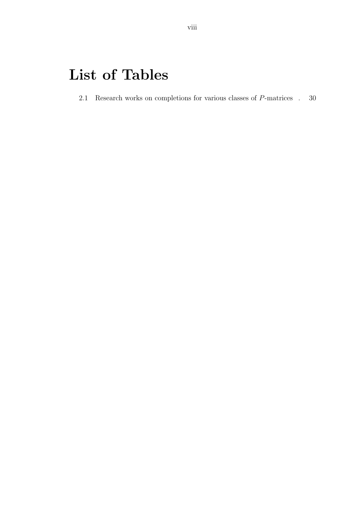# List of Tables

2.1 Research works on completions for various classes of  $P$ -matrices  $\,$ . 30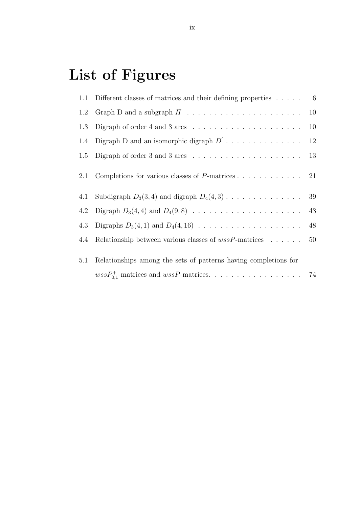# List of Figures

| 1.1 | Different classes of matrices and their defining properties $\dots$ .                          |    |
|-----|------------------------------------------------------------------------------------------------|----|
| 1.2 |                                                                                                |    |
| 1.3 | Digraph of order $4$ and $3$ arcs $\dots \dots \dots \dots \dots \dots \dots$                  | 10 |
| 1.4 | Digraph D and an isomorphic digraph $D'$                                                       | 12 |
| 1.5 | Digraph of order $3$ and $3$ arcs $\ldots \ldots \ldots \ldots \ldots \ldots \ldots \ldots$ 13 |    |
|     | 2.1 Completions for various classes of $P$ -matrices 21                                        |    |
| 4.1 |                                                                                                |    |
|     |                                                                                                |    |
| 4.3 |                                                                                                |    |
| 4.4 | Relationship between various classes of $wssP$ -matrices  50                                   |    |
| 5.1 | Relationships among the sets of patterns having completions for                                |    |
|     |                                                                                                |    |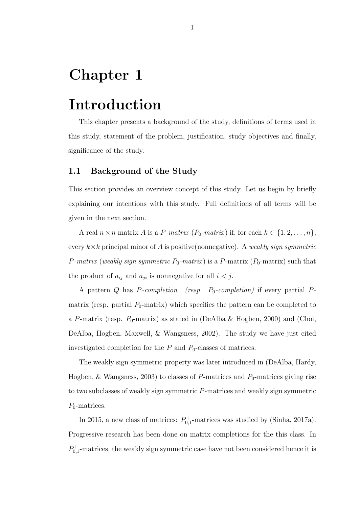# Chapter 1

# Introduction

This chapter presents a background of the study, definitions of terms used in this study, statement of the problem, justification, study objectives and finally, significance of the study.

### 1.1 Background of the Study

This section provides an overview concept of this study. Let us begin by briefly explaining our intentions with this study. Full definitions of all terms will be given in the next section.

A real  $n \times n$  matrix A is a P-matrix ( $P_0$ -matrix) if, for each  $k \in \{1, 2, ..., n\}$ , every  $k \times k$  principal minor of A is positive(nonnegative). A weakly sign symmetric P-matrix (weakly sign symmetric  $P_0$ -matrix) is a P-matrix ( $P_0$ -matrix) such that the product of  $a_{ij}$  and  $a_{ji}$  is nonnegative for all  $i < j$ .

A pattern  $Q$  has  $P$ -completion (resp.  $P_0$ -completion) if every partial  $P$ matrix (resp. partial  $P_0$ -matrix) which specifies the pattern can be completed to a P-matrix (resp.  $P_0$ -matrix) as stated in (DeAlba & Hogben, 2000) and (Choi, DeAlba, Hogben, Maxwell, & Wangsness, 2002). The study we have just cited investigated completion for the  $P$  and  $P_0$ -classes of matrices.

The weakly sign symmetric property was later introduced in (DeAlba, Hardy, Hogben, & Wangsness, 2003) to classes of P-matrices and  $P_0$ -matrices giving rise to two subclasses of weakly sign symmetric P-matrices and weakly sign symmetric  $P_0$ -matrices.

In 2015, a new class of matrices:  $P_{0,1}^+$ -matrices was studied by (Sinha, 2017a). Progressive research has been done on matrix completions for the this class. In  $P_{0,1}^+$ -matrices, the weakly sign symmetric case have not been considered hence it is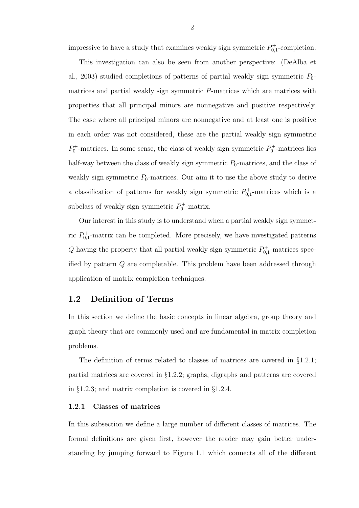impressive to have a study that examines weakly sign symmetric  $P_{0,1}^+$ -completion.

This investigation can also be seen from another perspective: (DeAlba et al., 2003) studied completions of patterns of partial weakly sign symmetric  $P_0$ matrices and partial weakly sign symmetric P-matrices which are matrices with properties that all principal minors are nonnegative and positive respectively. The case where all principal minors are nonnegative and at least one is positive in each order was not considered, these are the partial weakly sign symmetric  $P_0^+$ -matrices. In some sense, the class of weakly sign symmetric  $P_0^+$ -matrices lies half-way between the class of weakly sign symmetric  $P_0$ -matrices, and the class of weakly sign symmetric  $P_0$ -matrices. Our aim it to use the above study to derive a classification of patterns for weakly sign symmetric  $P_{0,1}^+$ -matrices which is a subclass of weakly sign symmetric  $P_0^+$ -matrix.

Our interest in this study is to understand when a partial weakly sign symmetric  $P_{0,1}^+$ -matrix can be completed. More precisely, we have investigated patterns Q having the property that all partial weakly sign symmetric  $P_{0,1}^+$ -matrices specified by pattern Q are completable. This problem have been addressed through application of matrix completion techniques.

### 1.2 Definition of Terms

In this section we define the basic concepts in linear algebra, group theory and graph theory that are commonly used and are fundamental in matrix completion problems.

The definition of terms related to classes of matrices are covered in §1.2.1; partial matrices are covered in §1.2.2; graphs, digraphs and patterns are covered in §1.2.3; and matrix completion is covered in §1.2.4.

#### 1.2.1 Classes of matrices

In this subsection we define a large number of different classes of matrices. The formal definitions are given first, however the reader may gain better understanding by jumping forward to Figure 1.1 which connects all of the different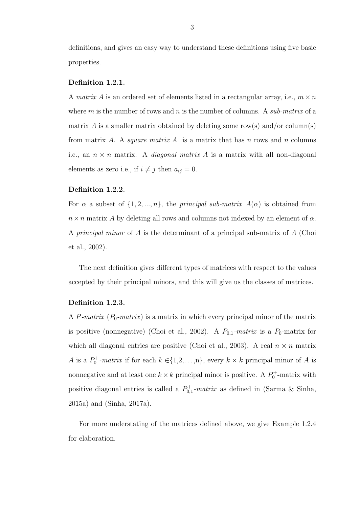definitions, and gives an easy way to understand these definitions using five basic properties.

#### Definition 1.2.1.

A matrix A is an ordered set of elements listed in a rectangular array, i.e.,  $m \times n$ where m is the number of rows and n is the number of columns. A sub-matrix of a matrix A is a smaller matrix obtained by deleting some row(s) and/or column(s) from matrix A. A *square matrix A* is a matrix that has n rows and n columns i.e., an  $n \times n$  matrix. A *diagonal matrix A* is a matrix with all non-diagonal elements as zero i.e., if  $i \neq j$  then  $a_{ij} = 0$ .

#### Definition 1.2.2.

For  $\alpha$  a subset of  $\{1, 2, ..., n\}$ , the *principal sub-matrix*  $A(\alpha)$  is obtained from  $n \times n$  matrix A by deleting all rows and columns not indexed by an element of  $\alpha$ . A principal minor of A is the determinant of a principal sub-matrix of A (Choi et al., 2002).

The next definition gives different types of matrices with respect to the values accepted by their principal minors, and this will give us the classes of matrices.

#### Definition 1.2.3.

A P-matrix  $(P_0$ -matrix) is a matrix in which every principal minor of the matrix is positive (nonnegative) (Choi et al., 2002). A  $P_{0,1}$ -matrix is a  $P_0$ -matrix for which all diagonal entries are positive (Choi et al., 2003). A real  $n \times n$  matrix A is a  $P_0^+$ -matrix if for each  $k \in \{1,2,\ldots,n\}$ , every  $k \times k$  principal minor of A is nonnegative and at least one  $k \times k$  principal minor is positive. A  $P_0^+$ -matrix with positive diagonal entries is called a  $P_{0,1}^+$ -matrix as defined in (Sarma & Sinha, 2015a) and (Sinha, 2017a).

For more understating of the matrices defined above, we give Example 1.2.4 for elaboration.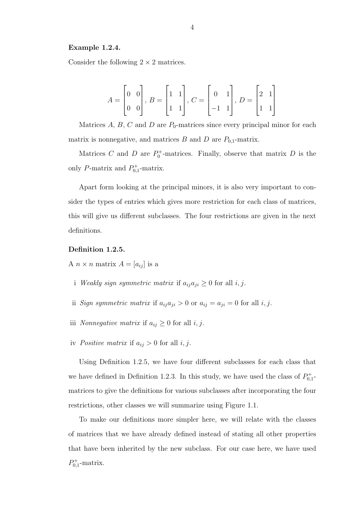#### Example 1.2.4.

Consider the following  $2 \times 2$  matrices.

$$
A = \begin{bmatrix} 0 & 0 \\ 0 & 0 \end{bmatrix}, B = \begin{bmatrix} 1 & 1 \\ 1 & 1 \end{bmatrix}, C = \begin{bmatrix} 0 & 1 \\ -1 & 1 \end{bmatrix}, D = \begin{bmatrix} 2 & 1 \\ 1 & 1 \end{bmatrix}
$$

Matrices  $A, B, C$  and  $D$  are  $P_0$ -matrices since every principal minor for each matrix is nonnegative, and matrices  $B$  and  $D$  are  $P_{0,1}$ -matrix.

Matrices C and D are  $P_0^+$ -matrices. Finally, observe that matrix D is the only P-matrix and  $P_{0,1}^+$ -matrix.

Apart form looking at the principal minors, it is also very important to consider the types of entries which gives more restriction for each class of matrices, this will give us different subclasses. The four restrictions are given in the next definitions.

#### Definition 1.2.5.

A  $n \times n$  matrix  $A = [a_{ij}]$  is a

- i Weakly sign symmetric matrix if  $a_{ij}a_{ji} \geq 0$  for all i, j.
- ii Sign symmetric matrix if  $a_{ij}a_{ji} > 0$  or  $a_{ij} = a_{ji} = 0$  for all i, j.
- iii Nonnegative matrix if  $a_{ij} \geq 0$  for all i, j.
- iv Positive matrix if  $a_{ij} > 0$  for all i, j.

Using Definition 1.2.5, we have four different subclasses for each class that we have defined in Definition 1.2.3. In this study, we have used the class of  $P_{0,1}^+$ matrices to give the definitions for various subclasses after incorporating the four restrictions, other classes we will summarize using Figure 1.1.

To make our definitions more simpler here, we will relate with the classes of matrices that we have already defined instead of stating all other properties that have been inherited by the new subclass. For our case here, we have used  $P_{0,1}^+$ -matrix.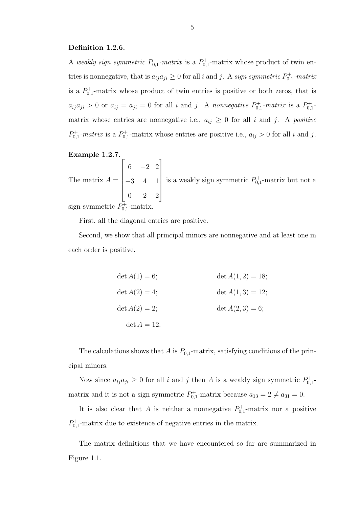#### Definition 1.2.6.

A weakly sign symmetric  $P_{0,1}^+$ -matrix is a  $P_{0,1}^+$ -matrix whose product of twin entries is nonnegative, that is  $a_{ij}a_{ji} \geq 0$  for all i and j. A sign symmetric  $P_{0,1}^+$ -matrix is a  $P_{0,1}^+$ -matrix whose product of twin entries is positive or both zeros, that is  $a_{ij}a_{ji} > 0$  or  $a_{ij} = a_{ji} = 0$  for all i and j. A nonnegative  $P_{0,1}^+$ -matrix is a  $P_{0,1}^+$ matrix whose entries are nonnegative i.e.,  $a_{ij} \geq 0$  for all i and j. A positive  $P_{0,1}^+$ -matrix is a  $P_{0,1}^+$ -matrix whose entries are positive i.e.,  $a_{ij} > 0$  for all i and j.

Example 1.2.7.

The matrix  $A =$  $\sqrt{ }$  $\begin{array}{c} \begin{array}{c} \begin{array}{c} \end{array} \\ \begin{array}{c} \end{array} \end{array} \end{array}$ 6  $-2$  2 −3 4 1 0 2 2 1  $\begin{array}{c} \begin{array}{c} \begin{array}{c} \end{array} \\ \begin{array}{c} \end{array} \end{array} \end{array}$ is a weakly sign symmetric  $P_{0,1}^+$ -matrix but not a

sign symmetric  $P_{0,1}^{\pm}$ -matrix.

First, all the diagonal entries are positive.

Second, we show that all principal minors are nonnegative and at least one in each order is positive.

| $\det A(1) = 6;$ | $\det A(1,2) = 18;$ |
|------------------|---------------------|
| $\det A(2) = 4;$ | $\det A(1,3) = 12;$ |
| $\det A(2) = 2;$ | $\det A(2,3) = 6;$  |
| $\det A = 12.$   |                     |

The calculations shows that A is  $P_{0,1}^+$ -matrix, satisfying conditions of the principal minors.

Now since  $a_{ij}a_{ji} \geq 0$  for all i and j then A is a weakly sign symmetric  $P_{0,1}^+$ matrix and it is not a sign symmetric  $P_{0,1}^+$ -matrix because  $a_{13} = 2 \neq a_{31} = 0$ .

It is also clear that A is neither a nonnegative  $P_{0,1}^+$ -matrix nor a positive  $P_{0,1}^+$ -matrix due to existence of negative entries in the matrix.

The matrix definitions that we have encountered so far are summarized in Figure 1.1.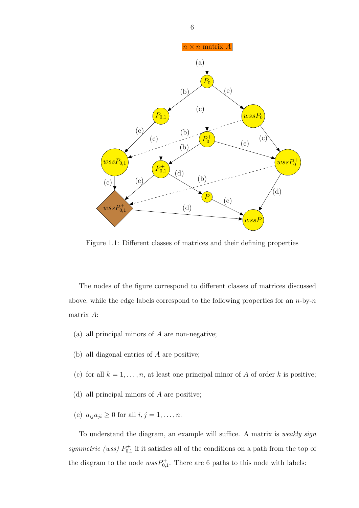

Figure 1.1: Different classes of matrices and their defining properties

The nodes of the figure correspond to different classes of matrices discussed above, while the edge labels correspond to the following properties for an  $n$ -by- $n$ matrix A:

- (a) all principal minors of A are non-negative;
- (b) all diagonal entries of A are positive;
- (c) for all  $k = 1, \ldots, n$ , at least one principal minor of A of order k is positive;
- (d) all principal minors of A are positive;
- (e)  $a_{ij}a_{ji} \ge 0$  for all  $i, j = 1, \ldots, n$ .

To understand the diagram, an example will suffice. A matrix is weakly sign symmetric (wss)  $P_{0,1}^+$  if it satisfies all of the conditions on a path from the top of the diagram to the node  $wssP_{0,1}^+$ . There are 6 paths to this node with labels: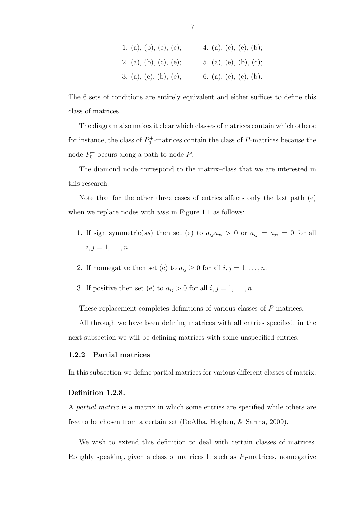| 1. (a), (b), (e), (c); | 4. (a), (c), (e), (b); |
|------------------------|------------------------|
| 2. (a), (b), (c), (e); | 5. (a), (e), (b), (c); |
| 3. (a), (c), (b), (e); | 6. (a), (e), (c), (b). |

The 6 sets of conditions are entirely equivalent and either suffices to define this class of matrices.

The diagram also makes it clear which classes of matrices contain which others: for instance, the class of  $P_0^+$ -matrices contain the class of P-matrices because the node  $P_0^+$  occurs along a path to node P.

The diamond node correspond to the matrix–class that we are interested in this research.

Note that for the other three cases of entries affects only the last path (e) when we replace nodes with *wss* in Figure 1.1 as follows:

- 1. If sign symmetric(ss) then set (e) to  $a_{ij}a_{ji} > 0$  or  $a_{ij} = a_{ji} = 0$  for all  $i, j = 1, \ldots, n$ .
- 2. If nonnegative then set (e) to  $a_{ij} \geq 0$  for all  $i, j = 1, \ldots, n$ .
- 3. If positive then set (e) to  $a_{ij} > 0$  for all  $i, j = 1, \ldots, n$ .

These replacement completes definitions of various classes of P-matrices.

All through we have been defining matrices with all entries specified, in the next subsection we will be defining matrices with some unspecified entries.

#### 1.2.2 Partial matrices

In this subsection we define partial matrices for various different classes of matrix.

#### Definition 1.2.8.

A partial matrix is a matrix in which some entries are specified while others are free to be chosen from a certain set (DeAlba, Hogben, & Sarma, 2009).

We wish to extend this definition to deal with certain classes of matrices. Roughly speaking, given a class of matrices  $\Pi$  such as  $P_0$ -matrices, nonnegative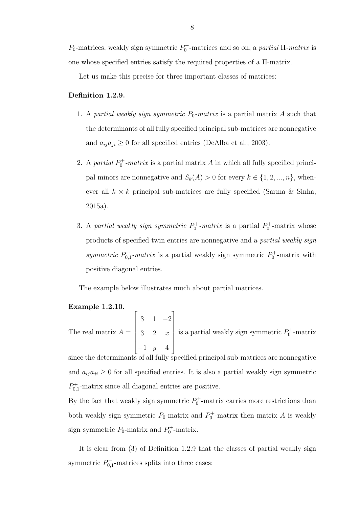$P_0$ -matrices, weakly sign symmetric  $P_0^+$ -matrices and so on, a *partial*  $\Pi$ -matrix is one whose specified entries satisfy the required properties of a Π-matrix.

Let us make this precise for three important classes of matrices:

#### Definition 1.2.9.

- 1. A partial weakly sign symmetric  $P_0$ -matrix is a partial matrix A such that the determinants of all fully specified principal sub-matrices are nonnegative and  $a_{ij}a_{ji} \geq 0$  for all specified entries (DeAlba et al., 2003).
- 2. A partial  $P_0^+$ -matrix is a partial matrix A in which all fully specified principal minors are nonnegative and  $S_k(A) > 0$  for every  $k \in \{1, 2, ..., n\}$ , whenever all  $k \times k$  principal sub-matrices are fully specified (Sarma & Sinha, 2015a).
- 3. A partial weakly sign symmetric  $P_0^+$ -matrix is a partial  $P_0^+$ -matrix whose products of specified twin entries are nonnegative and a partial weakly sign symmetric  $P_{0,1}^+$ -matrix is a partial weakly sign symmetric  $P_0^+$ -matrix with positive diagonal entries.

The example below illustrates much about partial matrices.

#### Example 1.2.10.

The real matrix  $A =$  $\sqrt{ }$  $\begin{array}{|c|c|} \hline \quad \quad & \quad \quad & \quad \quad \\ \hline \quad \quad & \quad \quad & \quad \quad \\ \hline \quad \quad & \quad \quad & \quad \quad \\ \hline \end{array}$ 3 1 −2 3 2 x  $-1$  y 4 1  $\begin{array}{c} \begin{array}{c} \begin{array}{c} \end{array} \end{array} \end{array}$ is a partial weakly sign symmetric  $P_0^+$ -matrix

since the determinants of all fully specified principal sub-matrices are nonnegative and  $a_{ij}a_{ji} \geq 0$  for all specified entries. It is also a partial weakly sign symmetric  $P_{0,1}^+$ -matrix since all diagonal entries are positive.

By the fact that weakly sign symmetric  $P_0^+$ -matrix carries more restrictions than both weakly sign symmetric  $P_0$ -matrix and  $P_0^+$ -matrix then matrix A is weakly sign symmetric  $P_0$ -matrix and  $P_0^+$ -matrix.

It is clear from (3) of Definition 1.2.9 that the classes of partial weakly sign symmetric  $P_{0,1}^+$ -matrices splits into three cases: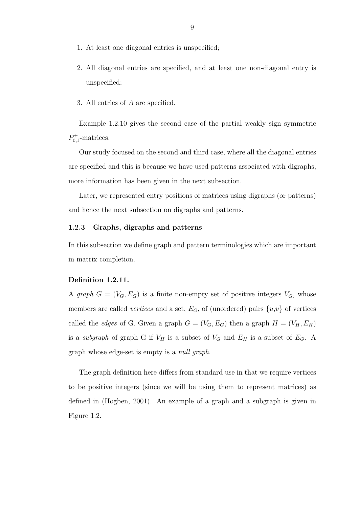- 1. At least one diagonal entries is unspecified;
- 2. All diagonal entries are specified, and at least one non-diagonal entry is unspecified;
- 3. All entries of A are specified.

Example 1.2.10 gives the second case of the partial weakly sign symmetric  $P_{0,1}^+$ -matrices.

Our study focused on the second and third case, where all the diagonal entries are specified and this is because we have used patterns associated with digraphs, more information has been given in the next subsection.

Later, we represented entry positions of matrices using digraphs (or patterns) and hence the next subsection on digraphs and patterns.

### 1.2.3 Graphs, digraphs and patterns

In this subsection we define graph and pattern terminologies which are important in matrix completion.

#### Definition 1.2.11.

A graph  $G = (V_G, E_G)$  is a finite non-empty set of positive integers  $V_G$ , whose members are called *vertices* and a set,  $E_G$ , of (unordered) pairs  $\{u,v\}$  of vertices called the *edges* of G. Given a graph  $G = (V_G, E_G)$  then a graph  $H = (V_H, E_H)$ is a subgraph of graph G if  $V_H$  is a subset of  $V_G$  and  $E_H$  is a subset of  $E_G$ . A graph whose edge-set is empty is a null graph.

The graph definition here differs from standard use in that we require vertices to be positive integers (since we will be using them to represent matrices) as defined in (Hogben, 2001). An example of a graph and a subgraph is given in Figure 1.2.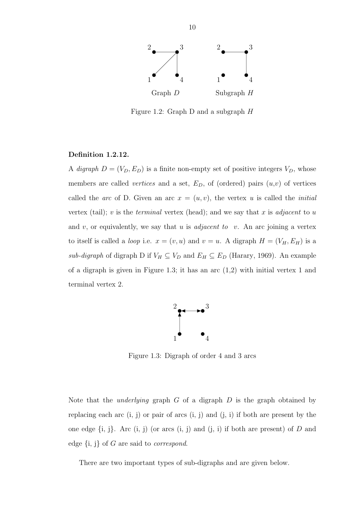

Figure 1.2: Graph D and a subgraph H

#### Definition 1.2.12.

A *digraph*  $D = (V_D, E_D)$  is a finite non-empty set of positive integers  $V_D$ , whose members are called *vertices* and a set,  $E_D$ , of (ordered) pairs  $(u,v)$  of vertices called the arc of D. Given an arc  $x = (u, v)$ , the vertex u is called the *initial* vertex (tail); v is the *terminal* vertex (head); and we say that x is *adjacent* to u and v, or equivalently, we say that u is *adjacent to* v. An arc joining a vertex to itself is called a *loop* i.e.  $x = (v, u)$  and  $v = u$ . A digraph  $H = (V_H, E_H)$  is a sub-digraph of digraph D if  $V_H \subseteq V_D$  and  $E_H \subseteq E_D$  (Harary, 1969). An example of a digraph is given in Figure 1.3; it has an arc  $(1,2)$  with initial vertex 1 and terminal vertex 2.



Figure 1.3: Digraph of order 4 and 3 arcs

Note that the *underlying* graph  $G$  of a digraph  $D$  is the graph obtained by replacing each arc  $(i, j)$  or pair of arcs  $(i, j)$  and  $(j, i)$  if both are present by the one edge  $\{i, j\}$ . Arc  $(i, j)$  (or arcs  $(i, j)$  and  $(j, i)$  if both are present) of  $D$  and edge  $\{i, j\}$  of G are said to *correspond*.

There are two important types of sub-digraphs and are given below.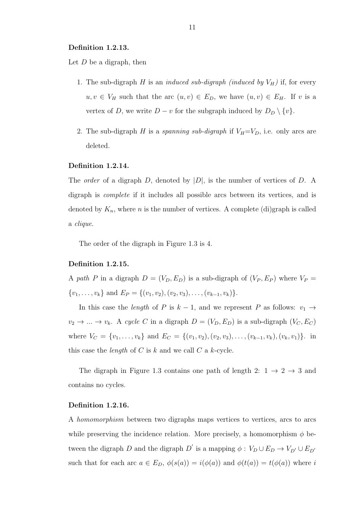#### Definition 1.2.13.

Let  $D$  be a digraph, then

- 1. The sub-digraph H is an *induced sub-digraph* (*induced by*  $V_H$ ) if, for every  $u, v \in V_H$  such that the arc  $(u, v) \in E_D$ , we have  $(u, v) \in E_H$ . If v is a vertex of D, we write  $D - v$  for the subgraph induced by  $D_D \setminus \{v\}.$
- 2. The sub-digraph H is a spanning sub-digraph if  $V_H=V_D$ , i.e. only arcs are deleted.

#### Definition 1.2.14.

The *order* of a digraph D, denoted by  $|D|$ , is the number of vertices of D. A digraph is complete if it includes all possible arcs between its vertices, and is denoted by  $K_n$ , where n is the number of vertices. A complete (di)graph is called a clique.

The order of the digraph in Figure 1.3 is 4.

#### Definition 1.2.15.

A path P in a digraph  $D = (V_D, E_D)$  is a sub-digraph of  $(V_P, E_P)$  where  $V_P =$  $\{v_1, \ldots, v_k\}$  and  $E_P = \{(v_1, v_2), (v_2, v_3), \ldots, (v_{k-1}, v_k)\}.$ 

In this case the *length* of P is  $k - 1$ , and we represent P as follows:  $v_1 \rightarrow$  $v_2 \rightarrow \dots \rightarrow v_k$ . A cycle C in a digraph  $D = (V_D, E_D)$  is a sub-digraph  $(V_C, E_C)$ where  $V_C = \{v_1, \ldots, v_k\}$  and  $E_C = \{(v_1, v_2), (v_2, v_3), \ldots, (v_{k-1}, v_k), (v_k, v_1)\}$ . in this case the *length* of C is k and we call C a k-cycle.

The digraph in Figure 1.3 contains one path of length 2:  $1 \rightarrow 2 \rightarrow 3$  and contains no cycles.

#### Definition 1.2.16.

A homomorphism between two digraphs maps vertices to vertices, arcs to arcs while preserving the incidence relation. More precisely, a homomorphism  $\phi$  between the digraph D and the digraph  $D'$  is a mapping  $\phi: V_D \cup E_D \to V_{D'} \cup E_{D'}$ such that for each arc  $a \in E_D$ ,  $\phi(s(a)) = i(\phi(a))$  and  $\phi(t(a)) = t(\phi(a))$  where i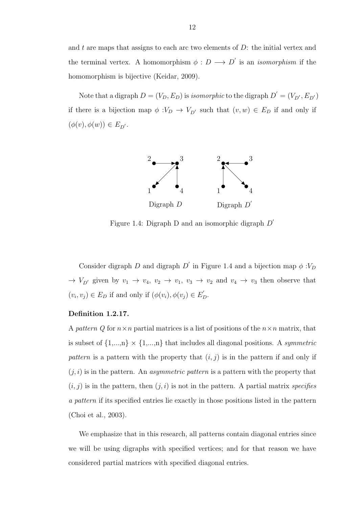and t are maps that assigns to each arc two elements of  $D$ : the initial vertex and the terminal vertex. A homomorphism  $\phi : D \longrightarrow D'$  is an *isomorphism* if the homomorphism is bijective (Keidar, 2009).

Note that a digraph  $D = (V_D, E_D)$  is *isomorphic* to the digraph  $D' = (V_{D'}, E_{D'})$ if there is a bijection map  $\phi: V_D \to V_{D'}$  such that  $(v, w) \in E_D$  if and only if  $(\phi(v), \phi(w)) \in E_{D'}$ .



Figure 1.4: Digraph D and an isomorphic digraph  $D'$ 

Consider digraph D and digraph  $D'$  in Figure 1.4 and a bijection map  $\phi:V_D$  $\rightarrow V_{D'}$  given by  $v_1 \rightarrow v_4$ ,  $v_2 \rightarrow v_1$ ,  $v_3 \rightarrow v_2$  and  $v_4 \rightarrow v_3$  then observe that  $(v_i, v_j) \in E_D$  if and only if  $(\phi(v_i), \phi(v_j) \in E'_D)$ .

#### Definition 1.2.17.

A pattern Q for  $n \times n$  partial matrices is a list of positions of the  $n \times n$  matrix, that is subset of  $\{1,...,n\} \times \{1,...,n\}$  that includes all diagonal positions. A symmetric pattern is a pattern with the property that  $(i, j)$  is in the pattern if and only if  $(j, i)$  is in the pattern. An *asymmetric pattern* is a pattern with the property that  $(i, j)$  is in the pattern, then  $(j, i)$  is not in the pattern. A partial matrix specifies a pattern if its specified entries lie exactly in those positions listed in the pattern (Choi et al., 2003).

We emphasize that in this research, all patterns contain diagonal entries since we will be using digraphs with specified vertices; and for that reason we have considered partial matrices with specified diagonal entries.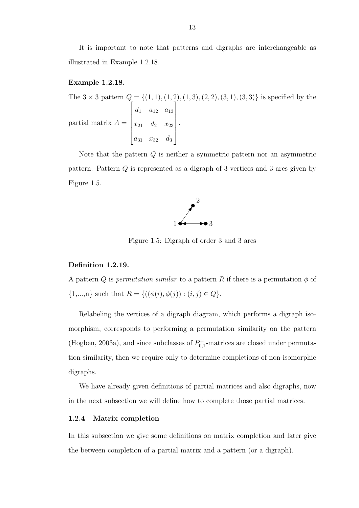It is important to note that patterns and digraphs are interchangeable as illustrated in Example 1.2.18.

#### Example 1.2.18.

The  $3 \times 3$  pattern  $Q = \{(1, 1), (1, 2), (1, 3), (2, 2), (3, 1), (3, 3)\}$  is specified by the partial matrix  $A =$  $\sqrt{ }$  $\begin{array}{c} \begin{array}{c} \begin{array}{c} \end{array} \end{array} \end{array}$  $d_1$   $a_{12}$   $a_{13}$  $x_{21}$   $d_2$   $x_{23}$  $a_{31}$   $x_{32}$   $d_3$ 1  $\begin{array}{c} \begin{array}{c} \begin{array}{c} \end{array} \\ \begin{array}{c} \end{array} \end{array} \end{array}$ .

Note that the pattern  $Q$  is neither a symmetric pattern nor an asymmetric pattern. Pattern Q is represented as a digraph of 3 vertices and 3 arcs given by Figure 1.5.



Figure 1.5: Digraph of order 3 and 3 arcs

#### Definition 1.2.19.

A pattern Q is *permutation similar* to a pattern R if there is a permutation  $\phi$  of  ${1,...,n}$  such that  $R = {((\phi(i), \phi(j)) : (i, j) \in Q)}$ .

Relabeling the vertices of a digraph diagram, which performs a digraph isomorphism, corresponds to performing a permutation similarity on the pattern (Hogben, 2003a), and since subclasses of  $P_{0,1}^+$ -matrices are closed under permutation similarity, then we require only to determine completions of non-isomorphic digraphs.

We have already given definitions of partial matrices and also digraphs, now in the next subsection we will define how to complete those partial matrices.

#### 1.2.4 Matrix completion

In this subsection we give some definitions on matrix completion and later give the between completion of a partial matrix and a pattern (or a digraph).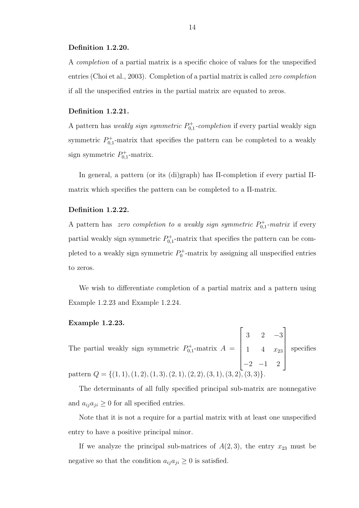#### Definition 1.2.20.

A completion of a partial matrix is a specific choice of values for the unspecified entries (Choi et al., 2003). Completion of a partial matrix is called zero completion if all the unspecified entries in the partial matrix are equated to zeros.

#### Definition 1.2.21.

A pattern has *weakly sign symmetric*  $P_{0,1}^+$ -completion if every partial weakly sign symmetric  $P_{0,1}^+$ -matrix that specifies the pattern can be completed to a weakly sign symmetric  $P_{0,1}^+$ -matrix.

In general, a pattern (or its (di)graph) has Π-completion if every partial Πmatrix which specifies the pattern can be completed to a Π-matrix.

#### Definition 1.2.22.

A pattern has zero completion to a weakly sign symmetric  $P_{0,1}^+$ -matrix if every partial weakly sign symmetric  $P_{0,1}^+$ -matrix that specifies the pattern can be completed to a weakly sign symmetric  $P_0^+$ -matrix by assigning all unspecified entries to zeros.

We wish to differentiate completion of a partial matrix and a pattern using Example 1.2.23 and Example 1.2.24.

#### Example 1.2.23.

The partial weakly sign symmetric  $P_{0,1}^+$ -matrix  $A =$  $\sqrt{ }$  3 2 −3 1 4  $x_{23}$  $-2$   $-1$  2 1  $\begin{array}{c} \begin{array}{c} \begin{array}{c} \end{array} \\ \begin{array}{c} \end{array} \end{array} \end{array}$ specifies pattern  $Q = \{(1, 1), (1, 2), (1, 3), (2, 1), (2, 2), (3, 1), (3, 2), (3, 3)\}$ 

The determinants of all fully specified principal sub-matrix are nonnegative and  $a_{ij}a_{ji} \geq 0$  for all specified entries.

Note that it is not a require for a partial matrix with at least one unspecified entry to have a positive principal minor.

If we analyze the principal sub-matrices of  $A(2,3)$ , the entry  $x_{23}$  must be negative so that the condition  $a_{ij}a_{ji} \geq 0$  is satisfied.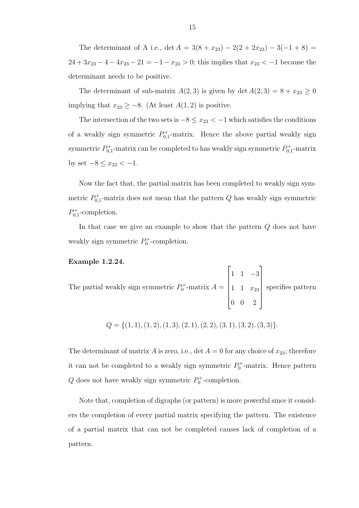The determinant of A i.e., det  $A = 3(8 + x_{23}) - 2(2 + 2x_{23}) - 3(-1 + 8) =$  $24 + 3x_{23} - 4 - 4x_{23} - 21 = -1 - x_{23} > 0$ ; this implies that  $x_{23} < -1$  because the determinant needs to be positive.

The determinant of sub-matrix  $A(2,3)$  is given by det  $A(2,3) = 8 + x_{23} \ge 0$ implying that  $x_{23} \ge -8$ . (At least  $A(1, 2)$  is positive.

The intersection of the two sets is  $-8 \le x_{23} < -1$  which satisfies the conditions of a weakly sign symmetric  $P_{0,1}^+$ -matrix. Hence the above partial weakly sign symmetric  $P^+_{0,1}$ -matrix can be completed to has weakly sign symmetric  $P^+_{0,1}$ -matrix by set  $-8 \leq x_{23} < -1$ .

Now the fact that, the partial matrix has been completed to weakly sign symmetric  $P_{0,1}^+$ -matrix does not mean that the pattern  $Q$  has weakly sign symmetric  $P_{0,1}^+$ -completion.

In that case we give an example to show that the pattern  $Q$  does not have weakly sign symmetric  $P_0^+$ -completion.

#### Example 1.2.24.

The partial weakly sign symmetric 
$$
P_0^+
$$
-matrix  $A = \begin{bmatrix} 1 & 1 & -3 \\ 1 & 1 & x_{23} \\ 0 & 0 & 2 \end{bmatrix}$  specifies pattern

$$
Q = \{(1, 1), (1, 2), (1, 3), (2, 1), (2, 2), (3, 1), (3, 2), (3, 3)\}.
$$

The determinant of matrix A is zero, i.e., det  $A = 0$  for any choice of  $x_{23}$ ; therefore it can not be completed to a weakly sign symmetric  $P_0^+$ -matrix. Hence pattern  $Q$  does not have weakly sign symmetric  $P_0^+$ -completion.

Note that, completion of digraphs (or pattern) is more powerful since it considers the completion of every partial matrix specifying the pattern. The existence of a partial matrix that can not be completed causes lack of completion of a pattern.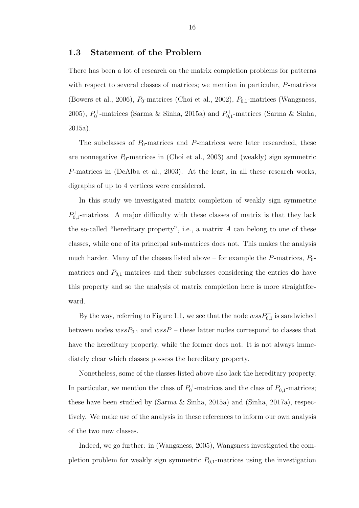### 1.3 Statement of the Problem

There has been a lot of research on the matrix completion problems for patterns with respect to several classes of matrices; we mention in particular, P-matrices (Bowers et al., 2006),  $P_0$ -matrices (Choi et al., 2002),  $P_{0,1}$ -matrices (Wangsness, 2005),  $P_0^+$ -matrices (Sarma & Sinha, 2015a) and  $P_{0,1}^+$ -matrices (Sarma & Sinha, 2015a).

The subclasses of  $P_0$ -matrices and P-matrices were later researched, these are nonnegative  $P_0$ -matrices in (Choi et al., 2003) and (weakly) sign symmetric P-matrices in (DeAlba et al., 2003). At the least, in all these research works, digraphs of up to 4 vertices were considered.

In this study we investigated matrix completion of weakly sign symmetric  $P_{0,1}^+$ -matrices. A major difficulty with these classes of matrix is that they lack the so-called "hereditary property", i.e., a matrix  $A$  can belong to one of these classes, while one of its principal sub-matrices does not. This makes the analysis much harder. Many of the classes listed above – for example the P-matrices,  $P_0$ matrices and  $P_{0,1}$ -matrices and their subclasses considering the entries **do** have this property and so the analysis of matrix completion here is more straightforward.

By the way, referring to Figure 1.1, we see that the node  $wssP_{0,1}^+$  is sandwiched between nodes  $wssP_{0,1}$  and  $wssP$  – these latter nodes correspond to classes that have the hereditary property, while the former does not. It is not always immediately clear which classes possess the hereditary property.

Nonetheless, some of the classes listed above also lack the hereditary property. In particular, we mention the class of  $P_0^+$ -matrices and the class of  $P_{0,1}^+$ -matrices; these have been studied by (Sarma & Sinha, 2015a) and (Sinha, 2017a), respectively. We make use of the analysis in these references to inform our own analysis of the two new classes.

Indeed, we go further: in (Wangsness, 2005), Wangsness investigated the completion problem for weakly sign symmetric  $P_{0,1}$ -matrices using the investigation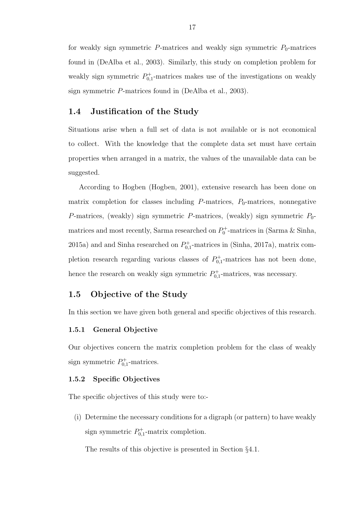for weakly sign symmetric  $P$ -matrices and weakly sign symmetric  $P_0$ -matrices found in (DeAlba et al., 2003). Similarly, this study on completion problem for weakly sign symmetric  $P_{0,1}^+$ -matrices makes use of the investigations on weakly sign symmetric P-matrices found in (DeAlba et al., 2003).

### 1.4 Justification of the Study

Situations arise when a full set of data is not available or is not economical to collect. With the knowledge that the complete data set must have certain properties when arranged in a matrix, the values of the unavailable data can be suggested.

According to Hogben (Hogben, 2001), extensive research has been done on matrix completion for classes including  $P$ -matrices,  $P_0$ -matrices, nonnegative P-matrices, (weakly) sign symmetric P-matrices, (weakly) sign symmetric  $P_0$ matrices and most recently, Sarma researched on  $P_0^+$ -matrices in (Sarma & Sinha, 2015a) and and Sinha researched on  $P_{0,1}^+$ -matrices in (Sinha, 2017a), matrix completion research regarding various classes of  $P_{0,1}^+$ -matrices has not been done, hence the research on weakly sign symmetric  $P_{0,1}^+$ -matrices, was necessary.

### 1.5 Objective of the Study

In this section we have given both general and specific objectives of this research.

#### 1.5.1 General Objective

Our objectives concern the matrix completion problem for the class of weakly sign symmetric  $P_{0,1}^+$ -matrices.

#### 1.5.2 Specific Objectives

The specific objectives of this study were to:-

(i) Determine the necessary conditions for a digraph (or pattern) to have weakly sign symmetric  $P_{0,1}^+$ -matrix completion.

The results of this objective is presented in Section §4.1.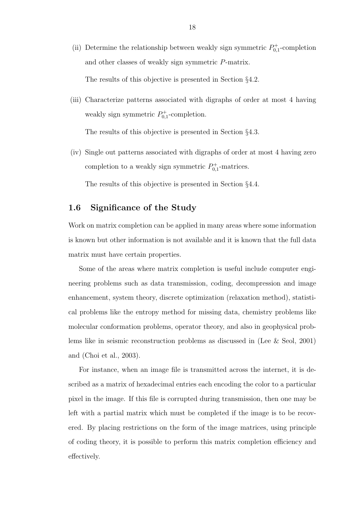- (ii) Determine the relationship between weakly sign symmetric  $P_{0,1}^+$ -completion and other classes of weakly sign symmetric P-matrix. The results of this objective is presented in Section §4.2.
- (iii) Characterize patterns associated with digraphs of order at most 4 having weakly sign symmetric  $P_{0,1}^+$ -completion.

The results of this objective is presented in Section §4.3.

(iv) Single out patterns associated with digraphs of order at most 4 having zero completion to a weakly sign symmetric  $P_{0,1}^+$ -matrices.

The results of this objective is presented in Section §4.4.

### 1.6 Significance of the Study

Work on matrix completion can be applied in many areas where some information is known but other information is not available and it is known that the full data matrix must have certain properties.

Some of the areas where matrix completion is useful include computer engineering problems such as data transmission, coding, decompression and image enhancement, system theory, discrete optimization (relaxation method), statistical problems like the entropy method for missing data, chemistry problems like molecular conformation problems, operator theory, and also in geophysical problems like in seismic reconstruction problems as discussed in (Lee & Seol, 2001) and (Choi et al., 2003).

For instance, when an image file is transmitted across the internet, it is described as a matrix of hexadecimal entries each encoding the color to a particular pixel in the image. If this file is corrupted during transmission, then one may be left with a partial matrix which must be completed if the image is to be recovered. By placing restrictions on the form of the image matrices, using principle of coding theory, it is possible to perform this matrix completion efficiency and effectively.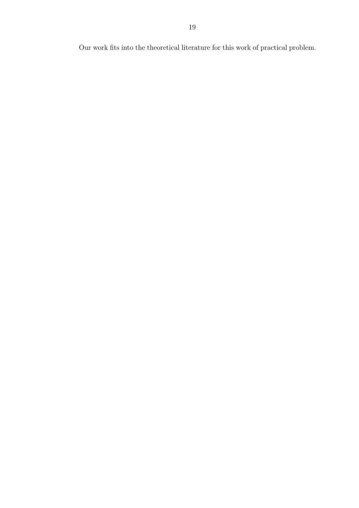Our work fits into the theoretical literature for this work of practical problem.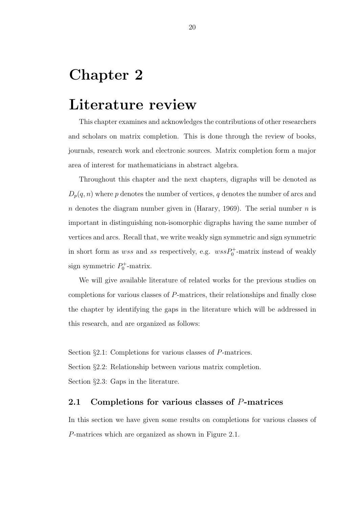# Chapter 2

# Literature review

This chapter examines and acknowledges the contributions of other researchers and scholars on matrix completion. This is done through the review of books, journals, research work and electronic sources. Matrix completion form a major area of interest for mathematicians in abstract algebra.

Throughout this chapter and the next chapters, digraphs will be denoted as  $D_p(q,n)$  where  $p$  denotes the number of vertices,  $q$  denotes the number of arcs and n denotes the diagram number given in (Harary, 1969). The serial number  $n$  is important in distinguishing non-isomorphic digraphs having the same number of vertices and arcs. Recall that, we write weakly sign symmetric and sign symmetric in short form as  $wss$  and ss respectively, e.g.  $wssP_0^+$ -matrix instead of weakly sign symmetric  $P_0^+$ -matrix.

We will give available literature of related works for the previous studies on completions for various classes of P-matrices, their relationships and finally close the chapter by identifying the gaps in the literature which will be addressed in this research, and are organized as follows:

Section §2.1: Completions for various classes of P-matrices. Section §2.2: Relationship between various matrix completion. Section §2.3: Gaps in the literature.

### 2.1 Completions for various classes of P-matrices

In this section we have given some results on completions for various classes of P-matrices which are organized as shown in Figure 2.1.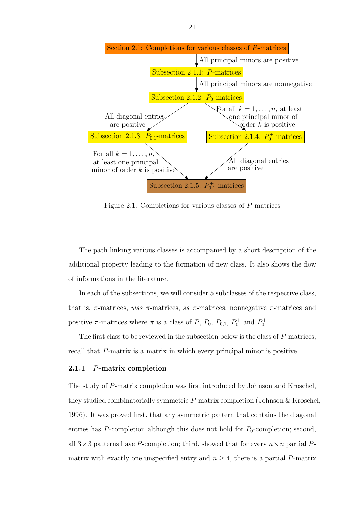

Figure 2.1: Completions for various classes of P-matrices

The path linking various classes is accompanied by a short description of the additional property leading to the formation of new class. It also shows the flow of informations in the literature.

In each of the subsections, we will consider 5 subclasses of the respective class, that is,  $\pi$ -matrices, wss  $\pi$ -matrices, ss  $\pi$ -matrices, nonnegative  $\pi$ -matrices and positive  $\pi$ -matrices where  $\pi$  is a class of P,  $P_0$ ,  $P_{0,1}$ ,  $P_0^+$  and  $P_{0,1}^+$ .

The first class to be reviewed in the subsection below is the class of P-matrices, recall that P-matrix is a matrix in which every principal minor is positive.

#### 2.1.1 P-matrix completion

The study of P-matrix completion was first introduced by Johnson and Kroschel, they studied combinatorially symmetric P-matrix completion (Johnson & Kroschel, 1996). It was proved first, that any symmetric pattern that contains the diagonal entries has P-completion although this does not hold for  $P_0$ -completion; second, all  $3\times 3$  patterns have P-completion; third, showed that for every  $n \times n$  partial Pmatrix with exactly one unspecified entry and  $n \geq 4$ , there is a partial P-matrix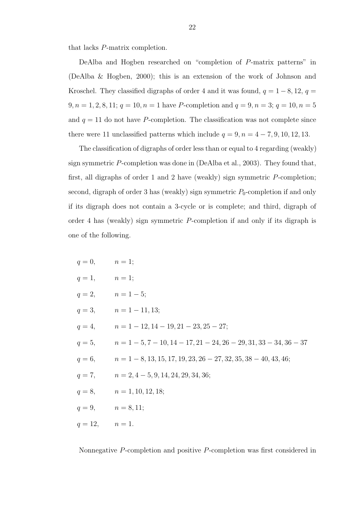that lacks P-matrix completion.

DeAlba and Hogben researched on "completion of P-matrix patterns" in (DeAlba & Hogben, 2000); this is an extension of the work of Johnson and Kroschel. They classified digraphs of order 4 and it was found,  $q = 1 - 8, 12, q =$ 9,  $n = 1, 2, 8, 11$ ;  $q = 10, n = 1$  have P-completion and  $q = 9, n = 3$ ;  $q = 10, n = 5$ and  $q = 11$  do not have P-completion. The classification was not complete since there were 11 unclassified patterns which include  $q = 9, n = 4 - 7, 9, 10, 12, 13$ .

The classification of digraphs of order less than or equal to 4 regarding (weakly) sign symmetric P-completion was done in (DeAlba et al., 2003). They found that, first, all digraphs of order 1 and 2 have (weakly) sign symmetric P-completion; second, digraph of order 3 has (weakly) sign symmetric  $P_0$ -completion if and only if its digraph does not contain a 3-cycle or is complete; and third, digraph of order 4 has (weakly) sign symmetric P-completion if and only if its digraph is one of the following.

| $q = 0,$ $n = 1;$     |                                                                               |
|-----------------------|-------------------------------------------------------------------------------|
| $q = 1,$ $n = 1;$     |                                                                               |
|                       | $q = 2,$ $n = 1 - 5;$                                                         |
|                       | $q = 3,$ $n = 1 - 11, 13;$                                                    |
|                       | $q = 4,$ $n = 1 - 12, 14 - 19, 21 - 23, 25 - 27;$                             |
|                       | $q = 5,$ $n = 1 - 5, 7 - 10, 14 - 17, 21 - 24, 26 - 29, 31, 33 - 34, 36 - 37$ |
|                       | $q = 6,$ $n = 1 - 8, 13, 15, 17, 19, 23, 26 - 27, 32, 35, 38 - 40, 43, 46;$   |
|                       | $q = 7,$ $n = 2, 4 - 5, 9, 14, 24, 29, 34, 36;$                               |
|                       | $q = 8,$ $n = 1, 10, 12, 18;$                                                 |
| $q = 9,$ $n = 8, 11;$ |                                                                               |
| $q = 12,$ $n = 1.$    |                                                                               |

Nonnegative P-completion and positive P-completion was first considered in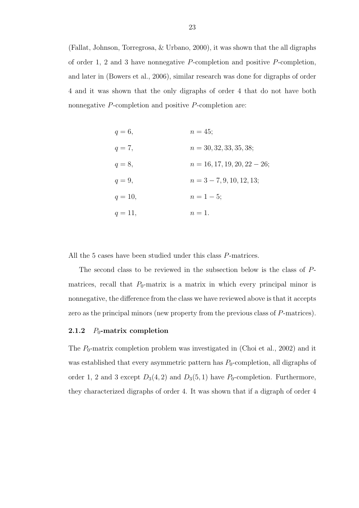(Fallat, Johnson, Torregrosa, & Urbano, 2000), it was shown that the all digraphs of order 1, 2 and 3 have nonnegative P-completion and positive P-completion, and later in (Bowers et al., 2006), similar research was done for digraphs of order 4 and it was shown that the only digraphs of order 4 that do not have both nonnegative P-completion and positive P-completion are:

| $q=6$ ,   | $n = 45$ ;                     |
|-----------|--------------------------------|
| $q=7$ ,   | $n = 30, 32, 33, 35, 38;$      |
| $q=8$ ,   | $n = 16, 17, 19, 20, 22 - 26;$ |
| $q=9$ ,   | $n = 3 - 7, 9, 10, 12, 13;$    |
| $q = 10,$ | $n = 1 - 5$ ;                  |
| $q=11,$   | $n=1$ .                        |

All the 5 cases have been studied under this class P-matrices.

The second class to be reviewed in the subsection below is the class of Pmatrices, recall that  $P_0$ -matrix is a matrix in which every principal minor is nonnegative, the difference from the class we have reviewed above is that it accepts zero as the principal minors (new property from the previous class of P-matrices).

### 2.1.2  $P_0$ -matrix completion

The  $P_0$ -matrix completion problem was investigated in (Choi et al., 2002) and it was established that every asymmetric pattern has  $P_0$ -completion, all digraphs of order 1, 2 and 3 except  $D_3(4,2)$  and  $D_3(5,1)$  have  $P_0$ -completion. Furthermore, they characterized digraphs of order 4. It was shown that if a digraph of order 4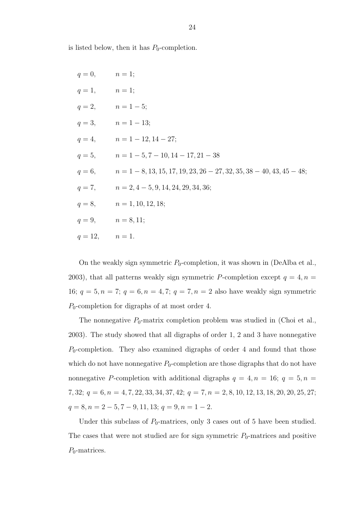is listed below, then it has  $P_0$ -completion.

| $q = 0,$ $n = 1;$     |                                                                                  |
|-----------------------|----------------------------------------------------------------------------------|
| $q = 1,$ $n = 1;$     |                                                                                  |
| $q = 2,$ $n = 1 - 5;$ |                                                                                  |
|                       | $q = 3,$ $n = 1 - 13;$                                                           |
|                       | $q = 4,$ $n = 1 - 12, 14 - 27;$                                                  |
|                       | $q = 5,$ $n = 1 - 5, 7 - 10, 14 - 17, 21 - 38$                                   |
|                       | $q = 6,$ $n = 1 - 8, 13, 15, 17, 19, 23, 26 - 27, 32, 35, 38 - 40, 43, 45 - 48;$ |
|                       | $q = 7,$ $n = 2, 4 - 5, 9, 14, 24, 29, 34, 36;$                                  |
|                       | $q = 8,$ $n = 1, 10, 12, 18;$                                                    |
| $q = 9,$ $n = 8, 11;$ |                                                                                  |
| $q = 12,$ $n = 1.$    |                                                                                  |

On the weakly sign symmetric  $P_0$ -completion, it was shown in (DeAlba et al., 2003), that all patterns weakly sign symmetric P-completion except  $q = 4, n =$ 16;  $q = 5, n = 7; q = 6, n = 4, 7; q = 7, n = 2$  also have weakly sign symmetric  $P_0$ -completion for digraphs of at most order 4.

The nonnegative  $P_0$ -matrix completion problem was studied in (Choi et al., 2003). The study showed that all digraphs of order 1, 2 and 3 have nonnegative  $P_0$ -completion. They also examined digraphs of order 4 and found that those which do not have nonnegative  $P_0$ -completion are those digraphs that do not have nonnegative P-completion with additional digraphs  $q = 4, n = 16$ ;  $q = 5, n =$ 7, 32;  $q = 6, n = 4, 7, 22, 33, 34, 37, 42;$   $q = 7, n = 2, 8, 10, 12, 13, 18, 20, 20, 25, 27;$  $q = 8, n = 2 - 5, 7 - 9, 11, 13; q = 9, n = 1 - 2.$ 

Under this subclass of  $P_0$ -matrices, only 3 cases out of 5 have been studied. The cases that were not studied are for sign symmetric  $P_0$ -matrices and positive  $P_0$ -matrices.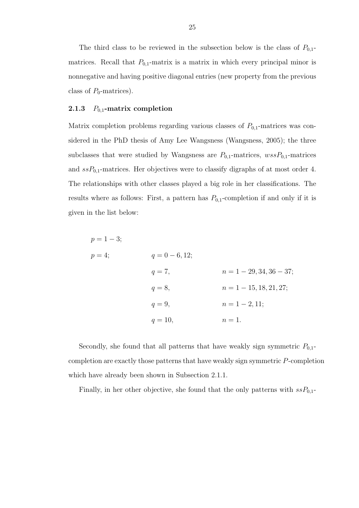The third class to be reviewed in the subsection below is the class of  $P_{0,1}$ matrices. Recall that  $P_{0,1}$ -matrix is a matrix in which every principal minor is nonnegative and having positive diagonal entries (new property from the previous class of  $P_0$ -matrices).

#### 2.1.3  $P_{0,1}$ -matrix completion

Matrix completion problems regarding various classes of  $P_{0,1}$ -matrices was considered in the PhD thesis of Amy Lee Wangsness (Wangsness, 2005); the three subclasses that were studied by Wangsness are  $P_{0,1}$ -matrices,  $wssP_{0,1}$ -matrices and  $ssP_{0,1}$ -matrices. Her objectives were to classify digraphs of at most order 4. The relationships with other classes played a big role in her classifications. The results where as follows: First, a pattern has  $P_{0,1}$ -completion if and only if it is given in the list below:

$$
p = 1 - 3;
$$
  
\n $p = 4;$   
\n $q = 0 - 6, 12;$   
\n $q = 7,$   
\n $n = 1 - 29, 34, 36 - 37;$   
\n $q = 8,$   
\n $n = 1 - 15, 18, 21, 27;$   
\n $q = 9,$   
\n $n = 1 - 2, 11;$   
\n $n = 1.$ 

Secondly, she found that all patterns that have weakly sign symmetric  $P_{0,1}$ completion are exactly those patterns that have weakly sign symmetric P-completion which have already been shown in Subsection 2.1.1.

Finally, in her other objective, she found that the only patterns with  $ssP_{0,1}$ -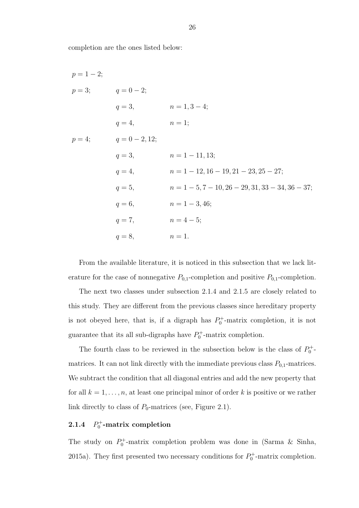completion are the ones listed below:

| $p = 1 - 2;$ |                           |                                                     |
|--------------|---------------------------|-----------------------------------------------------|
|              | $p = 3;$ $q = 0 - 2;$     |                                                     |
|              | $q=3$ ,                   | $n = 1, 3 - 4;$                                     |
|              | $q=4$ ,                   | $n=1;$                                              |
|              | $p = 4;$ $q = 0 - 2, 12;$ |                                                     |
|              | $q=3$ ,                   | $n = 1 - 11$ , 13;                                  |
|              | $q=4$ ,                   | $n = 1 - 12$ , $16 - 19$ , $21 - 23$ , $25 - 27$ ;  |
|              | $q=5$ ,                   | $n = 1 - 5, 7 - 10, 26 - 29, 31, 33 - 34, 36 - 37;$ |
|              | $q=6$ ,                   | $n = 1 - 3, 46;$                                    |
|              | $q=7$ ,                   | $n = 4 - 5;$                                        |
|              | $q=8$ ,                   | $n=1$ .                                             |

From the available literature, it is noticed in this subsection that we lack literature for the case of nonnegative  $P_{0,1}$ -completion and positive  $P_{0,1}$ -completion.

The next two classes under subsection 2.1.4 and 2.1.5 are closely related to this study. They are different from the previous classes since hereditary property is not obeyed here, that is, if a digraph has  $P_0^+$ -matrix completion, it is not guarantee that its all sub-digraphs have  $P_0^+$ -matrix completion.

The fourth class to be reviewed in the subsection below is the class of  $P_0^+$ . matrices. It can not link directly with the immediate previous class  $P_{0,1}$ -matrices. We subtract the condition that all diagonal entries and add the new property that for all  $k = 1, \ldots, n$ , at least one principal minor of order k is positive or we rather link directly to class of  $P_0$ -matrices (see, Figure 2.1).

## 2.1.4  $P_0^+$ -matrix completion

The study on  $P_0^+$ -matrix completion problem was done in (Sarma & Sinha, 2015a). They first presented two necessary conditions for  $P_0^+$ -matrix completion.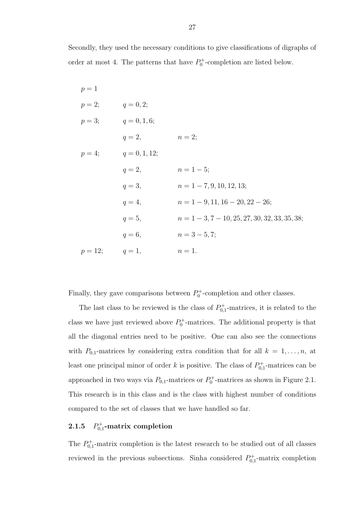Secondly, they used the necessary conditions to give classifications of digraphs of order at most 4. The patterns that have  $P_0^+$ -completion are listed below.

$$
p = 1
$$
  
\n
$$
p = 2;
$$
  
\n
$$
q = 0, 1, 6;
$$
  
\n
$$
q = 2,
$$
  
\n
$$
n = 2;
$$
  
\n
$$
p = 4;
$$
  
\n
$$
q = 0, 1, 12;
$$
  
\n
$$
q = 2,
$$
  
\n
$$
n = 1 - 5;
$$
  
\n
$$
q = 3,
$$
  
\n
$$
n = 1 - 7, 9, 10, 12, 13;
$$
  
\n
$$
q = 4,
$$
  
\n
$$
n = 1 - 9, 11, 16 - 20, 22 - 26;
$$
  
\n
$$
q = 5,
$$
  
\n
$$
n = 1 - 3, 7 - 10, 25, 27, 30, 32, 33, 35, 38;
$$
  
\n
$$
q = 6,
$$
  
\n
$$
n = 3 - 5, 7;
$$
  
\n
$$
p = 12;
$$
  
\n
$$
q = 1,
$$
  
\n
$$
n = 1.
$$
  
\n
$$
n = 3 - 5, 7;
$$
  
\n
$$
p = 12;
$$
  
\n
$$
q = 1,
$$
  
\n
$$
n = 1.
$$
  
\n
$$
n = 2.
$$
  
\n
$$
n = 1 - 3, 7 - 10, 25, 27, 30, 32, 33, 35, 38;
$$
  
\n
$$
n = 4,
$$
  
\n
$$
n = 3 - 5, 7;
$$
  
\n
$$
n = 1.
$$

Finally, they gave comparisons between  $P_0^+$ -completion and other classes.

The last class to be reviewed is the class of  $P_{0,1}^+$ -matrices, it is related to the class we have just reviewed above  $P_0^+$ -matrices. The additional property is that all the diagonal entries need to be positive. One can also see the connections with  $P_{0,1}$ -matrices by considering extra condition that for all  $k = 1, \ldots, n$ , at least one principal minor of order k is positive. The class of  $P_{0,1}^+$ -matrices can be approached in two ways via  $P_{0,1}$ -matrices or  $P_0^+$ -matrices as shown in Figure 2.1. This research is in this class and is the class with highest number of conditions compared to the set of classes that we have handled so far.

#### $2.1.5$  $_{\rm 0,1}^{\rm 0+}$ -matrix completion

The  $P_{0,1}^+$ -matrix completion is the latest research to be studied out of all classes reviewed in the previous subsections. Sinha considered  $P_{0,1}^+$ -matrix completion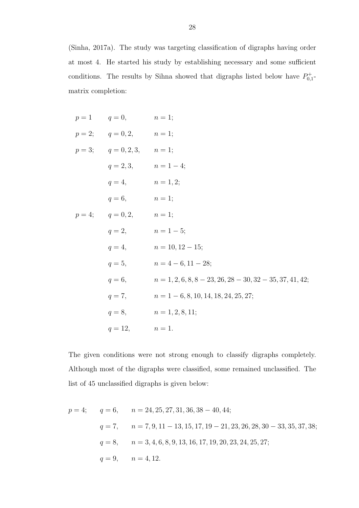(Sinha, 2017a). The study was targeting classification of digraphs having order at most 4. He started his study by establishing necessary and some sufficient conditions. The results by Sihna showed that digraphs listed below have  $P_{0,1}^+$ matrix completion:

| $p = 1$ $q = 0,$ $n = 1;$        |                                                             |
|----------------------------------|-------------------------------------------------------------|
| $p = 2;$ $q = 0, 2,$ $n = 1;$    |                                                             |
| $p = 3;$ $q = 0, 2, 3,$ $n = 1;$ |                                                             |
| $q = 2, 3,$ $n = 1 - 4;$         |                                                             |
| $q = 4,$ $n = 1, 2;$             |                                                             |
| $q = 6,$ $n = 1;$                |                                                             |
| $p = 4;$ $q = 0, 2,$ $n = 1;$    |                                                             |
| $q = 2,$ $n = 1 - 5;$            |                                                             |
|                                  | $q = 4,$ $n = 10, 12 - 15;$                                 |
| $q=5$ ,                          | $n = 4 - 6, 11 - 28;$                                       |
| $q=6,$                           | $n = 1, 2, 6, 8, 8 - 23, 26, 28 - 30, 32 - 35, 37, 41, 42;$ |
| $q=7,$                           | $n = 1 - 6, 8, 10, 14, 18, 24, 25, 27;$                     |
|                                  | $q = 8,$ $n = 1, 2, 8, 11;$                                 |
| $q = 12,$ $n = 1.$               |                                                             |

The given conditions were not strong enough to classify digraphs completely. Although most of the digraphs were classified, some remained unclassified. The list of 45 unclassified digraphs is given below:

$$
p = 4; \t q = 6, \t n = 24, 25, 27, 31, 36, 38 - 40, 44;
$$
  

$$
q = 7, \t n = 7, 9, 11 - 13, 15, 17, 19 - 21, 23, 26, 28, 30 - 33, 35, 37, 38;
$$
  

$$
q = 8, \t n = 3, 4, 6, 8, 9, 13, 16, 17, 19, 20, 23, 24, 25, 27;
$$
  

$$
q = 9, \t n = 4, 12.
$$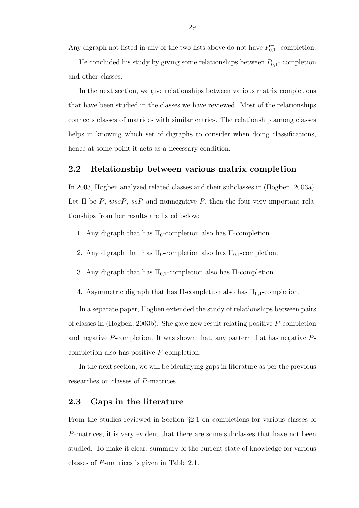Any digraph not listed in any of the two lists above do not have  $P_{0,1}^+$ - completion.

He concluded his study by giving some relationships between  $P_{0,1}^+$ -completion and other classes.

In the next section, we give relationships between various matrix completions that have been studied in the classes we have reviewed. Most of the relationships connects classes of matrices with similar entries. The relationship among classes helps in knowing which set of digraphs to consider when doing classifications, hence at some point it acts as a necessary condition.

## 2.2 Relationship between various matrix completion

In 2003, Hogben analyzed related classes and their subclasses in (Hogben, 2003a). Let  $\Pi$  be P,  $wssP$ ,  $ssP$  and nonnegative P, then the four very important relationships from her results are listed below:

- 1. Any digraph that has  $\Pi_0$ -completion also has  $\Pi$ -completion.
- 2. Any digraph that has  $\Pi_0$ -completion also has  $\Pi_{0,1}$ -completion.
- 3. Any digraph that has  $\Pi_{0,1}$ -completion also has  $\Pi$ -completion.
- 4. Asymmetric digraph that has  $\Pi$ -completion also has  $\Pi_{0,1}$ -completion.

In a separate paper, Hogben extended the study of relationships between pairs of classes in (Hogben, 2003b). She gave new result relating positive P-completion and negative  $P$ -completion. It was shown that, any pattern that has negative  $P$ completion also has positive P-completion.

In the next section, we will be identifying gaps in literature as per the previous researches on classes of P-matrices.

### 2.3 Gaps in the literature

From the studies reviewed in Section §2.1 on completions for various classes of P-matrices, it is very evident that there are some subclasses that have not been studied. To make it clear, summary of the current state of knowledge for various classes of P-matrices is given in Table 2.1.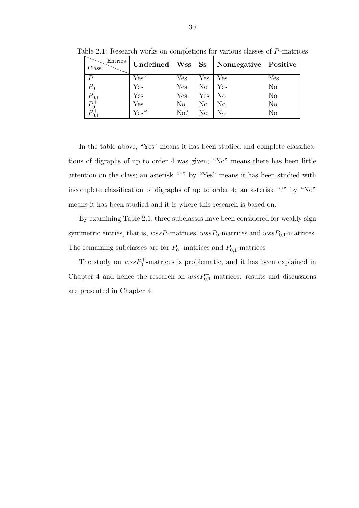|                      |           |                |                  | Table 2.1: Research works on completions for various classes of P-matrices |                |
|----------------------|-----------|----------------|------------------|----------------------------------------------------------------------------|----------------|
| Entries<br>Class     | Undefined | $W{\rm ss}$    | $S_{\mathbf{S}}$ | Nonnegative   Positive                                                     |                |
| P                    | $Yes*$    | Yes            | Yes              | Yes                                                                        | Yes            |
| $P_0$                | Yes       | Yes            | No               | Yes                                                                        | N <sub>o</sub> |
|                      | Yes       | Yes            | Yes              | N <sub>o</sub>                                                             | N <sub>o</sub> |
| $P_{0,1}$<br>$P_0^+$ | Yes       | N <sub>o</sub> | $\rm No$         | N <sub>o</sub>                                                             | N <sub>o</sub> |
| D-                   | $Yes*$    | No?            | No               | No                                                                         | No             |

In the table above, "Yes" means it has been studied and complete classifications of digraphs of up to order 4 was given; "No" means there has been little attention on the class; an asterisk "\*" by "Yes" means it has been studied with incomplete classification of digraphs of up to order 4; an asterisk "?" by "No" means it has been studied and it is where this research is based on.

By examining Table 2.1, three subclasses have been considered for weakly sign symmetric entries, that is,  $wssP$ -matrices,  $wssP_0$ -matrices and  $wssP_{0,1}$ -matrices. The remaining subclasses are for  $P_0^+$ -matrices and  $P_{0,1}^+$ -matrices

The study on  $wssP_0^+$ -matrices is problematic, and it has been explained in Chapter 4 and hence the research on  $wssP_{0,1}^+$ -matrices: results and discussions are presented in Chapter 4.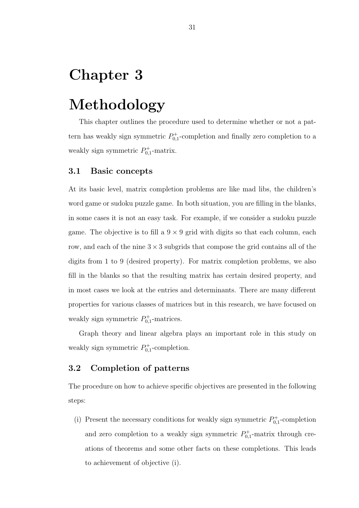# Chapter 3

# Methodology

This chapter outlines the procedure used to determine whether or not a pattern has weakly sign symmetric  $P_{0,1}^+$ -completion and finally zero completion to a weakly sign symmetric  $P_{0,1}^+$ -matrix.

### 3.1 Basic concepts

At its basic level, matrix completion problems are like mad libs, the children's word game or sudoku puzzle game. In both situation, you are filling in the blanks, in some cases it is not an easy task. For example, if we consider a sudoku puzzle game. The objective is to fill a  $9 \times 9$  grid with digits so that each column, each row, and each of the nine  $3 \times 3$  subgrids that compose the grid contains all of the digits from 1 to 9 (desired property). For matrix completion problems, we also fill in the blanks so that the resulting matrix has certain desired property, and in most cases we look at the entries and determinants. There are many different properties for various classes of matrices but in this research, we have focused on weakly sign symmetric  $P_{0,1}^+$ -matrices.

Graph theory and linear algebra plays an important role in this study on weakly sign symmetric  $P_{0,1}^+$ -completion.

## 3.2 Completion of patterns

The procedure on how to achieve specific objectives are presented in the following steps:

(i) Present the necessary conditions for weakly sign symmetric  $P_{0,1}^+$ -completion and zero completion to a weakly sign symmetric  $P_{0,1}^+$ -matrix through creations of theorems and some other facts on these completions. This leads to achievement of objective (i).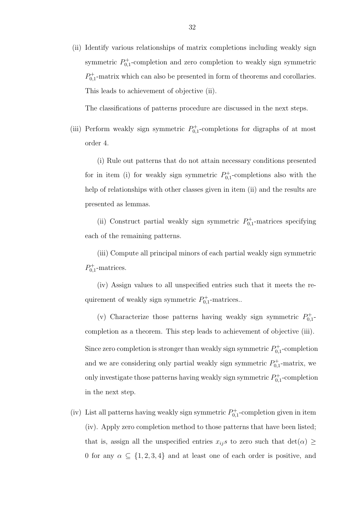(ii) Identify various relationships of matrix completions including weakly sign symmetric  $P_{0,1}^+$ -completion and zero completion to weakly sign symmetric  $P_{0,1}^+$ -matrix which can also be presented in form of theorems and corollaries. This leads to achievement of objective (ii).

The classifications of patterns procedure are discussed in the next steps.

(iii) Perform weakly sign symmetric  $P_{0,1}^+$ -completions for digraphs of at most order 4.

(i) Rule out patterns that do not attain necessary conditions presented for in item (i) for weakly sign symmetric  $P_{0,1}^+$ -completions also with the help of relationships with other classes given in item (ii) and the results are presented as lemmas.

(ii) Construct partial weakly sign symmetric  $P_{0,1}^+$ -matrices specifying each of the remaining patterns.

(iii) Compute all principal minors of each partial weakly sign symmetric  $P_{0,1}^+$ -matrices.

(iv) Assign values to all unspecified entries such that it meets the requirement of weakly sign symmetric  $P_{0,1}^+$ -matrices..

(v) Characterize those patterns having weakly sign symmetric  $P_{0,1}^+$ completion as a theorem. This step leads to achievement of objective (iii). Since zero completion is stronger than weakly sign symmetric  $P_{0,1}^+$ -completion and we are considering only partial weakly sign symmetric  $P_{0,1}^+$ -matrix, we only investigate those patterns having weakly sign symmetric  $P_{0,1}^+$ -completion in the next step.

(iv) List all patterns having weakly sign symmetric  $P_{0,1}^+$ -completion given in item (iv). Apply zero completion method to those patterns that have been listed; that is, assign all the unspecified entries  $x_{ij}s$  to zero such that  $\det(\alpha) \geq$ 0 for any  $\alpha \subseteq \{1, 2, 3, 4\}$  and at least one of each order is positive, and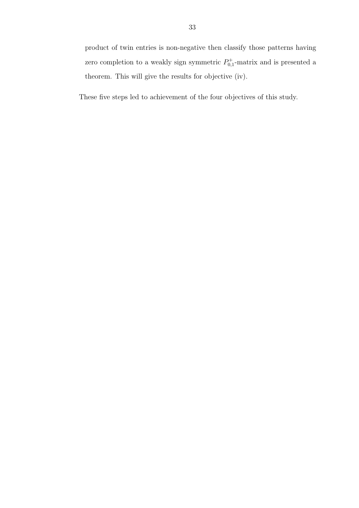product of twin entries is non-negative then classify those patterns having zero completion to a weakly sign symmetric  $P_{0,1}^+$ -matrix and is presented a theorem. This will give the results for objective (iv).

These five steps led to achievement of the four objectives of this study.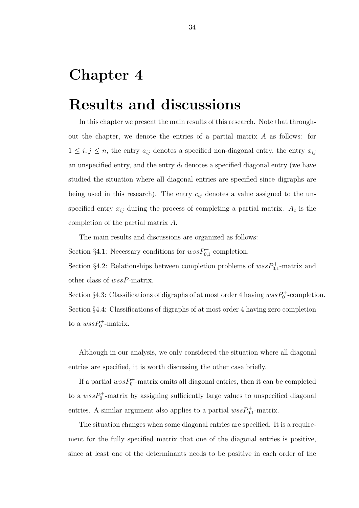# Chapter 4

# Results and discussions

In this chapter we present the main results of this research. Note that throughout the chapter, we denote the entries of a partial matrix  $A$  as follows: for  $1 \leq i, j \leq n$ , the entry  $a_{ij}$  denotes a specified non-diagonal entry, the entry  $x_{ij}$ an unspecified entry, and the entry  $d_i$  denotes a specified diagonal entry (we have studied the situation where all diagonal entries are specified since digraphs are being used in this research). The entry  $c_{ij}$  denotes a value assigned to the unspecified entry  $x_{ij}$  during the process of completing a partial matrix.  $A_c$  is the completion of the partial matrix A.

The main results and discussions are organized as follows:

Section §4.1: Necessary conditions for  $wssP_{0,1}^+$ -completion.

Section §4.2: Relationships between completion problems of  $wssP_{0,1}^+$ -matrix and other class of wssP-matrix.

Section §4.3: Classifications of digraphs of at most order 4 having  $wssP_0^+$ -completion. Section §4.4: Classifications of digraphs of at most order 4 having zero completion to a  $wssP_0^+$ -matrix.

Although in our analysis, we only considered the situation where all diagonal entries are specified, it is worth discussing the other case briefly.

If a partial  $wssP_0^+$ -matrix omits all diagonal entries, then it can be completed to a  $wssP_0^+$ -matrix by assigning sufficiently large values to unspecified diagonal entries. A similar argument also applies to a partial  $wssP_{0,1}^+$ -matrix.

The situation changes when some diagonal entries are specified. It is a requirement for the fully specified matrix that one of the diagonal entries is positive, since at least one of the determinants needs to be positive in each order of the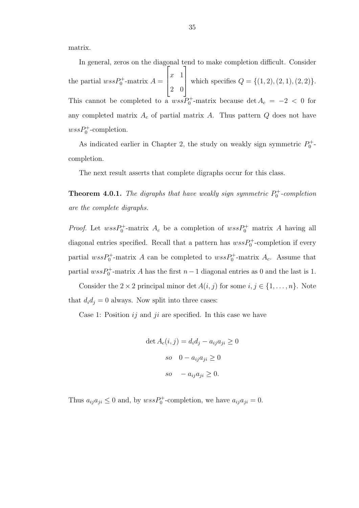matrix.

In general, zeros on the diagonal tend to make completion difficult. Consider the partial  $wssP_0^+$ -matrix  $A=$  $\sqrt{ }$  $\overline{\phantom{a}}$  $x<sub>1</sub>$ 2 0 1 which specifies  $Q = \{(1, 2), (2, 1), (2, 2)\}.$ This cannot be completed to a  $wssP_0^+$ -matrix because det  $A_c = -2 < 0$  for any completed matrix  $A_c$  of partial matrix  $A$ . Thus pattern  $Q$  does not have  $wssP_0^+$ -completion.

As indicated earlier in Chapter 2, the study on weakly sign symmetric  $P_0^+$ completion.

The next result asserts that complete digraphs occur for this class.

**Theorem 4.0.1.** The digraphs that have weakly sign symmetric  $P_0^+$ -completion are the complete digraphs.

*Proof.* Let  $wssP_0^+$ -matrix  $A_c$  be a completion of  $wssP_0^+$  matrix A having all diagonal entries specified. Recall that a pattern has  $wssP_0^+$ -completion if every partial  $wssP_0^+$ -matrix A can be completed to  $wssP_0^+$ -matrix  $A_c$ . Assume that partial  $wssP_0^+$ -matrix A has the first  $n-1$  diagonal entries as 0 and the last is 1.

Consider the  $2 \times 2$  principal minor det  $A(i, j)$  for some  $i, j \in \{1, ..., n\}$ . Note that  $d_i d_j = 0$  always. Now split into three cases:

Case 1: Position  $ij$  and  $ji$  are specified. In this case we have

$$
\det A_c(i,j) = d_i d_j - a_{ij} a_{ji} \ge 0
$$
  
so 
$$
0 - a_{ij} a_{ji} \ge 0
$$
  
so 
$$
- a_{ij} a_{ji} \ge 0.
$$

Thus  $a_{ij}a_{ji} \leq 0$  and, by  $wssP_0^+$ -completion, we have  $a_{ij}a_{ji} = 0$ .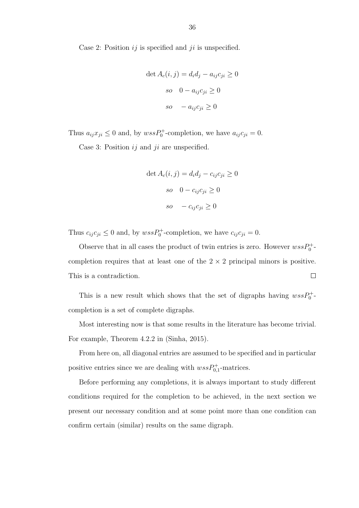Case 2: Position  $ij$  is specified and  $ji$  is unspecified.

$$
\det A_c(i, j) = d_i d_j - a_{ij} c_{ji} \ge 0
$$
  
so 
$$
0 - a_{ij} c_{ji} \ge 0
$$
  
so 
$$
- a_{ij} c_{ji} \ge 0
$$

Thus  $a_{ij}x_{ji} \leq 0$  and, by  $wssP_0^+$ -completion, we have  $a_{ij}c_{ji} = 0$ .

Case 3: Position  $ij$  and  $ji$  are unspecified.

$$
\det A_c(i, j) = d_i d_j - c_{ij} c_{ji} \ge 0
$$
  
so 
$$
0 - c_{ij} c_{ji} \ge 0
$$
  
so 
$$
- c_{ij} c_{ji} \ge 0
$$

Thus  $c_{ij}c_{ji} \leq 0$  and, by  $wssP_0^+$ -completion, we have  $c_{ij}c_{ji} = 0$ .

Observe that in all cases the product of twin entries is zero. However  $wssP_0^+$ completion requires that at least one of the  $2 \times 2$  principal minors is positive. This is a contradiction.  $\Box$ 

This is a new result which shows that the set of digraphs having  $wssP_0^+$ . completion is a set of complete digraphs.

Most interesting now is that some results in the literature has become trivial. For example, Theorem 4.2.2 in (Sinha, 2015).

From here on, all diagonal entries are assumed to be specified and in particular positive entries since we are dealing with  $wssP_{0,1}^+$ -matrices.

Before performing any completions, it is always important to study different conditions required for the completion to be achieved, in the next section we present our necessary condition and at some point more than one condition can confirm certain (similar) results on the same digraph.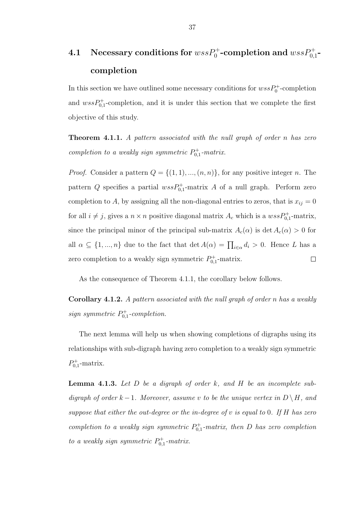## $\textbf{4.1} \quad \textbf{Necessary conditions for } wssP_0^+\textbf{-completion and } wssP_{0,1}^+\textbf{-}$ completion

In this section we have outlined some necessary conditions for  $wssP_0^+$ -completion and  $wssP_{0,1}^+$ -completion, and it is under this section that we complete the first objective of this study.

Theorem 4.1.1. A pattern associated with the null graph of order n has zero completion to a weakly sign symmetric  $P_{0,1}^+$ -matrix.

*Proof.* Consider a pattern  $Q = \{(1, 1), ..., (n, n)\}\)$ , for any positive integer n. The pattern Q specifies a partial  $wssP_{0,1}^+$ -matrix A of a null graph. Perform zero completion to A, by assigning all the non-diagonal entries to zeros, that is  $x_{ij} = 0$ for all  $i \neq j$ , gives a  $n \times n$  positive diagonal matrix  $A_c$  which is a  $wssP_{0,1}^+$ -matrix, since the principal minor of the principal sub-matrix  $A_c(\alpha)$  is det  $A_c(\alpha) > 0$  for all  $\alpha \subseteq \{1, ..., n\}$  due to the fact that  $\det A(\alpha) = \prod_{i \in \alpha} d_i > 0$ . Hence L has a zero completion to a weakly sign symmetric  $P_{0,1}^+$ -matrix.  $\Box$ 

As the consequence of Theorem 4.1.1, the corollary below follows.

Corollary 4.1.2. A pattern associated with the null graph of order n has a weakly sign symmetric  $P_{0,1}^+$ -completion.

The next lemma will help us when showing completions of digraphs using its relationships with sub-digraph having zero completion to a weakly sign symmetric  $P_{0,1}^{\dagger}$ -matrix.

**Lemma 4.1.3.** Let  $D$  be a digraph of order  $k$ , and  $H$  be an incomplete subdigraph of order  $k-1$ . Moreover, assume v to be the unique vertex in  $D \setminus H$ , and suppose that either the out-degree or the in-degree of  $v$  is equal to 0. If  $H$  has zero completion to a weakly sign symmetric  $P_{0,1}^+$ -matrix, then D has zero completion to a weakly sign symmetric  $P_{0,1}^+$ -matrix.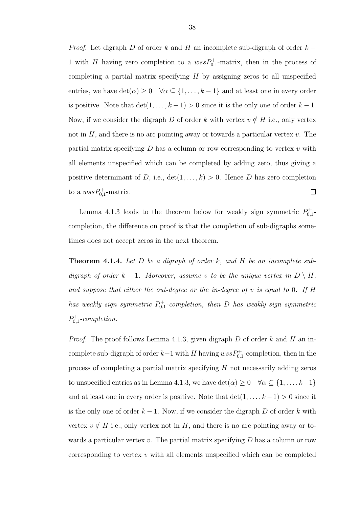*Proof.* Let digraph D of order k and H an incomplete sub-digraph of order  $k -$ 1 with H having zero completion to a  $wssP_{0,1}^+$ -matrix, then in the process of completing a partial matrix specifying  $H$  by assigning zeros to all unspecified entries, we have  $\det(\alpha) \geq 0 \quad \forall \alpha \subseteq \{1, \ldots, k-1\}$  and at least one in every order is positive. Note that  $\det(1, \ldots, k-1) > 0$  since it is the only one of order  $k-1$ . Now, if we consider the digraph D of order k with vertex  $v \notin H$  i.e., only vertex not in  $H$ , and there is no arc pointing away or towards a particular vertex  $v$ . The partial matrix specifying  $D$  has a column or row corresponding to vertex  $v$  with all elements unspecified which can be completed by adding zero, thus giving a positive determinant of D, i.e.,  $det(1, \ldots, k) > 0$ . Hence D has zero completion to a  $wssP_{0,1}^+$ -matrix.  $\Box$ 

Lemma 4.1.3 leads to the theorem below for weakly sign symmetric  $P_{0,1}^+$ completion, the difference on proof is that the completion of sub-digraphs sometimes does not accept zeros in the next theorem.

**Theorem 4.1.4.** Let  $D$  be a digraph of order  $k$ , and  $H$  be an incomplete subdigraph of order  $k - 1$ . Moreover, assume v to be the unique vertex in  $D \setminus H$ , and suppose that either the out-degree or the in-degree of v is equal to 0. If H has weakly sign symmetric  $P_{0,1}^+$ -completion, then D has weakly sign symmetric  $P_{0,1}^+$ -completion.

*Proof.* The proof follows Lemma 4.1.3, given digraph  $D$  of order  $k$  and  $H$  an incomplete sub-digraph of order  $k-1$  with H having  $wssP_{0,1}^+$ -completion, then in the process of completing a partial matrix specifying  $H$  not necessarily adding zeros to unspecified entries as in Lemma 4.1.3, we have  $\det(\alpha) \geq 0 \quad \forall \alpha \subseteq \{1, \ldots, k-1\}$ and at least one in every order is positive. Note that  $\det(1,\ldots,k-1) > 0$  since it is the only one of order  $k - 1$ . Now, if we consider the digraph D of order k with vertex  $v \notin H$  i.e., only vertex not in H, and there is no arc pointing away or towards a particular vertex v. The partial matrix specifying  $D$  has a column or row corresponding to vertex  $v$  with all elements unspecified which can be completed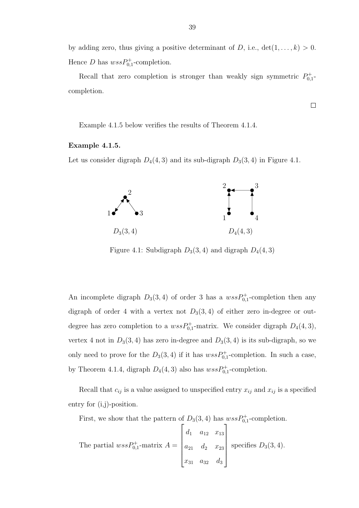by adding zero, thus giving a positive determinant of D, i.e.,  $\det(1,\ldots,k) > 0$ . Hence D has  $wssP_{0,1}^+$ -completion.

Recall that zero completion is stronger than weakly sign symmetric  $P_{0,1}^+$ completion.

 $\Box$ 

Example 4.1.5 below verifies the results of Theorem 4.1.4.

### Example 4.1.5.

Let us consider digraph  $D_4(4,3)$  and its sub-digraph  $D_3(3,4)$  in Figure 4.1.



Figure 4.1: Subdigraph  $D_3(3, 4)$  and digraph  $D_4(4, 3)$ 

An incomplete digraph  $D_3(3, 4)$  of order 3 has a  $wssP_{0,1}^+$ -completion then any digraph of order 4 with a vertex not  $D_3(3, 4)$  of either zero in-degree or outdegree has zero completion to a  $wssP_{0,1}^+$ -matrix. We consider digraph  $D_4(4,3)$ , vertex 4 not in  $D_3(3,4)$  has zero in-degree and  $D_3(3,4)$  is its sub-digraph, so we only need to prove for the  $D_3(3,4)$  if it has  $wssP_{0,1}^+$ -completion. In such a case, by Theorem 4.1.4, digraph  $D_4(4,3)$  also has  $wssP_{0,1}^+$ -completion.

Recall that  $c_{ij}$  is a value assigned to unspecified entry  $x_{ij}$  and  $x_{ij}$  is a specified entry for (i,j)-position.

First, we show that the pattern of  $D_3(3,4)$  has  $wssP_{0,1}^+$ -completion.

The partial 
$$
wssP_{0,1}^+
$$
-matrix  $A = \begin{bmatrix} d_1 & a_{12} & x_{13} \\ a_{21} & d_2 & x_{23} \\ x_{31} & a_{32} & d_3 \end{bmatrix}$  specifies  $D_3(3, 4)$ .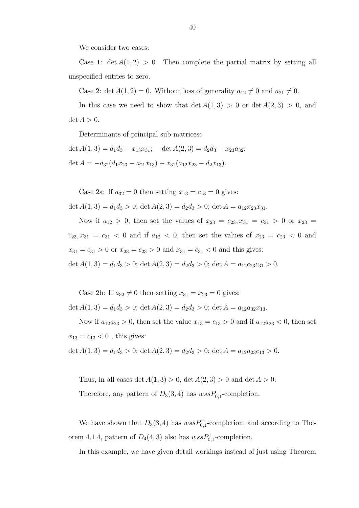We consider two cases:

Case 1:  $\det A(1,2) > 0$ . Then complete the partial matrix by setting all unspecified entries to zero.

Case 2: det  $A(1, 2) = 0$ . Without loss of generality  $a_{12} \neq 0$  and  $a_{21} \neq 0$ .

In this case we need to show that  $\det A(1,3) > 0$  or  $\det A(2,3) > 0$ , and  $\det A > 0.$ 

Determinants of principal sub-matrices:

det  $A(1,3) = d_1d_3 - x_{13}x_{31}$ ; det  $A(2,3) = d_2d_3 - x_{23}a_{32}$ ; det  $A = -a_{32}(d_1x_{23} - a_{21}x_{13}) + x_{31}(a_{12}x_{23} - d_2x_{13}).$ 

Case 2a: If  $a_{32} = 0$  then setting  $x_{13} = c_{13} = 0$  gives:

det  $A(1,3) = d_1d_3 > 0$ ; det  $A(2,3) = d_2d_3 > 0$ ; det  $A = a_{12}x_{23}x_{31}$ .

Now if  $a_{12} > 0$ , then set the values of  $x_{23} = c_{23}, x_{31} = c_{31} > 0$  or  $x_{23} =$  $c_{23}, x_{31} = c_{31} < 0$  and if  $a_{12} < 0$ , then set the values of  $x_{23} = c_{23} < 0$  and  $x_{31} = c_{31} > 0$  or  $x_{23} = c_{23} > 0$  and  $x_{31} = c_{31} < 0$  and this gives: det  $A(1,3) = d_1d_3 > 0$ ; det  $A(2,3) = d_2d_3 > 0$ ; det  $A = a_{12}c_{23}c_{31} > 0$ .

Case 2b: If  $a_{32} \neq 0$  then setting  $x_{31} = x_{23} = 0$  gives: det  $A(1,3) = d_1d_3 > 0$ ; det  $A(2,3) = d_2d_3 > 0$ ; det  $A = a_{12}a_{32}x_{13}$ .

Now if  $a_{12}a_{23} > 0$ , then set the value  $x_{13} = c_{13} > 0$  and if  $a_{12}a_{23} < 0$ , then set  $x_{13} = c_{13} < 0$ , this gives:

det  $A(1,3) = d_1d_3 > 0$ ; det  $A(2,3) = d_2d_3 > 0$ ; det  $A = a_{12}a_{23}c_{13} > 0$ .

Thus, in all cases det  $A(1,3) > 0$ , det  $A(2,3) > 0$  and det  $A > 0$ . Therefore, any pattern of  $D_3(3,4)$  has  $wssP_{0,1}^+$ -completion.

We have shown that  $D_3(3,4)$  has  $wssP_{0,1}^+$ -completion, and according to Theorem 4.1.4, pattern of  $D_4(4,3)$  also has  $wssP_{0,1}^+$ -completion.

In this example, we have given detail workings instead of just using Theorem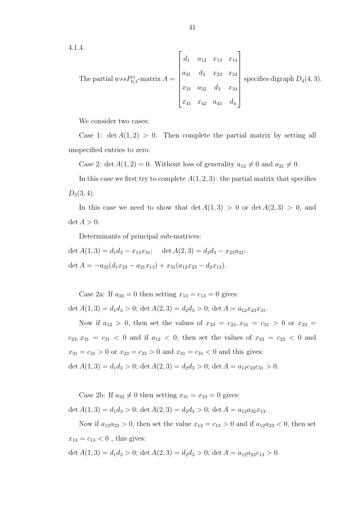4.1.4.

The partial 
$$
wssP_{0,1}^+
$$
-matrix  $A = \begin{bmatrix} d_1 & a_{12} & x_{13} & x_{14} \\ a_{21} & d_2 & x_{23} & x_{24} \\ x_{31} & a_{32} & d_3 & x_{34} \\ x_{41} & x_{42} & a_{43} & d_4 \end{bmatrix}$  specifies digraph  $D_4(4,3)$ .

We consider two cases:

Case 1:  $\det A(1, 2) > 0$ . Then complete the partial matrix by setting all unspecified entries to zero.

Case 2: det  $A(1, 2) = 0$ . Without loss of generality  $a_{12} \neq 0$  and  $a_{21} \neq 0$ .

In this case we first try to complete  $A(1, 2, 3)$ : the partial matrix that specifies  $D_3(3,4)$ .

In this case we need to show that  $\det A(1,3) > 0$  or  $\det A(2,3) > 0$ , and  $\det A > 0.$ 

Determinants of principal sub-matrices:

det  $A(1,3) = d_1d_3 - x_{13}x_{31}$ ; det  $A(2,3) = d_2d_3 - x_{23}a_{32}$ ; det  $A = -a_{32}(d_1x_{23} - a_{21}x_{13}) + x_{31}(a_{12}x_{23} - d_2x_{13}).$ 

Case 2a: If  $a_{32} = 0$  then setting  $x_{13} = c_{13} = 0$  gives: det  $A(1,3) = d_1d_3 > 0$ ; det  $A(2,3) = d_2d_3 > 0$ ; det  $A = a_{12}x_{23}x_{31}$ .

Now if  $a_{12} > 0$ , then set the values of  $x_{23} = c_{23}, x_{31} = c_{31} > 0$  or  $x_{23} =$  $c_{23}, x_{31} = c_{31} < 0$  and if  $a_{12} < 0$ , then set the values of  $x_{23} = c_{23} < 0$  and  $x_{31} = c_{31} > 0$  or  $x_{23} = c_{23} > 0$  and  $x_{31} = c_{31} < 0$  and this gives: det  $A(1,3) = d_1d_3 > 0$ ; det  $A(2,3) = d_2d_3 > 0$ ; det  $A = a_{12}c_{23}c_{31} > 0$ .

Case 2b: If  $a_{32} \neq 0$  then setting  $x_{31} = x_{23} = 0$  gives:

det  $A(1,3) = d_1d_3 > 0$ ; det  $A(2,3) = d_2d_3 > 0$ ; det  $A = a_{12}a_{32}x_{13}$ .

Now if  $a_{12}a_{23} > 0$ , then set the value  $x_{13} = c_{13} > 0$  and if  $a_{12}a_{23} < 0$ , then set  $x_{13} = c_{13} < 0$ , this gives:

$$
\det A(1,3) = d_1 d_3 > 0; \, \det A(2,3) = d_2 d_3 > 0; \, \det A = a_{12} a_{23} c_{13} > 0.
$$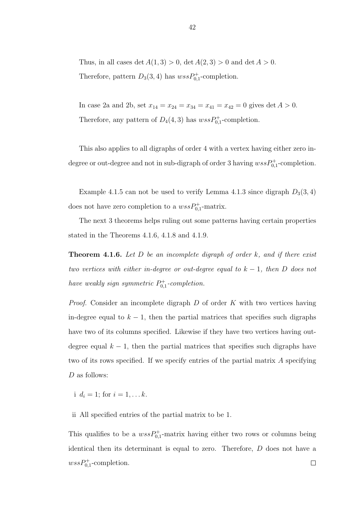Thus, in all cases det  $A(1,3) > 0$ , det  $A(2,3) > 0$  and det  $A > 0$ . Therefore, pattern  $D_3(3, 4)$  has  $wssP_{0,1}^+$ -completion.

In case 2a and 2b, set  $x_{14} = x_{24} = x_{34} = x_{41} = x_{42} = 0$  gives det  $A > 0$ . Therefore, any pattern of  $D_4(4,3)$  has  $wssP_{0,1}^+$ -completion.

This also applies to all digraphs of order 4 with a vertex having either zero indegree or out-degree and not in sub-digraph of order 3 having  $wssP_{0,1}^+$ -completion.

Example 4.1.5 can not be used to verify Lemma 4.1.3 since digraph  $D_3(3,4)$ does not have zero completion to a  $wssP_{0,1}^+$ -matrix.

The next 3 theorems helps ruling out some patterns having certain properties stated in the Theorems 4.1.6, 4.1.8 and 4.1.9.

**Theorem 4.1.6.** Let  $D$  be an incomplete digraph of order  $k$ , and if there exist two vertices with either in-degree or out-degree equal to  $k - 1$ , then D does not have weakly sign symmetric  $P_{0,1}^+$ -completion.

*Proof.* Consider an incomplete digraph  $D$  of order  $K$  with two vertices having in-degree equal to  $k - 1$ , then the partial matrices that specifies such digraphs have two of its columns specified. Likewise if they have two vertices having outdegree equal  $k - 1$ , then the partial matrices that specifies such digraphs have two of its rows specified. If we specify entries of the partial matrix A specifying D as follows:

i  $d_i = 1$ ; for  $i = 1, ..., k$ .

ii All specified entries of the partial matrix to be 1.

This qualifies to be a  $wssP_{0,1}^+$ -matrix having either two rows or columns being identical then its determinant is equal to zero. Therefore, D does not have a  $wssP_{0,1}^+$ -completion.  $\Box$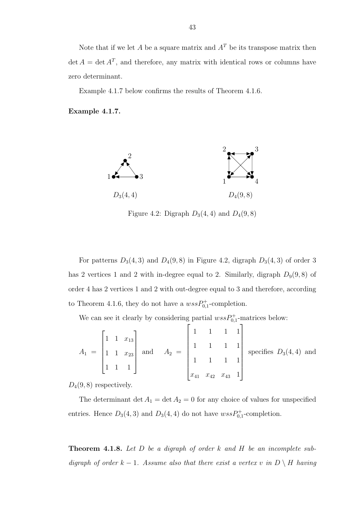Note that if we let A be a square matrix and  $A<sup>T</sup>$  be its transpose matrix then  $\det A = \det A^T$ , and therefore, any matrix with identical rows or columns have zero determinant.

Example 4.1.7 below confirms the results of Theorem 4.1.6.

Example 4.1.7.



Figure 4.2: Digraph  $D_3(4,4)$  and  $D_4(9,8)$ 

For patterns  $D_3(4,3)$  and  $D_4(9,8)$  in Figure 4.2, digraph  $D_3(4,3)$  of order 3 has 2 vertices 1 and 2 with in-degree equal to 2. Similarly, digraph  $D_9(9,8)$  of order 4 has 2 vertices 1 and 2 with out-degree equal to 3 and therefore, according to Theorem 4.1.6, they do not have a  $wssP_{0,1}^+$ -completion.

We can see it clearly by considering partial  $wssP_{0,1}^+$ -matrices below:

 $A_1 =$  $\sqrt{ }$  1 1  $x_{13}$ 1 1  $x_{23}$ 1 1 1 1  $\begin{array}{c} \begin{array}{c} \begin{array}{c} \end{array} \\ \begin{array}{c} \end{array} \end{array} \end{array}$ and  $A_2 =$  $\sqrt{ }$  $\begin{array}{c} \begin{array}{c} \begin{array}{c} \end{array} \\ \begin{array}{c} \end{array} \end{array} \end{array}$ 1 1 1 1 1 1 1 1 1 1 1 1  $x_{41}$   $x_{42}$   $x_{43}$  1 1  $\begin{array}{c} \begin{array}{c} \begin{array}{c} \end{array} \\ \begin{array}{c} \end{array} \end{array} \end{array}$ specifies  $D_3(4,4)$  and

 $D_4(9,8)$  respectively.

The determinant det  $A_1 = \det A_2 = 0$  for any choice of values for unspecified entries. Hence  $D_3(4,3)$  and  $D_3(4,4)$  do not have  $wssP_{0,1}^+$ -completion.

**Theorem 4.1.8.** Let  $D$  be a digraph of order  $k$  and  $H$  be an incomplete subdigraph of order k – 1. Assume also that there exist a vertex v in  $D \setminus H$  having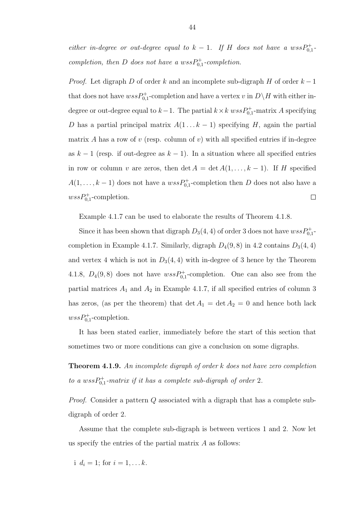either in-degree or out-degree equal to  $k-1$ . If H does not have a  $wssP_{0,1}^+$ completion, then D does not have a  $wssP_{0,1}^+$ -completion.

*Proof.* Let digraph D of order k and an incomplete sub-digraph H of order  $k-1$ that does not have  $wssP_{0,1}^+$ -completion and have a vertex  $v$  in  $D\setminus H$  with either indegree or out-degree equal to  $k-1$ . The partial  $k \times k$  wss $P_{0,1}^+$ -matrix A specifying D has a partial principal matrix  $A(1 \ldots k-1)$  specifying H, again the partial matrix A has a row of v (resp. column of v) with all specified entries if in-degree as  $k-1$  (resp. if out-degree as  $k-1$ ). In a situation where all specified entries in row or column v are zeros, then  $\det A = \det A(1, \ldots, k-1)$ . If H specified  $A(1,\ldots,k-1)$  does not have a  $wssP_{0,1}^+$ -completion then D does not also have a  $wssP_{0,1}^+$ -completion.  $\Box$ 

Example 4.1.7 can be used to elaborate the results of Theorem 4.1.8.

Since it has been shown that digraph  $D_3(4, 4)$  of order 3 does not have  $wssP_{0,1}^+$ completion in Example 4.1.7. Similarly, digraph  $D_4(9,8)$  in 4.2 contains  $D_3(4,4)$ and vertex 4 which is not in  $D_3(4, 4)$  with in-degree of 3 hence by the Theorem 4.1.8,  $D_4(9,8)$  does not have  $wssP_{0,1}^+$ -completion. One can also see from the partial matrices  $A_1$  and  $A_2$  in Example 4.1.7, if all specified entries of column 3 has zeros, (as per the theorem) that  $\det A_1 = \det A_2 = 0$  and hence both lack  $wssP_{0,1}^+$ -completion.

It has been stated earlier, immediately before the start of this section that sometimes two or more conditions can give a conclusion on some digraphs.

Theorem 4.1.9. An incomplete digraph of order k does not have zero completion to a  $wssP_{0,1}^+$ -matrix if it has a complete sub-digraph of order 2.

Proof. Consider a pattern Q associated with a digraph that has a complete subdigraph of order 2.

Assume that the complete sub-digraph is between vertices 1 and 2. Now let us specify the entries of the partial matrix  $A$  as follows:

i  $d_i = 1$ ; for  $i = 1, \ldots k$ .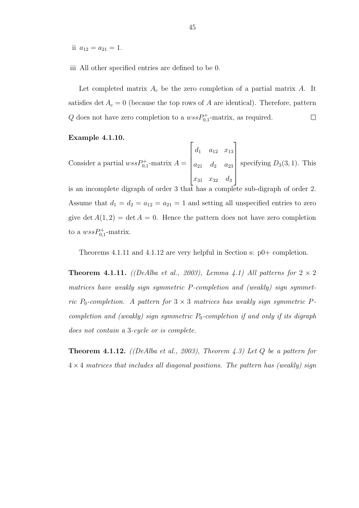ii  $a_{12} = a_{21} = 1$ .

iii All other specified entries are defined to be 0.

Let completed matrix  $A_c$  be the zero completion of a partial matrix A. It satisfies det  $A_c = 0$  (because the top rows of A are identical). Therefore, pattern Q does not have zero completion to a  $wssP_{0,1}^+$ -matrix, as required.  $\Box$ 

#### Example 4.1.10.

Consider a partial  $wssP_{0,1}^+$ -matrix  $A=$  $\sqrt{ }$   $d_1$   $a_{12}$   $x_{13}$  $a_{21}$   $d_2$   $a_{23}$  $x_{31}$   $x_{32}$   $d_3$ 1  $\begin{array}{c} \begin{array}{c} \begin{array}{c} \end{array} \\ \begin{array}{c} \end{array} \end{array} \end{array}$ specifying  $D_3(3,1)$ . This

is an incomplete digraph of order 3 that has a complete sub-digraph of order 2. Assume that  $d_1 = d_2 = a_{12} = a_{21} = 1$  and setting all unspecified entries to zero give det  $A(1,2) = \det A = 0$ . Hence the pattern does not have zero completion to a  $wssP_{0,1}^+$ -matrix.

Theorems 4.1.11 and 4.1.12 are very helpful in Section s: p0+ completion.

**Theorem 4.1.11.** ((DeAlba et al., 2003), Lemma 4.1) All patterns for  $2 \times 2$ matrices have weakly sign symmetric P-completion and (weakly) sign symmetric P<sub>0</sub>-completion. A pattern for  $3 \times 3$  matrices has weakly sign symmetric Pcompletion and (weakly) sign symmetric  $P_0$ -completion if and only if its digraph does not contain a 3-cycle or is complete.

**Theorem 4.1.12.** ((DeAlba et al., 2003), Theorem 4.3) Let Q be a pattern for  $4 \times 4$  matrices that includes all diagonal positions. The pattern has (weakly) sign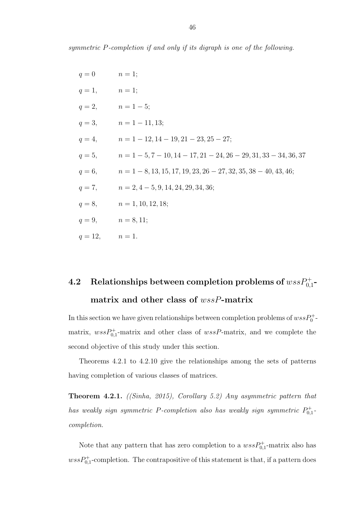symmetric P-completion if and only if its digraph is one of the following.

| $q=0$              | $n=1;$                                                              |
|--------------------|---------------------------------------------------------------------|
| $q=1$ ,            | $n=1;$                                                              |
| $q=2$ ,            | $n = 1 - 5$ ;                                                       |
| $q=3$ ,            | $n = 1 - 11, 13;$                                                   |
| $q=4$ ,            | $n = 1 - 12$ , $14 - 19$ , $21 - 23$ , $25 - 27$ ;                  |
| $q=5$ ,            | $n = 1 - 5, 7 - 10, 14 - 17, 21 - 24, 26 - 29, 31, 33 - 34, 36, 37$ |
| $q=6$ ,            | $n = 1 - 8, 13, 15, 17, 19, 23, 26 - 27, 32, 35, 38 - 40, 43, 46;$  |
| $q=7$ ,            | $n = 2, 4 - 5, 9, 14, 24, 29, 34, 36;$                              |
| $q=8$ ,            | $n = 1, 10, 12, 18;$                                                |
| $q=9$ ,            | $n = 8, 11;$                                                        |
| $q = 12,$ $n = 1.$ |                                                                     |

## $\textbf{4.2} \quad \textbf{Relationships between completion problems of} \textit{wssP}^+_{0,1}\textbf{-}$ matrix and other class of wssP-matrix

In this section we have given relationships between completion problems of  $wssP_0^+$ . matrix,  $wssP_{0,1}^+$ -matrix and other class of  $wssP$ -matrix, and we complete the second objective of this study under this section.

Theorems 4.2.1 to 4.2.10 give the relationships among the sets of patterns having completion of various classes of matrices.

Theorem 4.2.1. ((Sinha, 2015), Corollary 5.2) Any asymmetric pattern that has weakly sign symmetric P-completion also has weakly sign symmetric  $P_{0,1}^+$ completion.

Note that any pattern that has zero completion to a  $wssP_{0,1}^+$ -matrix also has  $wssP_{0,1}^+$ -completion. The contrapositive of this statement is that, if a pattern does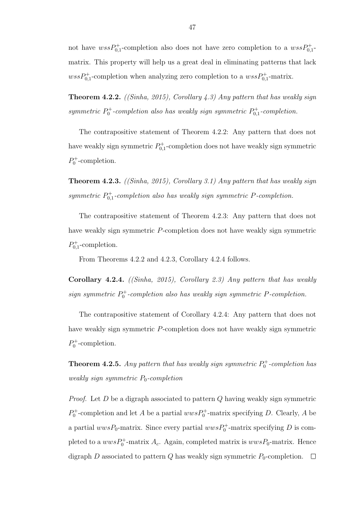not have  $wssP_{0,1}^+$ -completion also does not have zero completion to a  $wssP_{0,1}^+$ matrix. This property will help us a great deal in eliminating patterns that lack  $wssP_{0,1}^+$ -completion when analyzing zero completion to a  $wssP_{0,1}^+$ -matrix.

**Theorem 4.2.2.** *((Sinha, 2015), Corollary 4.3)* Any pattern that has weakly sign symmetric  $P_0^+$ -completion also has weakly sign symmetric  $P_{0,1}^+$ -completion.

The contrapositive statement of Theorem 4.2.2: Any pattern that does not have weakly sign symmetric  $P_{0,1}^+$ -completion does not have weakly sign symmetric  $P_0^+$ -completion.

**Theorem 4.2.3.** ((Sinha, 2015), Corollary 3.1) Any pattern that has weakly sign symmetric  $P_{0,1}^+$ -completion also has weakly sign symmetric P-completion.

The contrapositive statement of Theorem 4.2.3: Any pattern that does not have weakly sign symmetric P-completion does not have weakly sign symmetric  $P_{0,1}^+$ -completion.

From Theorems 4.2.2 and 4.2.3, Corollary 4.2.4 follows.

Corollary 4.2.4. ((Sinha, 2015), Corollary 2.3) Any pattern that has weakly sign symmetric  $P_0^+$ -completion also has weakly sign symmetric P-completion.

The contrapositive statement of Corollary 4.2.4: Any pattern that does not have weakly sign symmetric P-completion does not have weakly sign symmetric  $P_0^+$ -completion.

**Theorem 4.2.5.** Any pattern that has weakly sign symmetric  $P_0^+$ -completion has weakly sign symmetric  $P_0$ -completion

*Proof.* Let  $D$  be a digraph associated to pattern  $Q$  having weakly sign symmetric  $P_0^+$ -completion and let A be a partial  $wwsP_0^+$ -matrix specifying D. Clearly, A be a partial  $wwsP_0$ -matrix. Since every partial  $wwsP_0^+$ -matrix specifying D is completed to a  $wwsp_0^+$ -matrix  $A_c$ . Again, completed matrix is  $wwsp_0$ -matrix. Hence digraph D associated to pattern Q has weakly sign symmetric  $P_0$ -completion.  $\Box$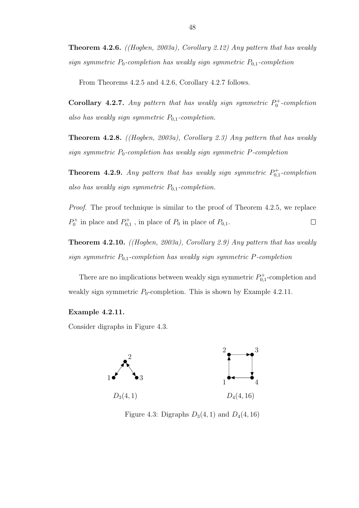Theorem 4.2.6. ((Hogben, 2003a), Corollary 2.12) Any pattern that has weakly sign symmetric  $P_0$ -completion has weakly sign symmetric  $P_{0,1}$ -completion

From Theorems 4.2.5 and 4.2.6, Corollary 4.2.7 follows.

**Corollary 4.2.7.** Any pattern that has weakly sign symmetric  $P_0^+$ -completion also has weakly sign symmetric  $P_{0,1}$ -completion.

**Theorem 4.2.8.** ((Hogben, 2003a), Corollary 2.3) Any pattern that has weakly sign symmetric  $P_0$ -completion has weakly sign symmetric P-completion

**Theorem 4.2.9.** Any pattern that has weakly sign symmetric  $P_{0,1}^+$ -completion also has weakly sign symmetric  $P_{0,1}$ -completion.

Proof. The proof technique is similar to the proof of Theorem 4.2.5, we replace  $P_0^+$  in place and  $P_{0,1}^+$ , in place of  $P_0$  in place of  $P_{0,1}$ .  $\Box$ 

**Theorem 4.2.10.** ((Hogben, 2003a), Corollary 2.9) Any pattern that has weakly sign symmetric  $P_{0,1}$ -completion has weakly sign symmetric P-completion

There are no implications between weakly sign symmetric  $P_{0,1}^+$ -completion and weakly sign symmetric  $P_0$ -completion. This is shown by Example 4.2.11.

### Example 4.2.11.

Consider digraphs in Figure 4.3.



Figure 4.3: Digraphs  $D_3(4, 1)$  and  $D_4(4, 16)$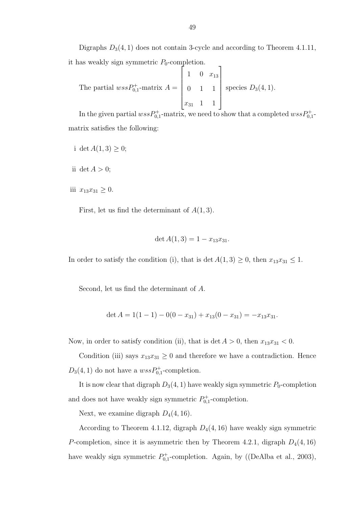Digraphs  $D_3(4, 1)$  does not contain 3-cycle and according to Theorem 4.1.11, it has weakly sign symmetric  $P_0$ -completion.

The partial 
$$
wssP_{0,1}^+
$$
-matrix  $A = \begin{bmatrix} 1 & 0 & x_{13} \\ 0 & 1 & 1 \\ x_{31} & 1 & 1 \end{bmatrix}$  species  $D_3(4, 1)$ .

In the given partial  $wssP_{0,1}^+$ -matrix, we need to show that a completed  $wssP_{0,1}^+$ matrix satisfies the following:

- i det  $A(1, 3) \geq 0$ ;
- ii det  $A > 0$ ;
- iii  $x_{13}x_{31} \geq 0$ .

First, let us find the determinant of  $A(1,3)$ .

$$
\det A(1,3) = 1 - x_{13}x_{31}.
$$

In order to satisfy the condition (i), that is det  $A(1,3) \geq 0$ , then  $x_{13}x_{31} \leq 1$ .

Second, let us find the determinant of A.

$$
\det A = 1(1 - 1) - 0(0 - x_{31}) + x_{13}(0 - x_{31}) = -x_{13}x_{31}.
$$

Now, in order to satisfy condition (ii), that is det  $A > 0$ , then  $x_{13}x_{31} < 0$ .

Condition (iii) says  $x_{13}x_{31} \geq 0$  and therefore we have a contradiction. Hence  $D_3(4, 1)$  do not have a  $wssP_{0,1}^+$ -completion.

It is now clear that digraph  $D_3(4, 1)$  have weakly sign symmetric  $P_0$ -completion and does not have weakly sign symmetric  $P_{0,1}^+$ -completion.

Next, we examine digraph  $D_4(4, 16)$ .

According to Theorem 4.1.12, digraph  $D_4(4, 16)$  have weakly sign symmetric P-completion, since it is asymmetric then by Theorem 4.2.1, digraph  $D_4(4, 16)$ have weakly sign symmetric  $P_{0,1}^+$ -completion. Again, by ((DeAlba et al., 2003),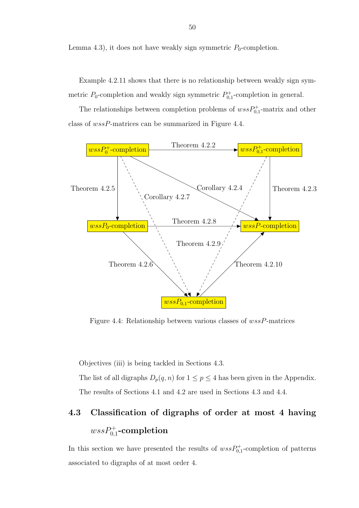Lemma 4.3), it does not have weakly sign symmetric  $P_0$ -completion.

Example 4.2.11 shows that there is no relationship between weakly sign symmetric  $P_0$ -completion and weakly sign symmetric  $P_{0,1}^+$ -completion in general.

The relationships between completion problems of  $wssP_{0,1}^+$ -matrix and other class of wssP-matrices can be summarized in Figure 4.4.



Figure 4.4: Relationship between various classes of wssP-matrices

Objectives (iii) is being tackled in Sections 4.3.

The list of all digraphs  $D_p(q, n)$  for  $1 \le p \le 4$  has been given in the Appendix. The results of Sections 4.1 and 4.2 are used in Sections 4.3 and 4.4.

# 4.3 Classification of digraphs of order at most 4 having  $wssP_{0,1}^+{\rm\bf completion}$

In this section we have presented the results of  $wssP_{0,1}^+$ -completion of patterns associated to digraphs of at most order 4.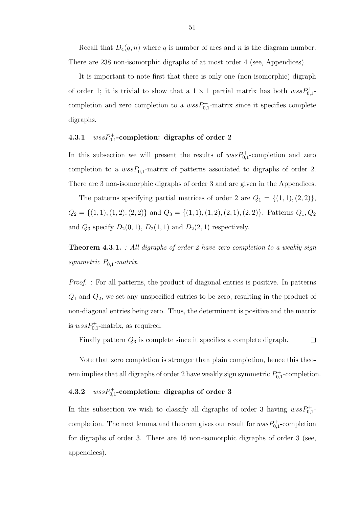Recall that  $D_4(q, n)$  where q is number of arcs and n is the diagram number. There are 238 non-isomorphic digraphs of at most order 4 (see, Appendices).

It is important to note first that there is only one (non-isomorphic) digraph of order 1; it is trivial to show that a  $1 \times 1$  partial matrix has both  $wssP_{0,1}^+$ completion and zero completion to a  $wssP_{0,1}^+$ -matrix since it specifies complete digraphs.

## $4.3.1$   $\;$   $wssP_{0,1}^+{\mbox{-completion}}:\;$  digraphs of order  $2$

In this subsection we will present the results of  $wssP_{0,1}^+$ -completion and zero completion to a  $wssP_{0,1}^+$ -matrix of patterns associated to digraphs of order 2. There are 3 non-isomorphic digraphs of order 3 and are given in the Appendices.

The patterns specifying partial matrices of order 2 are  $Q_1 = \{(1,1), (2,2)\},\$  $Q_2 = \{(1, 1), (1, 2), (2, 2)\}\$ and  $Q_3 = \{(1, 1), (1, 2), (2, 1), (2, 2)\}\$ . Patterns  $Q_1, Q_2$ and  $Q_3$  specify  $D_2(0,1)$ ,  $D_2(1,1)$  and  $D_2(2,1)$  respectively.

**Theorem 4.3.1.** : All digraphs of order 2 have zero completion to a weakly sign symmetric  $P_{0,1}^+$ -matrix.

Proof. : For all patterns, the product of diagonal entries is positive. In patterns  $Q_1$  and  $Q_2$ , we set any unspecified entries to be zero, resulting in the product of non-diagonal entries being zero. Thus, the determinant is positive and the matrix is  $wssP_{0,1}^+$ -matrix, as required.

Finally pattern  $Q_3$  is complete since it specifies a complete digraph.  $\Box$ 

Note that zero completion is stronger than plain completion, hence this theorem implies that all digraphs of order 2 have weakly sign symmetric  $P_{0,1}^+$ -completion.

## $4.3.2$   $\ \, wssP_{0,1}^{+}\text{-completion: digraphs of order 3}$

In this subsection we wish to classify all digraphs of order 3 having  $wssP_{0,1}^+$ completion. The next lemma and theorem gives our result for  $wssP_{0,1}^+$ -completion for digraphs of order 3. There are 16 non-isomorphic digraphs of order 3 (see, appendices).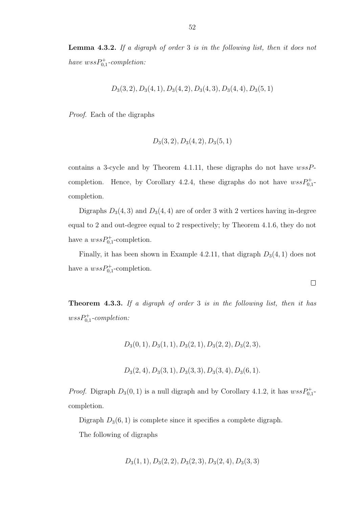Lemma 4.3.2. If a digraph of order 3 is in the following list, then it does not have  $wssP_{0,1}^+$ -completion:

$$
D_3(3,2), D_3(4,1), D_3(4,2), D_3(4,3), D_3(4,4), D_3(5,1)
$$

Proof. Each of the digraphs

$$
D_3(3,2), D_3(4,2), D_3(5,1)
$$

contains a 3-cycle and by Theorem 4.1.11, these digraphs do not have  $wssP$ completion. Hence, by Corollary 4.2.4, these digraphs do not have  $wssP_{0,1}^+$ completion.

Digraphs  $D_3(4,3)$  and  $D_3(4,4)$  are of order 3 with 2 vertices having in-degree equal to 2 and out-degree equal to 2 respectively; by Theorem 4.1.6, they do not have a  $wssP_{0,1}^+$ -completion.

Finally, it has been shown in Example 4.2.11, that digraph  $D_3(4, 1)$  does not have a  $wssP_{0,1}^+$ -completion.

 $\Box$ 

Theorem 4.3.3. If a digraph of order 3 is in the following list, then it has  $wssP_{0,1}^+ \n- completion.$ 

$$
D_3(0,1), D_3(1,1), D_3(2,1), D_3(2,2), D_3(2,3),
$$

 $D_3(2,4), D_3(3,1), D_3(3,3), D_3(3,4), D_3(6,1).$ 

*Proof.* Digraph  $D_3(0,1)$  is a null digraph and by Corollary 4.1.2, it has  $wssP_{0,1}^+$ completion.

Digraph  $D_3(6, 1)$  is complete since it specifies a complete digraph.

The following of digraphs

$$
D_3(1,1), D_3(2,2), D_3(2,3), D_3(2,4), D_3(3,3)
$$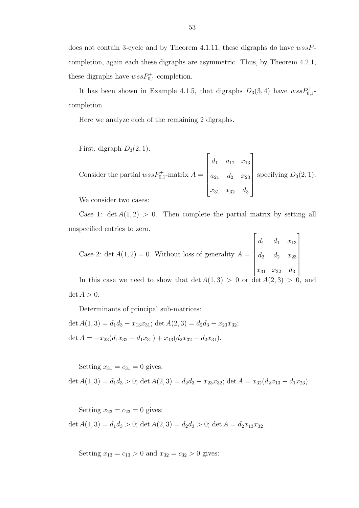does not contain 3-cycle and by Theorem 4.1.11, these digraphs do have wssPcompletion, again each these digraphs are asymmetric. Thus, by Theorem 4.2.1, these digraphs have  $wssP_{0,1}^+$ -completion.

It has been shown in Example 4.1.5, that digraphs  $D_3(3,4)$  have  $wssP_{0,1}^+$ completion.

Here we analyze each of the remaining 2 digraphs.

First, digraph  $D_3(2, 1)$ .

Consider the partial  $wssP_{0,1}^+$ -matrix  $A =$  $\sqrt{ }$  $\begin{array}{c} \begin{array}{c} \begin{array}{c} \begin{array}{c} \end{array} \end{array} \end{array} \end{array}$  $d_1$   $a_{12}$   $x_{13}$  $a_{21}$   $d_2$   $x_{23}$  $x_{31}$   $x_{32}$   $d_3$ 1  $\begin{array}{c} \begin{array}{c} \begin{array}{c} \begin{array}{c} \end{array} \\ \begin{array}{c} \end{array} \end{array} \end{array} \end{array}$ specifying  $D_3(2, 1)$ . We consider two cases:

Case 1:  $\det A(1,2) > 0$ . Then complete the partial matrix by setting all unspecified entries to zero.

Case 2: det  $A(1,2) = 0$ . Without loss of generality  $A =$  $\sqrt{ }$  $\begin{array}{c} \begin{array}{c} \begin{array}{c} \end{array} \\ \begin{array}{c} \end{array} \end{array} \end{array}$  $d_1$   $d_1$   $x_{13}$  $d_2$   $d_2$   $x_{23}$  $x_{31}$   $x_{32}$   $d_3$ 1 In this case we need to show that  $\det A(1,3) > 0$  or  $\det A(2,3)$ 

 $\det A > 0.$ 

Determinants of principal sub-matrices: det  $A(1,3) = d_1d_3 - x_{13}x_{31}$ ; det  $A(2,3) = d_2d_3 - x_{23}x_{32}$ ; det  $A = -x_{23}(d_1x_{32} - d_1x_{31}) + x_{13}(d_2x_{32} - d_2x_{31}).$ 

Setting  $x_{31} = c_{31} = 0$  gives: det  $A(1,3) = d_1d_3 > 0$ ; det  $A(2,3) = d_2d_3 - x_{23}x_{32}$ ; det  $A = x_{32}(d_2x_{13} - d_1x_{23})$ .

Setting  $x_{23} = c_{23} = 0$  gives:

det  $A(1,3) = d_1d_3 > 0$ ; det  $A(2,3) = d_2d_3 > 0$ ; det  $A = d_2x_{13}x_{32}$ .

Setting  $x_{13} = c_{13} > 0$  and  $x_{32} = c_{32} > 0$  gives: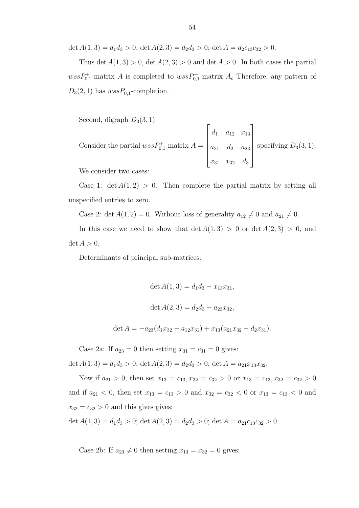det  $A(1,3) = d_1d_3 > 0$ ; det  $A(2,3) = d_2d_3 > 0$ ; det  $A = d_2c_{13}c_{32} > 0$ .

Thus det  $A(1,3) > 0$ , det  $A(2,3) > 0$  and det  $A > 0$ . In both cases the partial  $wssP_{0,1}^+$ -matrix A is completed to  $wssP_{0,1}^+$ -matrix  $A_c$  Therefore, any pattern of  $D_3(2, 1)$  has  $wssP_{0,1}^+$ -completion.

Second, digraph  $D_3(3,1)$ .

Consider the partial 
$$
wssP_{0,1}^+
$$
-matrix  $A = \begin{bmatrix} d_1 & a_{12} & x_{13} \\ a_{21} & d_2 & a_{23} \\ x_{31} & x_{32} & d_3 \end{bmatrix}$  specifying  $D_3(3, 1)$ .

We consider two cases:

Case 1:  $\det A(1,2) > 0$ . Then complete the partial matrix by setting all unspecified entries to zero.

Case 2: det  $A(1, 2) = 0$ . Without loss of generality  $a_{12} \neq 0$  and  $a_{21} \neq 0$ .

In this case we need to show that  $\det A(1,3) > 0$  or  $\det A(2,3) > 0$ , and  $\det A > 0.$ 

Determinants of principal sub-matrices:

$$
\det A(1,3) = d_1 d_3 - x_{13} x_{31},
$$
  

$$
\det A(2,3) = d_2 d_3 - a_{23} x_{32},
$$
  

$$
\det A = -a_{23} (d_1 x_{32} - a_{12} x_{31}) + x_{13} (a_{21} x_{32} - d_2 x_{31}).
$$

Case 2a: If  $a_{23} = 0$  then setting  $x_{31} = c_{31} = 0$  gives:

det  $A(1,3) = d_1d_3 > 0$ ; det  $A(2,3) = d_2d_3 > 0$ ; det  $A = a_{21}x_{13}x_{32}$ .

Now if  $a_{21} > 0$ , then set  $x_{13} = c_{13}, x_{32} = c_{32} > 0$  or  $x_{13} = c_{13}, x_{32} = c_{32} > 0$ and if  $a_{21} < 0$ , then set  $x_{13} = c_{13} > 0$  and  $x_{32} = c_{32} < 0$  or  $x_{13} = c_{13} < 0$  and  $x_{32} = c_{32} > 0$  and this gives gives:

det  $A(1,3) = d_1d_3 > 0$ ; det  $A(2,3) = d_2d_3 > 0$ ; det  $A = a_{21}c_{13}c_{32} > 0$ .

Case 2b: If  $a_{23} \neq 0$  then setting  $x_{13} = x_{32} = 0$  gives: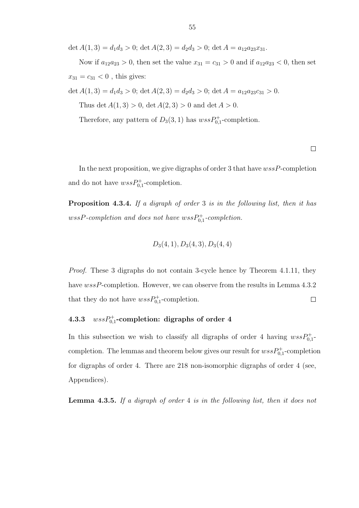det  $A(1,3) = d_1d_3 > 0$ ; det  $A(2,3) = d_2d_3 > 0$ ; det  $A = a_{12}a_{23}x_{31}$ .

Now if  $a_{12}a_{23} > 0$ , then set the value  $x_{31} = c_{31} > 0$  and if  $a_{12}a_{23} < 0$ , then set  $x_{31} = c_{31} < 0$ , this gives:

det  $A(1,3) = d_1d_3 > 0$ ; det  $A(2,3) = d_2d_3 > 0$ ; det  $A = a_{12}a_{23}c_{31} > 0$ .

Thus det  $A(1, 3) > 0$ , det  $A(2, 3) > 0$  and det  $A > 0$ .

Therefore, any pattern of  $D_3(3,1)$  has  $wssP_{0,1}^+$ -completion.

 $\Box$ 

In the next proposition, we give digraphs of order 3 that have wssP-completion and do not have  $wssP_{0,1}^+$ -completion.

Proposition 4.3.4. If a digraph of order 3 is in the following list, then it has  $wssP\text{-}completion$  and does not have  $wssP_{0,1}^{\text{+}}\text{-}completion.$ 

$$
D_3(4,1), D_3(4,3), D_3(4,4)
$$

Proof. These 3 digraphs do not contain 3-cycle hence by Theorem 4.1.11, they have  $wssP$ -completion. However, we can observe from the results in Lemma 4.3.2 that they do not have  $wssP_{0,1}^+$ -completion.  $\Box$ 

## $4.3.3$   $\;\;wssP_{0,1}^+ \text{-completion: digraphs of order 4}$

In this subsection we wish to classify all digraphs of order 4 having  $wssP_{0,1}^+$ completion. The lemmas and theorem below gives our result for  $wssP_{0,1}^+$ -completion for digraphs of order 4. There are 218 non-isomorphic digraphs of order 4 (see, Appendices).

Lemma 4.3.5. If a digraph of order 4 is in the following list, then it does not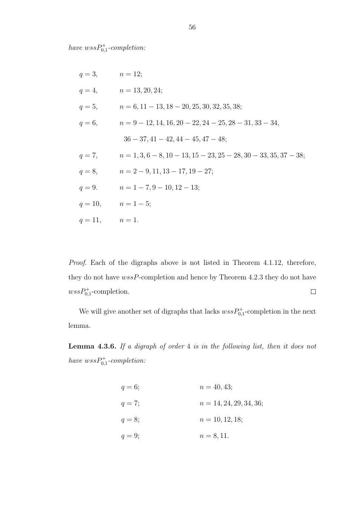have  $wssP_{0,1}^+$ -completion:

| $q=3$ ,            | $n = 12;$                                                           |
|--------------------|---------------------------------------------------------------------|
| $q=4$ ,            | $n = 13, 20, 24;$                                                   |
|                    | $q = 5,$ $n = 6, 11 - 13, 18 - 20, 25, 30, 32, 35, 38;$             |
|                    | $q = 6,$ $n = 9 - 12, 14, 16, 20 - 22, 24 - 25, 28 - 31, 33 - 34,$  |
|                    | $36 - 37, 41 - 42, 44 - 45, 47 - 48;$                               |
| $q=7,$             | $n = 1, 3, 6 - 8, 10 - 13, 15 - 23, 25 - 28, 30 - 33, 35, 37 - 38;$ |
|                    | $q = 8,$ $n = 2 - 9, 11, 13 - 17, 19 - 27;$                         |
| $q=9$ .            | $n = 1 - 7, 9 - 10, 12 - 13;$                                       |
|                    | $q = 10,$ $n = 1 - 5;$                                              |
| $q = 11,$ $n = 1.$ |                                                                     |

Proof. Each of the digraphs above is not listed in Theorem 4.1.12, therefore, they do not have  $wssP$ -completion and hence by Theorem 4.2.3 they do not have  $wssP_{0,1}^+$ -completion.  $\Box$ 

We will give another set of digraphs that lacks  $wssP_{0,1}^+$ -completion in the next lemma.

Lemma 4.3.6. If a digraph of order 4 is in the following list, then it does not have  $wssP_{0,1}^+$ -completion:

| $q = 6;$ | $n = 40, 43;$             |
|----------|---------------------------|
| $q = 7;$ | $n = 14, 24, 29, 34, 36;$ |
| $q = 8;$ | $n = 10, 12, 18;$         |
| $q = 9;$ | $n = 8, 11.$              |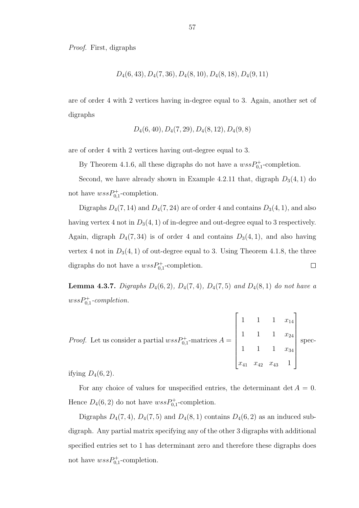Proof. First, digraphs

$$
D_4(6, 43), D_4(7, 36), D_4(8, 10), D_4(8, 18), D_4(9, 11)
$$

are of order 4 with 2 vertices having in-degree equal to 3. Again, another set of digraphs

$$
D_4(6, 40), D_4(7, 29), D_4(8, 12), D_4(9, 8)
$$

are of order 4 with 2 vertices having out-degree equal to 3.

By Theorem 4.1.6, all these digraphs do not have a  $wssP_{0,1}^+$ -completion.

Second, we have already shown in Example 4.2.11 that, digraph  $D_3(4, 1)$  do not have  $wssP_{0,1}^+$ -completion.

Digraphs  $D_4(7, 14)$  and  $D_4(7, 24)$  are of order 4 and contains  $D_3(4, 1)$ , and also having vertex 4 not in  $D_3(4,1)$  of in-degree and out-degree equal to 3 respectively. Again, digraph  $D_4(7, 34)$  is of order 4 and contains  $D_3(4, 1)$ , and also having vertex 4 not in  $D_3(4,1)$  of out-degree equal to 3. Using Theorem 4.1.8, the three digraphs do not have a  $wssP_{0,1}^+$ -completion.  $\Box$ 

**Lemma 4.3.7.** Digraphs  $D_4(6, 2)$ ,  $D_4(7, 4)$ ,  $D_4(7, 5)$  and  $D_4(8, 1)$  do not have a  $wssP_{0,1}^+$ -completion.

*Proof.* Let us consider a partial 
$$
wssP_{0,1}^+
$$
-matrices  $A = \begin{bmatrix} 1 & 1 & 1 & x_{14} \\ 1 & 1 & 1 & x_{24} \\ 1 & 1 & 1 & x_{34} \\ x_{41} & x_{42} & x_{43} & 1 \end{bmatrix}$  specify  $D_{0}(6, 2)$ 

ifying  $D_4(6, 2)$ .

For any choice of values for unspecified entries, the determinant det  $A = 0$ . Hence  $D_4(6,2)$  do not have  $wssP_{0,1}^+$ -completion.

Digraphs  $D_4(7, 4)$ ,  $D_4(7, 5)$  and  $D_4(8, 1)$  contains  $D_4(6, 2)$  as an induced subdigraph. Any partial matrix specifying any of the other 3 digraphs with additional specified entries set to 1 has determinant zero and therefore these digraphs does not have  $wssP_{0,1}^+$ -completion.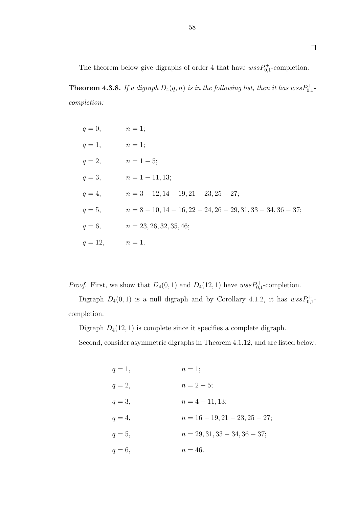The theorem below give digraphs of order 4 that have  $wssP_{0,1}^+$ -completion.

**Theorem 4.3.8.** If a digraph  $D_4(q, n)$  is in the following list, then it has  $wssP_{0,1}^+$ . completion:

| $q=0$ ,   | $n=1;$                                                                            |
|-----------|-----------------------------------------------------------------------------------|
| $q=1$ ,   | $n=1;$                                                                            |
| $q=2$ ,   | $n = 1 - 5$ ;                                                                     |
| $q=3$ ,   | $n = 1 - 11$ , 13;                                                                |
| $q=4$ ,   | $n = 3 - 12$ , $14 - 19$ , $21 - 23$ , $25 - 27$ ;                                |
| $q=5$ ,   | $n = 8 - 10$ , $14 - 16$ , $22 - 24$ , $26 - 29$ , $31$ , $33 - 34$ , $36 - 37$ ; |
| $q=6$ ,   | $n = 23, 26, 32, 35, 46;$                                                         |
| $q = 12,$ | $n=1$ .                                                                           |

*Proof.* First, we show that  $D_4(0,1)$  and  $D_4(12,1)$  have  $wssP_{0,1}^+$ -completion.

Digraph  $D_4(0,1)$  is a null digraph and by Corollary 4.1.2, it has  $wssP_{0,1}^+$ completion.

Digraph  $D_4(12, 1)$  is complete since it specifies a complete digraph.

Second, consider asymmetric digraphs in Theorem 4.1.12, and are listed below.

| $q=1,$ | $n=1;$                           |
|--------|----------------------------------|
| $q=2,$ | $n = 2 - 5$ ;                    |
| $q=3,$ | $n = 4 - 11, 13;$                |
| $q=4,$ | $n = 16 - 19, 21 - 23, 25 - 27;$ |
| $q=5,$ | $n = 29, 31, 33 - 34, 36 - 37;$  |
| $q=6,$ | $n = 46.$                        |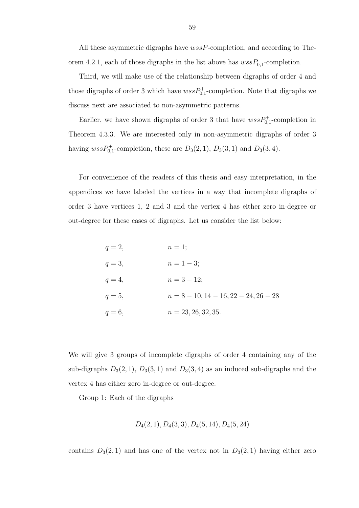All these asymmetric digraphs have wssP-completion, and according to Theorem 4.2.1, each of those digraphs in the list above has  $wssP_{0,1}^+$ -completion.

Third, we will make use of the relationship between digraphs of order 4 and those digraphs of order 3 which have  $wssP_{0,1}^+$ -completion. Note that digraphs we discuss next are associated to non-asymmetric patterns.

Earlier, we have shown digraphs of order 3 that have  $wssP_{0,1}^+$ -completion in Theorem 4.3.3. We are interested only in non-asymmetric digraphs of order 3 having  $wssP_{0,1}^+$ -completion, these are  $D_3(2,1)$ ,  $D_3(3,1)$  and  $D_3(3,4)$ .

For convenience of the readers of this thesis and easy interpretation, in the appendices we have labeled the vertices in a way that incomplete digraphs of order 3 have vertices 1, 2 and 3 and the vertex 4 has either zero in-degree or out-degree for these cases of digraphs. Let us consider the list below:

| $q=2$ , | $n=1;$                                  |
|---------|-----------------------------------------|
| $q=3$ , | $n = 1 - 3;$                            |
| $q=4$ , | $n = 3 - 12$ ;                          |
| $q=5$ , | $n = 8 - 10, 14 - 16, 22 - 24, 26 - 28$ |
| $q=6,$  | $n = 23, 26, 32, 35.$                   |

We will give 3 groups of incomplete digraphs of order 4 containing any of the sub-digraphs  $D_3(2,1)$ ,  $D_3(3,1)$  and  $D_3(3,4)$  as an induced sub-digraphs and the vertex 4 has either zero in-degree or out-degree.

Group 1: Each of the digraphs

$$
D_4(2, 1), D_4(3, 3), D_4(5, 14), D_4(5, 24)
$$

contains  $D_3(2,1)$  and has one of the vertex not in  $D_3(2,1)$  having either zero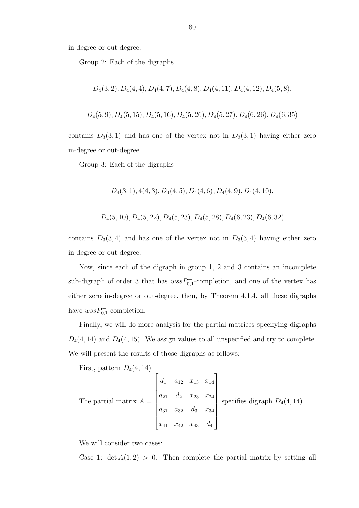in-degree or out-degree.

Group 2: Each of the digraphs

$$
D_4(3,2), D_4(4,4), D_4(4,7), D_4(4,8), D_4(4,11), D_4(4,12), D_4(5,8),
$$

 $D_4(5,9), D_4(5,15), D_4(5,16), D_4(5,26), D_4(5,27), D_4(6,26), D_4(6,35)$ 

contains  $D_3(3,1)$  and has one of the vertex not in  $D_3(3,1)$  having either zero in-degree or out-degree.

Group 3: Each of the digraphs

$$
D_4(3, 1), 4(4, 3), D_4(4, 5), D_4(4, 6), D_4(4, 9), D_4(4, 10),
$$

$$
D_4(5,10), D_4(5,22), D_4(5,23), D_4(5,28), D_4(6,23), D_4(6,32)
$$

contains  $D_3(3, 4)$  and has one of the vertex not in  $D_3(3, 4)$  having either zero in-degree or out-degree.

Now, since each of the digraph in group 1, 2 and 3 contains an incomplete sub-digraph of order 3 that has  $wssP_{0,1}^+$ -completion, and one of the vertex has either zero in-degree or out-degree, then, by Theorem 4.1.4, all these digraphs have  $wssP_{0,1}^+$ -completion.

Finally, we will do more analysis for the partial matrices specifying digraphs  $D_4(4, 14)$  and  $D_4(4, 15)$ . We assign values to all unspecified and try to complete. We will present the results of those digraphs as follows:

First, pattern  $D_4(4, 14)$ 

The partial matrix 
$$
A = \begin{bmatrix} d_1 & a_{12} & x_{13} & x_{14} \\ a_{21} & d_2 & x_{23} & x_{24} \\ a_{31} & a_{32} & d_3 & x_{34} \\ x_{41} & x_{42} & x_{43} & d_4 \end{bmatrix}
$$
 specifies digraph  $D_4(4, 14)$ 

We will consider two cases:

Case 1:  $\det A(1,2) > 0$ . Then complete the partial matrix by setting all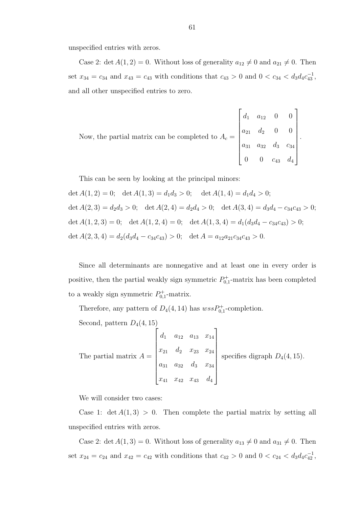unspecified entries with zeros.

Case 2: det  $A(1, 2) = 0$ . Without loss of generality  $a_{12} \neq 0$  and  $a_{21} \neq 0$ . Then set  $x_{34} = c_{34}$  and  $x_{43} = c_{43}$  with conditions that  $c_{43} > 0$  and  $0 < c_{34} < d_3 d_4 c_{43}^{-1}$ , and all other unspecified entries to zero.

Now, the partial matrix can be completed to 
$$
A_c = \begin{bmatrix} d_1 & a_{12} & 0 & 0 \\ a_{21} & d_2 & 0 & 0 \\ a_{31} & a_{32} & d_3 & c_{34} \\ 0 & 0 & c_{43} & d_4 \end{bmatrix}
$$
.

This can be seen by looking at the principal minors: det  $A(1,2) = 0$ ; det  $A(1,3) = d_1d_3 > 0$ ; det  $A(1,4) = d_1d_4 > 0$ ; det  $A(2,3) = d_2d_3 > 0$ ; det  $A(2,4) = d_2d_4 > 0$ ; det  $A(3,4) = d_3d_4 - c_{34}c_{43} > 0$ ; det  $A(1, 2, 3) = 0$ ; det  $A(1, 2, 4) = 0$ ; det  $A(1, 3, 4) = d_1(d_3d_4 - c_3d_4c_4) > 0$ ; det  $A(2,3,4) = d_2(d_3d_4 - c_{34}c_{43}) > 0$ ; det  $A = a_{12}a_{21}c_{34}c_{43} > 0$ .

Since all determinants are nonnegative and at least one in every order is positive, then the partial weakly sign symmetric  $P_{0,1}^+$ -matrix has been completed to a weakly sign symmetric  $P_{0,1}^+$ -matrix.

Therefore, any pattern of  $D_4(4, 14)$  has  $wssP_{0,1}^+$ -completion.

Second, pattern  $D_4(4, 15)$ 

The partial matrix  $A =$  $\sqrt{ }$   $d_1$   $a_{12}$   $a_{13}$   $x_{14}$  $x_{21}$   $d_2$   $x_{23}$   $x_{24}$  $a_{31}$   $a_{32}$   $d_3$   $x_{34}$  $x_{41}$   $x_{42}$   $x_{43}$   $d_4$ 1 specifies digraph  $D_4(4, 15)$ .

We will consider two cases:

Case 1:  $\det A(1,3) > 0$ . Then complete the partial matrix by setting all unspecified entries with zeros.

Case 2: det  $A(1,3) = 0$ . Without loss of generality  $a_{13} \neq 0$  and  $a_{31} \neq 0$ . Then set  $x_{24} = c_{24}$  and  $x_{42} = c_{42}$  with conditions that  $c_{42} > 0$  and  $0 < c_{24} < d_3 d_4 c_{42}^{-1}$ ,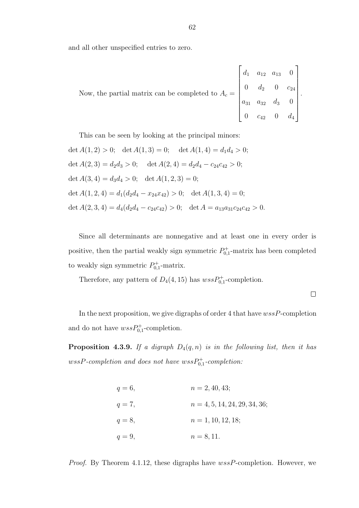and all other unspecified entries to zero.

Now, the partial matrix can be completed to 
$$
A_c = \begin{bmatrix} d_1 & a_{12} & a_{13} & 0 \\ 0 & d_2 & 0 & c_{24} \\ a_{31} & a_{32} & d_3 & 0 \\ 0 & c_{42} & 0 & d_4 \end{bmatrix}
$$
.

This can be seen by looking at the principal minors: det  $A(1,2) > 0$ ; det  $A(1,3) = 0$ ; det  $A(1,4) = d_1 d_4 > 0$ ; det  $A(2,3) = d_2d_3 > 0$ ; det  $A(2,4) = d_2d_4 - c_{24}c_{42} > 0$ ; det  $A(3, 4) = d_3d_4 > 0$ ; det  $A(1, 2, 3) = 0$ ; det  $A(1, 2, 4) = d_1(d_2d_4 - x_{24}x_{42}) > 0$ ; det  $A(1, 3, 4) = 0$ ; det  $A(2,3,4) = d_4(d_2d_4 - c_{24}c_{42}) > 0$ ; det  $A = a_{13}a_{31}c_{24}c_{42} > 0$ .

Since all determinants are nonnegative and at least one in every order is positive, then the partial weakly sign symmetric  $P_{0,1}^+$ -matrix has been completed to weakly sign symmetric  $P_{0,1}^+$ -matrix.

Therefore, any pattern of  $D_4(4, 15)$  has  $wssP_{0,1}^+$ -completion.

 $\Box$ 

In the next proposition, we give digraphs of order 4 that have  $wssP$ -completion and do not have  $wssP_{0,1}^+$ -completion.

**Proposition 4.3.9.** If a digraph  $D_4(q, n)$  is in the following list, then it has  $wssP\text{-}completion\ and\ does\ not\ have\ wssP_{0,1}^+\text{-}completion.$ 

| $q=6$ , | $n = 2, 40, 43;$                |
|---------|---------------------------------|
| $q=7$ , | $n = 4, 5, 14, 24, 29, 34, 36;$ |
| $q=8$ , | $n = 1, 10, 12, 18;$            |
| $q=9,$  | $n = 8, 11.$                    |

Proof. By Theorem 4.1.12, these digraphs have wssP-completion. However, we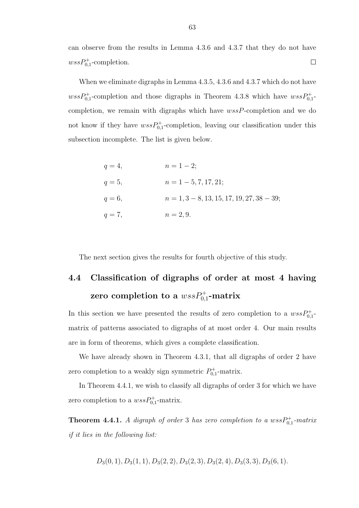can observe from the results in Lemma 4.3.6 and 4.3.7 that they do not have  $wssP_{0,1}^+$ -completion.  $\Box$ 

When we eliminate digraphs in Lemma 4.3.5, 4.3.6 and 4.3.7 which do not have  $wssP_{0,1}^+$ -completion and those digraphs in Theorem 4.3.8 which have  $wssP_{0,1}^+$ completion, we remain with digraphs which have  $wssP$ -completion and we do not know if they have  $wssP_{0,1}^+$ -completion, leaving our classification under this subsection incomplete. The list is given below.

| $q=4$ , | $n = 1 - 2$ ;                                |
|---------|----------------------------------------------|
| $q=5,$  | $n = 1 - 5, 7, 17, 21;$                      |
| $q=6$ , | $n = 1, 3 - 8, 13, 15, 17, 19, 27, 38 - 39;$ |
| $q=7,$  | $n = 2, 9.$                                  |

The next section gives the results for fourth objective of this study.

# 4.4 Classification of digraphs of order at most 4 having zero completion to a  $wssP_{0,1}^+ \mbox{-} \text{matrix}$

In this section we have presented the results of zero completion to a  $wssP_{0,1}^+$ matrix of patterns associated to digraphs of at most order 4. Our main results are in form of theorems, which gives a complete classification.

We have already shown in Theorem 4.3.1, that all digraphs of order 2 have zero completion to a weakly sign symmetric  $P_{0,1}^+$ -matrix.

In Theorem 4.4.1, we wish to classify all digraphs of order 3 for which we have zero completion to a  $wssP_{0,1}^+$ -matrix.

**Theorem 4.4.1.** A digraph of order 3 has zero completion to a  $wssP_{0,1}^+$ -matrix if it lies in the following list:

$$
D_3(0,1), D_3(1,1), D_3(2,2), D_3(2,3), D_3(2,4), D_3(3,3), D_3(6,1).
$$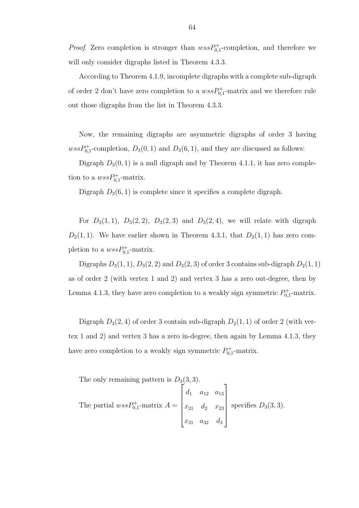*Proof.* Zero completion is stronger than  $wssP_{0,1}^+$ -completion, and therefore we will only consider digraphs listed in Theorem 4.3.3.

According to Theorem 4.1.9, incomplete digraphs with a complete sub-digraph of order 2 don't have zero completion to a  $wssP_{0,1}^+$ -matrix and we therefore rule out those digraphs from the list in Theorem 4.3.3.

Now, the remaining digraphs are asymmetric digraphs of order 3 having  $wssP_{0,1}^+$ -completion,  $D_3(0,1)$  and  $D_3(6,1)$ , and they are discussed as follows:

Digraph  $D_3(0, 1)$  is a null digraph and by Theorem 4.1.1, it has zero completion to a  $wssP_{0,1}^+$ -matrix.

Digraph  $D_3(6, 1)$  is complete since it specifies a complete digraph.

For  $D_3(1, 1)$ ,  $D_3(2, 2)$ ,  $D_3(2, 3)$  and  $D_3(2, 4)$ , we will relate with digraph  $D_2(1, 1)$ . We have earlier shown in Theorem 4.3.1, that  $D_2(1, 1)$  has zero completion to a  $wssP_{0,1}^+$ -matrix.

Digraphs  $D_3(1,1)$ ,  $D_3(2,2)$  and  $D_3(2,3)$  of order 3 contains sub-digraph  $D_2(1,1)$ as of order 2 (with vertex 1 and 2) and vertex 3 has a zero out-degree, then by Lemma 4.1.3, they have zero completion to a weakly sign symmetric  $P_{0,1}^+$ -matrix.

Digraph  $D_3(2, 4)$  of order 3 contain sub-digraph  $D_2(1, 1)$  of order 2 (with vertex 1 and 2) and vertex 3 has a zero in-degree, then again by Lemma 4.1.3, they have zero completion to a weakly sign symmetric  $P_{0,1}^+$ -matrix.

The only remaining pattern is  $D_3(3,3)$ .

The partial 
$$
wssP_{0,1}^+
$$
-matrix  $A = \begin{bmatrix} d_1 & a_{12} & a_{13} \\ x_{21} & d_2 & x_{23} \\ x_{31} & a_{32} & d_3 \end{bmatrix}$  specifies  $D_3(3,3)$ .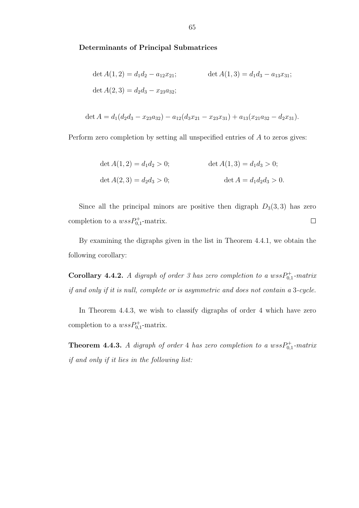Determinants of Principal Submatrices

$$
\det A(1,2) = d_1 d_2 - a_{12} x_{21}; \qquad \det A(1,3) = d_1 d_3 - a_{13} x_{31};
$$
  

$$
\det A(2,3) = d_2 d_3 - x_{23} a_{32};
$$

$$
\det A = d_1(d_2d_3 - x_{23}a_{32}) - a_{12}(d_3x_{21} - x_{23}x_{31}) + a_{13}(x_{21}a_{32} - d_2x_{31}).
$$

Perform zero completion by setting all unspecified entries of A to zeros gives:

$$
\det A(1,2) = d_1 d_2 > 0; \qquad \det A(1,3) = d_1 d_3 > 0;
$$
  

$$
\det A(2,3) = d_2 d_3 > 0; \qquad \det A = d_1 d_2 d_3 > 0.
$$

Since all the principal minors are positive then digraph  $D_3(3,3)$  has zero completion to a  $wssP_{0,1}^+$ -matrix.  $\Box$ 

By examining the digraphs given in the list in Theorem 4.4.1, we obtain the following corollary:

**Corollary 4.4.2.** A digraph of order 3 has zero completion to a  $wssP_{0,1}^+$ -matrix if and only if it is null, complete or is asymmetric and does not contain a 3-cycle.

In Theorem 4.4.3, we wish to classify digraphs of order 4 which have zero completion to a  $wssP_{0,1}^+$ -matrix.

**Theorem 4.4.3.** A digraph of order 4 has zero completion to a  $wssP_{0,1}^+$ -matrix if and only if it lies in the following list: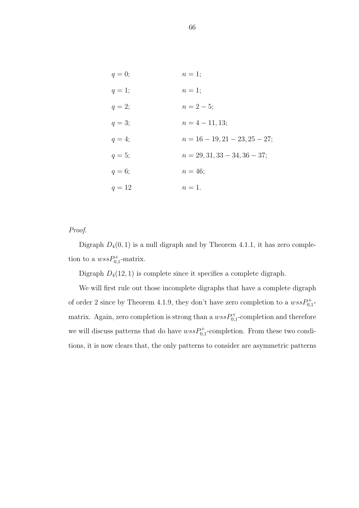| $q=0;$   | $n=1;$                           |
|----------|----------------------------------|
| $q=1;$   | $n=1;$                           |
| $q = 2;$ | $n = 2 - 5$ ;                    |
| $q=3;$   | $n = 4 - 11, 13;$                |
| $q=4;$   | $n = 16 - 19, 21 - 23, 25 - 27;$ |
| $q=5;$   | $n = 29, 31, 33 - 34, 36 - 37;$  |
| $q=6;$   | $n = 46;$                        |
| $q = 12$ | $n=1$ .                          |

#### Proof.

Digraph  $D_4(0, 1)$  is a null digraph and by Theorem 4.1.1, it has zero completion to a  $wssP_{0,1}^+$ -matrix.

Digraph  $D_4(12, 1)$  is complete since it specifies a complete digraph.

We will first rule out those incomplete digraphs that have a complete digraph of order 2 since by Theorem 4.1.9, they don't have zero completion to a  $wssP_{0,1}^+$ matrix. Again, zero completion is strong than a  $wssP_{0,1}^+$ -completion and therefore we will discuss patterns that do have  $wssP_{0,1}^+$ -completion. From these two conditions, it is now clears that, the only patterns to consider are asymmetric patterns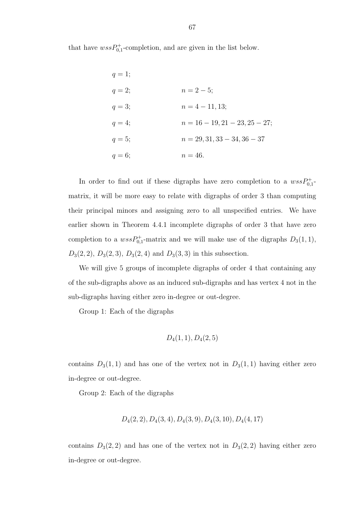that have  $wssP_{0,1}^+$ -completion, and are given in the list below.

| $q=1;$   |                                  |
|----------|----------------------------------|
| $q = 2;$ | $n = 2 - 5;$                     |
| $q=3;$   | $n = 4 - 11, 13;$                |
| $q=4;$   | $n = 16 - 19, 21 - 23, 25 - 27;$ |
| $q=5;$   | $n = 29, 31, 33 - 34, 36 - 37$   |
| $q=6;$   | $n = 46.$                        |

In order to find out if these digraphs have zero completion to a  $wssP_{0,1}^+$ matrix, it will be more easy to relate with digraphs of order 3 than computing their principal minors and assigning zero to all unspecified entries. We have earlier shown in Theorem 4.4.1 incomplete digraphs of order 3 that have zero completion to a  $wssP_{0,1}^+$ -matrix and we will make use of the digraphs  $D_3(1,1)$ ,  $D_3(2, 2), D_3(2, 3), D_3(2, 4)$  and  $D_3(3, 3)$  in this subsection.

We will give 5 groups of incomplete digraphs of order 4 that containing any of the sub-digraphs above as an induced sub-digraphs and has vertex 4 not in the sub-digraphs having either zero in-degree or out-degree.

Group 1: Each of the digraphs

$$
D_4(1,1), D_4(2,5)
$$

contains  $D_3(1,1)$  and has one of the vertex not in  $D_3(1,1)$  having either zero in-degree or out-degree.

Group 2: Each of the digraphs

$$
D_4(2,2), D_4(3,4), D_4(3,9), D_4(3,10), D_4(4,17)
$$

contains  $D_3(2, 2)$  and has one of the vertex not in  $D_3(2, 2)$  having either zero in-degree or out-degree.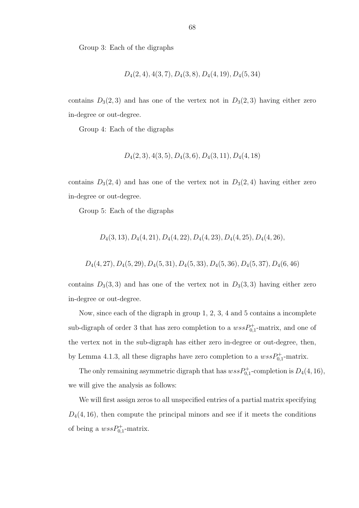Group 3: Each of the digraphs

$$
D_4(2,4), 4(3,7), D_4(3,8), D_4(4,19), D_4(5,34)
$$

contains  $D_3(2,3)$  and has one of the vertex not in  $D_3(2,3)$  having either zero in-degree or out-degree.

Group 4: Each of the digraphs

$$
D_4(2,3), 4(3,5), D_4(3,6), D_4(3,11), D_4(4,18)
$$

contains  $D_3(2, 4)$  and has one of the vertex not in  $D_3(2, 4)$  having either zero in-degree or out-degree.

Group 5: Each of the digraphs

$$
D_4(3, 13), D_4(4, 21), D_4(4, 22), D_4(4, 23), D_4(4, 25), D_4(4, 26),
$$

$$
D_4(4, 27), D_4(5, 29), D_4(5, 31), D_4(5, 33), D_4(5, 36), D_4(5, 37), D_4(6, 46)
$$

contains  $D_3(3,3)$  and has one of the vertex not in  $D_3(3,3)$  having either zero in-degree or out-degree.

Now, since each of the digraph in group 1, 2, 3, 4 and 5 contains a incomplete sub-digraph of order 3 that has zero completion to a  $wssP_{0,1}^+$ -matrix, and one of the vertex not in the sub-digraph has either zero in-degree or out-degree, then, by Lemma 4.1.3, all these digraphs have zero completion to a  $wssP_{0,1}^+$ -matrix.

The only remaining asymmetric digraph that has  $wssP_{0,1}^+$ -completion is  $D_4(4,16)$ , we will give the analysis as follows:

We will first assign zeros to all unspecified entries of a partial matrix specifying  $D_4(4, 16)$ , then compute the principal minors and see if it meets the conditions of being a  $wssP_{0,1}^+$ -matrix.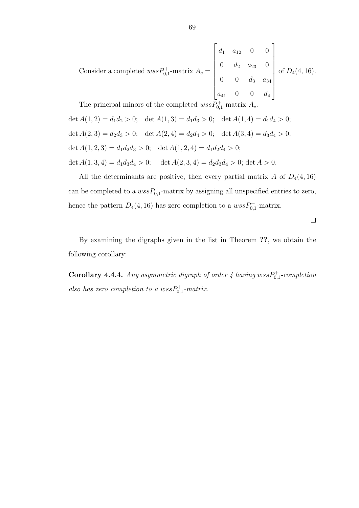Consider a completed  $wssP_{0,1}^+$ -matrix  $A_c =$  $\sqrt{ }$   $d_1$   $a_{12}$  0 0 0  $d_2$   $a_{23}$  0 0 0  $d_3$   $a_{34}$  $a_{41}$  0 0  $d_4$ 1  $\begin{array}{c} \hline \end{array}$ of  $D_4(4, 16)$ .

The principal minors of the completed  $wssP_{0,1}^+$ -matrix  $A_c$ . det  $A(1,2) = d_1d_2 > 0$ ; det  $A(1,3) = d_1d_3 > 0$ ; det  $A(1,4) = d_1d_4 > 0$ ; det  $A(2,3) = d_2d_3 > 0$ ; det  $A(2,4) = d_2d_4 > 0$ ; det  $A(3,4) = d_3d_4 > 0$ ; det  $A(1, 2, 3) = d_1 d_2 d_3 > 0$ ; det  $A(1, 2, 4) = d_1 d_2 d_4 > 0$ ; det  $A(1,3,4) = d_1d_3d_4 > 0$ ; det  $A(2,3,4) = d_2d_3d_4 > 0$ ; det  $A > 0$ .

All the determinants are positive, then every partial matrix  $A$  of  $D_4(4, 16)$ can be completed to a  $wssP_{0,1}^+$ -matrix by assigning all unspecified entries to zero, hence the pattern  $D_4(4, 16)$  has zero completion to a  $wssP_{0,1}^+$ -matrix.

 $\Box$ 

By examining the digraphs given in the list in Theorem ??, we obtain the following corollary:

**Corollary 4.4.4.** Any asymmetric digraph of order 4 having  $wssP_{0,1}^+$ -completion also has zero completion to a  $wssP_{0,1}^+$ -matrix.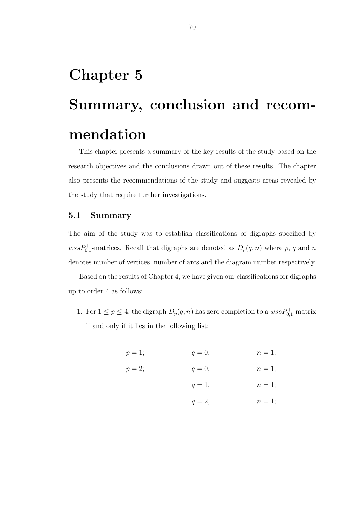# Chapter 5 Summary, conclusion and recommendation

This chapter presents a summary of the key results of the study based on the research objectives and the conclusions drawn out of these results. The chapter also presents the recommendations of the study and suggests areas revealed by the study that require further investigations.

#### 5.1 Summary

The aim of the study was to establish classifications of digraphs specified by  $wssP_{0,1}^+$ -matrices. Recall that digraphs are denoted as  $D_p(q,n)$  where p, q and n denotes number of vertices, number of arcs and the diagram number respectively.

Based on the results of Chapter 4, we have given our classifications for digraphs up to order 4 as follows:

1. For  $1 \le p \le 4$ , the digraph  $D_p(q, n)$  has zero completion to a  $wssP_{0,1}^+$ -matrix if and only if it lies in the following list:

| $p=1;$ | $q=0,$ | $n=1;$ |
|--------|--------|--------|
| $p=2;$ | $q=0,$ | $n=1;$ |
|        | $q=1,$ | $n=1;$ |
|        | $q=2,$ | $n=1;$ |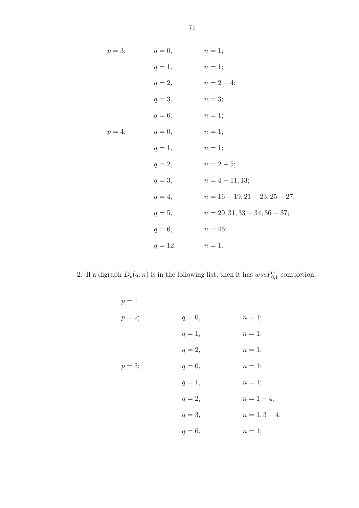$$
p = 3;
$$
  $q = 0,$   $n = 1;$   
\n $q = 1,$   $n = 1;$   
\n $q = 2,$   $n = 2 - 4;$   
\n $q = 3,$   $n = 3;$   
\n $q = 6,$   $n = 1;$   
\n $q = 1,$   $n = 1;$   
\n $q = 2,$   $n = 2 - 5;$   
\n $q = 3,$   $n = 4 - 11, 13;$   
\n $q = 4,$   $n = 16 - 19, 21 - 23, 25 - 27.$   
\n $q = 5,$   $n = 29, 31, 33 - 34, 36 - 37;$   
\n $q = 6,$   $n = 46;$   
\n $q = 12,$   $n = 1.$ 

2. If a digraph  $D_p(q, n)$  is in the following list, then it has  $wssP_{0,1}^+$ -completion:

| $p=1$  |        |                 |
|--------|--------|-----------------|
| $p=2;$ | $q=0,$ | $n=1;$          |
|        | $q=1,$ | $n=1;$          |
|        | $q=2,$ | $n=1;$          |
| $p=3;$ | $q=0,$ | $n=1;$          |
|        | $q=1,$ | $n=1;$          |
|        | $q=2,$ | $n = 1 - 4;$    |
|        | $q=3,$ | $n = 1, 3 - 4;$ |
|        | $q=6,$ | $n=1;$          |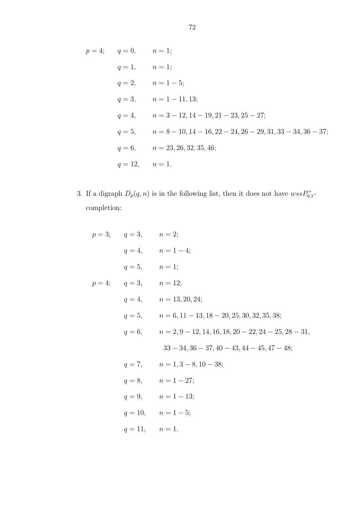$$
p = 4; \t q = 0, \t n = 1; q = 1, \t n = 1; q = 2, \t n = 1 - 5; q = 3, \t n = 1 - 11, 13; q = 4, \t n = 3 - 12, 14 - 19, 21 - 23, 25 - 27; q = 5, \t n = 8 - 10, 14 - 16, 22 - 24, 26 - 29, 31, 33 - 34, 36 - 37; q = 6, \t n = 23, 26, 32, 35, 46; q = 12, \t n = 1.
$$

3. If a digraph  $D_p(q, n)$  is in the following list, then it does not have  $wssP_{0,1}^+$ completion:

| $p = 3;$ $q = 3,$ $n = 2;$  |                                                                  |
|-----------------------------|------------------------------------------------------------------|
|                             | $q = 4,$ $n = 1 - 4;$                                            |
| $q = 5,$ $n = 1;$           |                                                                  |
| $p = 4;$ $q = 3,$ $n = 12;$ |                                                                  |
|                             | $q = 4,$ $n = 13, 20, 24;$                                       |
|                             | $q = 5,$ $n = 6, 11 - 13, 18 - 20, 25, 30, 32, 35, 38;$          |
|                             | $q = 6,$ $n = 2, 9 - 12, 14, 16, 18, 20 - 22, 24 - 25, 28 - 31,$ |
|                             | $33 - 34$ , $36 - 37$ , $40 - 43$ , $44 - 45$ , $47 - 48$ ;      |
|                             | $q = 7,$ $n = 1, 3 - 8, 10 - 38;$                                |
|                             | $q = 8,$ $n = 1 - 27;$                                           |
|                             | $q = 9,$ $n = 1 - 13;$                                           |
|                             | $q = 10,$ $n = 1 - 5;$                                           |
| $q = 11,$ $n = 1.$          |                                                                  |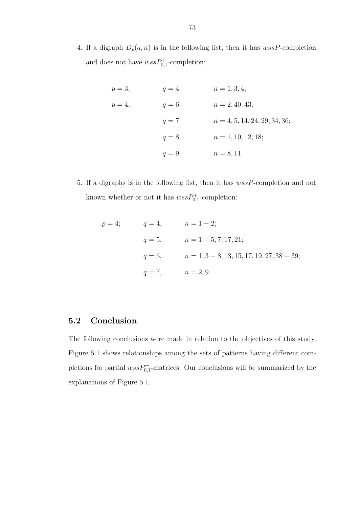4. If a digraph  $D_p(q, n)$  is in the following list, then it has  $wssP$ -completion and does not have  $wssP_{0,1}^+$ -completion:

$$
p = 3;
$$
  $q = 4,$   $n = 1, 3, 4;$   
\n $p = 4;$   $q = 6,$   $n = 2, 40, 43;$   
\n $q = 7,$   $n = 4, 5, 14, 24, 29, 34, 36;$   
\n $q = 8,$   $n = 1, 10, 12, 18;$   
\n $q = 9,$   $n = 8, 11.$ 

5. If a digraphs is in the following list, then it has wssP-completion and not known whether or not it has  $wssP_{0,1}^+$ -completion:

$$
p = 4;
$$
  $q = 4,$   $n = 1 - 2;$   
\n $q = 5,$   $n = 1 - 5, 7, 17, 21;$   
\n $q = 6,$   $n = 1, 3 - 8, 13, 15, 17, 19, 27, 38 - 39;$   
\n $q = 7,$   $n = 2, 9.$ 

## 5.2 Conclusion

The following conclusions were made in relation to the objectives of this study. Figure 5.1 shows relationships among the sets of patterns having different completions for partial  $wssP_{0,1}^+$ -matrices. Our conclusions will be summarized by the explanations of Figure 5.1.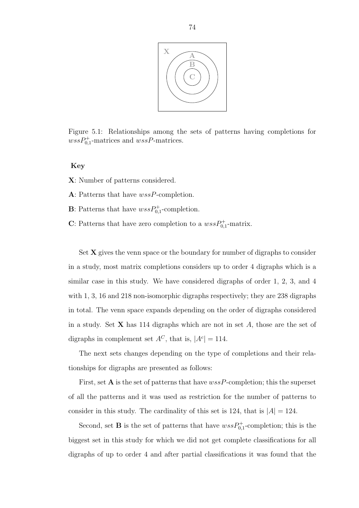

Figure 5.1: Relationships among the sets of patterns having completions for  $wssP_{0,1}^+$ -matrices and  $wssP$ -matrices.

#### Key

- X: Number of patterns considered.
- A: Patterns that have wssP-completion.
- **B**: Patterns that have  $wssP_{0,1}^+$ -completion.
- C: Patterns that have zero completion to a  $wssP_{0,1}^+$ -matrix.

Set  $X$  gives the venn space or the boundary for number of digraphs to consider in a study, most matrix completions considers up to order 4 digraphs which is a similar case in this study. We have considered digraphs of order 1, 2, 3, and 4 with 1, 3, 16 and 218 non-isomorphic digraphs respectively; they are 238 digraphs in total. The venn space expands depending on the order of digraphs considered in a study. Set  $X$  has 114 digraphs which are not in set  $A$ , those are the set of digraphs in complement set  $A^C$ , that is,  $|A^c| = 114$ .

The next sets changes depending on the type of completions and their relationships for digraphs are presented as follows:

First, set  $\bf{A}$  is the set of patterns that have  $wssP$ -completion; this the superset of all the patterns and it was used as restriction for the number of patterns to consider in this study. The cardinality of this set is 124, that is  $|A| = 124$ .

Second, set **B** is the set of patterns that have  $wssP_{0,1}^+$ -completion; this is the biggest set in this study for which we did not get complete classifications for all digraphs of up to order 4 and after partial classifications it was found that the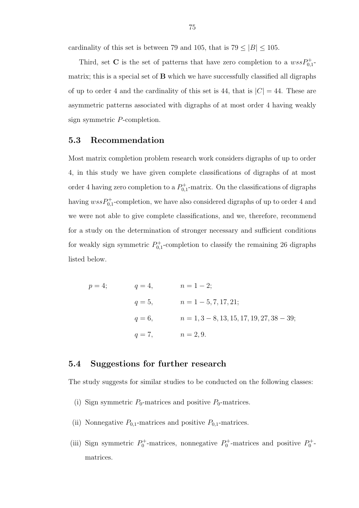cardinality of this set is between 79 and 105, that is  $79 \leq |B| \leq 105$ .

Third, set C is the set of patterns that have zero completion to a  $wssP_{0,1}^+$ matrix; this is a special set of B which we have successfully classified all digraphs of up to order 4 and the cardinality of this set is 44, that is  $|C| = 44$ . These are asymmetric patterns associated with digraphs of at most order 4 having weakly sign symmetric P-completion.

#### 5.3 Recommendation

Most matrix completion problem research work considers digraphs of up to order 4, in this study we have given complete classifications of digraphs of at most order 4 having zero completion to a  $P_{0,1}^+$ -matrix. On the classifications of digraphs having  $wssP_{0,1}^+$ -completion, we have also considered digraphs of up to order 4 and we were not able to give complete classifications, and we, therefore, recommend for a study on the determination of stronger necessary and sufficient conditions for weakly sign symmetric  $P_{0,1}^+$ -completion to classify the remaining 26 digraphs listed below.

$$
p = 4;
$$
  $q = 4,$   $n = 1 - 2;$   
\n $q = 5,$   $n = 1 - 5, 7, 17, 21;$   
\n $q = 6,$   $n = 1, 3 - 8, 13, 15, 17, 19, 27, 38 - 39;$   
\n $q = 7,$   $n = 2, 9.$ 

#### 5.4 Suggestions for further research

The study suggests for similar studies to be conducted on the following classes:

- (i) Sign symmetric  $P_0$ -matrices and positive  $P_0$ -matrices.
- (ii) Nonnegative  $P_{0,1}$ -matrices and positive  $P_{0,1}$ -matrices.
- (iii) Sign symmetric  $P_0^+$ -matrices, nonnegative  $P_0^+$ -matrices and positive  $P_0^+$ matrices.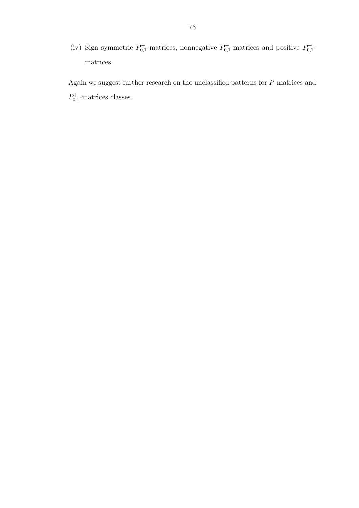(iv) Sign symmetric  $P_{0,1}^+$ -matrices, nonnegative  $P_{0,1}^+$ -matrices and positive  $P_{0,1}^+$ matrices.

Again we suggest further research on the unclassified patterns for  $P\mbox{-matrices}$  and  $P_{0,1}^+$ -matrices classes.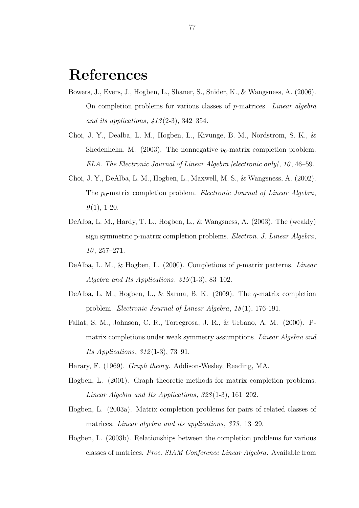# References

- Bowers, J., Evers, J., Hogben, L., Shaner, S., Snider, K., & Wangsness, A. (2006). On completion problems for various classes of p-matrices. Linear algebra and its applications,  $\frac{413(2-3)}{342-354}$ .
- Choi, J. Y., Dealba, L. M., Hogben, L., Kivunge, B. M., Nordstrom, S. K., & Shedenhelm, M. (2003). The nonnegative  $p_0$ -matrix completion problem. ELA. The Electronic Journal of Linear Algebra [electronic only], 10 , 46–59.
- Choi, J. Y., DeAlba, L. M., Hogben, L., Maxwell, M. S., & Wangsness, A. (2002). The  $p_0$ -matrix completion problem. *Electronic Journal of Linear Algebra*,  $9(1), 1-20.$
- DeAlba, L. M., Hardy, T. L., Hogben, L., & Wangsness, A. (2003). The (weakly) sign symmetric p-matrix completion problems. Electron. J. Linear Algebra,  $10, 257 - 271.$
- DeAlba, L. M., & Hogben, L. (2000). Completions of p-matrix patterns. Linear Algebra and Its Applications, 319 (1-3), 83–102.
- DeAlba, L. M., Hogben, L., & Sarma, B. K. (2009). The  $q$ -matrix completion problem. *Electronic Journal of Linear Algebra*, 18(1), 176-191.
- Fallat, S. M., Johnson, C. R., Torregrosa, J. R., & Urbano, A. M. (2000). Pmatrix completions under weak symmetry assumptions. Linear Algebra and Its Applications, 312 (1-3), 73–91.
- Harary, F. (1969). Graph theory. Addison-Wesley, Reading, MA.
- Hogben, L. (2001). Graph theoretic methods for matrix completion problems. Linear Algebra and Its Applications, 328 (1-3), 161–202.
- Hogben, L. (2003a). Matrix completion problems for pairs of related classes of matrices. *Linear algebra and its applications*, 373, 13–29.
- Hogben, L. (2003b). Relationships between the completion problems for various classes of matrices. Proc. SIAM Conference Linear Algebra. Available from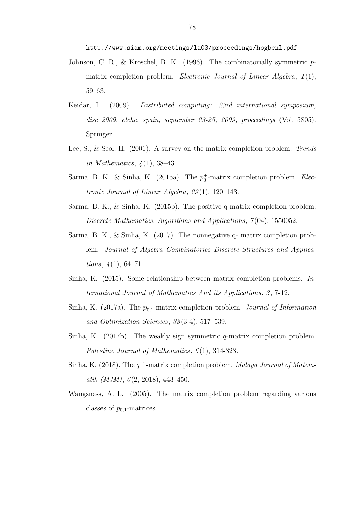http://www.siam.org/meetings/la03/proceedings/hogbenl.pdf

- Johnson, C. R., & Kroschel, B. K. (1996). The combinatorially symmetric pmatrix completion problem. *Electronic Journal of Linear Algebra,*  $1(1)$ , 59–63.
- Keidar, I. (2009). Distributed computing: 23rd international symposium, disc 2009, elche, spain, september 23-25, 2009, proceedings (Vol. 5805). Springer.
- Lee, S., & Seol, H. (2001). A survey on the matrix completion problem. Trends in Mathematics,  $\mathcal{A}(1)$ , 38–43.
- Sarma, B. K., & Sinha, K. (2015a). The  $p_0^+$ -matrix completion problem. Electronic Journal of Linear Algebra,  $29(1)$ , 120-143.
- Sarma, B. K., & Sinha, K. (2015b). The positive q-matrix completion problem. Discrete Mathematics, Algorithms and Applications, 7(04), 1550052.
- Sarma, B. K., & Sinha, K. (2017). The nonnegative q- matrix completion problem. Journal of Algebra Combinatorics Discrete Structures and Applica*tions*,  $\frac{1}{4}(1)$ , 64–71.
- Sinha, K. (2015). Some relationship between matrix completion problems. International Journal of Mathematics And its Applications, 3, 7-12.
- Sinha, K. (2017a). The  $p_{0,1}^+$ -matrix completion problem. *Journal of Information* and Optimization Sciences, 38 (3-4), 517–539.
- Sinha, K. (2017b). The weakly sign symmetric  $q$ -matrix completion problem. Palestine Journal of Mathematics,  $6(1)$ , 314-323.
- Sinha, K. (2018). The  $q_1$ -matrix completion problem. *Malaya Journal of Matem*atik (MJM),  $6(2, 2018)$ , 443-450.
- Wangsness, A. L. (2005). The matrix completion problem regarding various classes of  $p_{0,1}$ -matrices.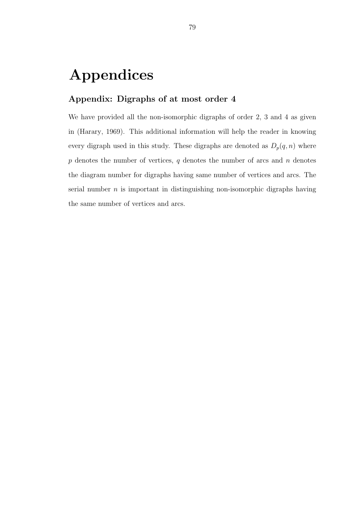# Appendices

# Appendix: Digraphs of at most order 4

We have provided all the non-isomorphic digraphs of order 2, 3 and 4 as given in (Harary, 1969). This additional information will help the reader in knowing every digraph used in this study. These digraphs are denoted as  $D_p(q, n)$  where  $p$  denotes the number of vertices,  $q$  denotes the number of arcs and  $n$  denotes the diagram number for digraphs having same number of vertices and arcs. The serial number  $n$  is important in distinguishing non-isomorphic digraphs having the same number of vertices and arcs.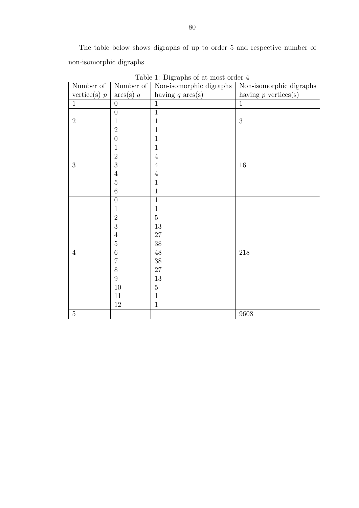The table below shows digraphs of up to order 5 and respective number of non-isomorphic digraphs.

| Number of      | Number of        | Non-isomorphic digraphs | Non-isomorphic digraphs |
|----------------|------------------|-------------------------|-------------------------|
| vertice(s) $p$ | $\arcs(s)$ q     | having $q \arcsin(s)$   | having $p$ vertices(s)  |
| $\mathbf{1}$   | $\boldsymbol{0}$ | $\mathbf{1}$            | $\mathbf{1}$            |
|                | $\boldsymbol{0}$ | $\overline{1}$          |                         |
| $\overline{2}$ | $\mathbf{1}$     | $\mathbf{1}$            | $\sqrt{3}$              |
|                | $\overline{2}$   | $1\,$                   |                         |
|                | $\overline{0}$   | $\overline{1}$          |                         |
|                | $\mathbf{1}$     | $\,1\,$                 |                         |
|                | $\overline{2}$   | $\,4\,$                 |                         |
| 3              | 3                | $\,4\,$                 | 16                      |
|                | $\sqrt{4}$       | $\,4\,$                 |                         |
|                | $\overline{5}$   | $\mathbf{1}$            |                         |
|                | $\boldsymbol{6}$ | $\,1$                   |                         |
|                | $\boldsymbol{0}$ | $\overline{1}$          |                         |
|                | $\mathbf 1$      | $1\,$                   |                         |
|                | $\overline{2}$   | $\overline{5}$          |                         |
|                | 3                | $13\,$                  |                         |
|                | $\overline{4}$   | $27\,$                  |                         |
|                | $\bf 5$          | $38\,$                  |                         |
| $\overline{4}$ | $\overline{6}$   | $48\,$                  | $218\,$                 |
|                | $\overline{7}$   | $38\,$                  |                         |
|                | 8                | $27\,$                  |                         |
|                | 9                | $13\,$                  |                         |
|                | $10\,$           | $\bf 5$                 |                         |
|                | $11\,$           | $\,1\,$                 |                         |
|                | $12\,$           | $\,1$                   |                         |
| $\overline{5}$ |                  |                         | 9608                    |

Table 1: Digraphs of at most order 4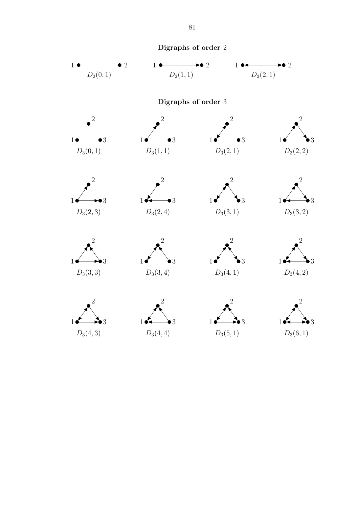

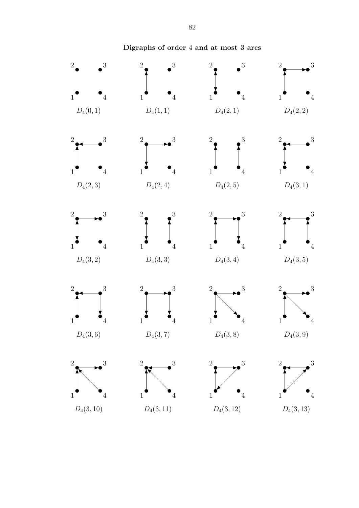## Digraphs of order 4 and at most 3 arcs





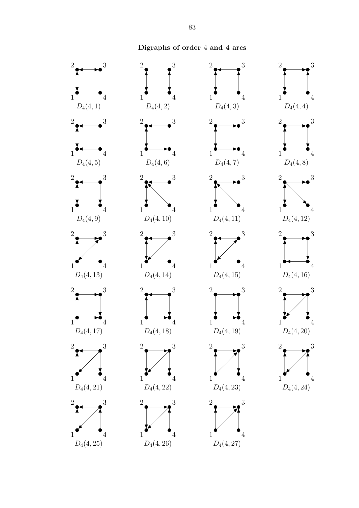## Digraphs of order 4 and 4 arcs

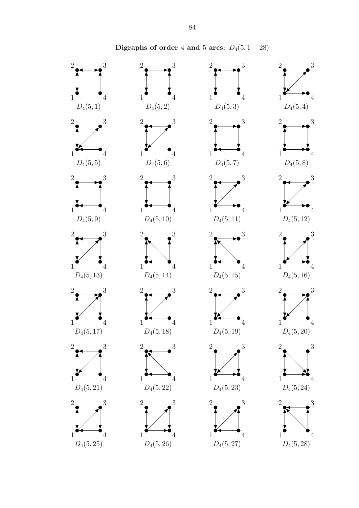

Digraphs of order 4 and 5 arcs:  $D_4(5, 1-28)$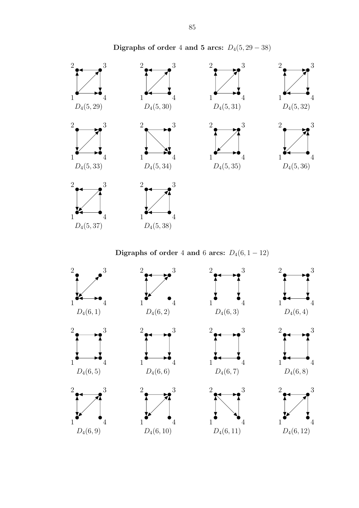

Digraphs of order 4 and 6 arcs:  $D_4(6, 1-12)$ 



Digraphs of order 4 and 5 arcs:  $D_4(5, 29-38)$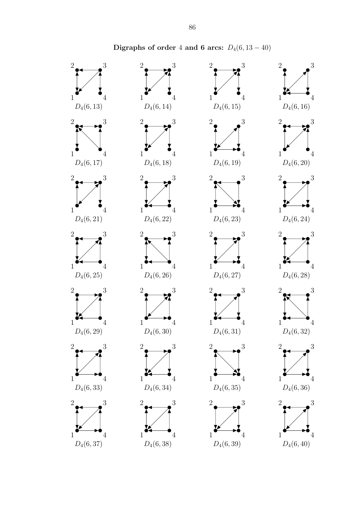

Digraphs of order 4 and 6 arcs:  $D_4(6, 13-40)$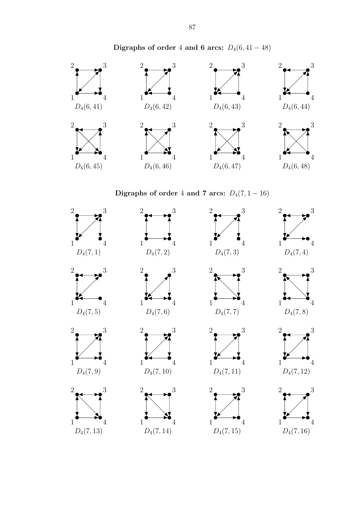

Digraphs of order 4 and 7 arcs:  $D_4(7, 1-16)$ 



Digraphs of order 4 and 6 arcs:  $D_4(6, 41-48)$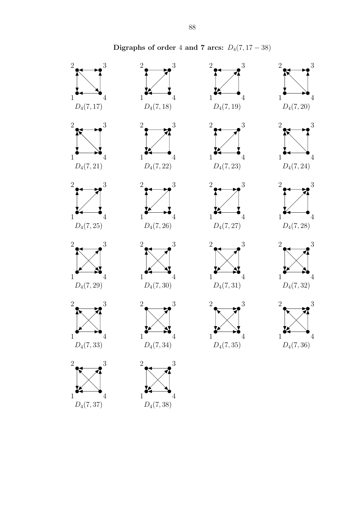

Digraphs of order 4 and 7 arcs:  $D_4(7, 17-38)$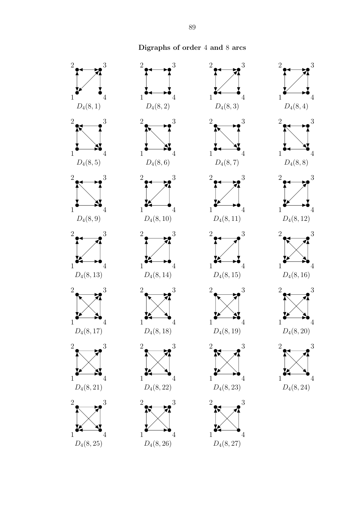## Digraphs of order 4 and 8 arcs